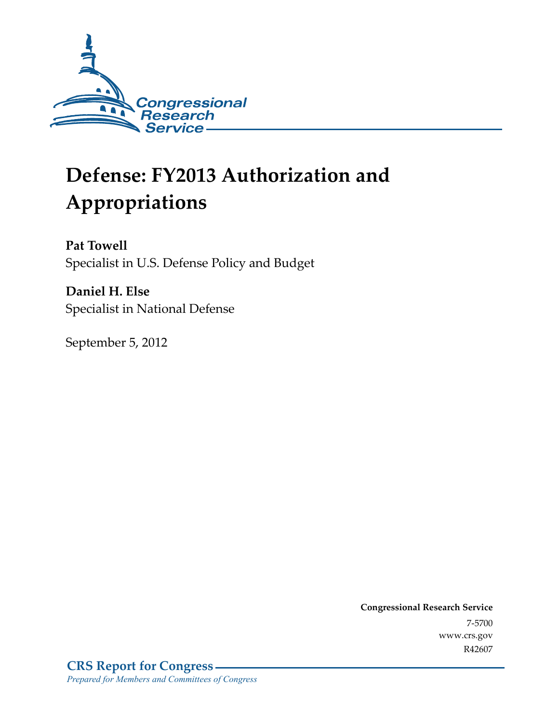

# **Defense: FY2013 Authorization and Appropriations**

**Pat Towell**  Specialist in U.S. Defense Policy and Budget

**Daniel H. Else**  Specialist in National Defense

September 5, 2012

**Congressional Research Service**  7-5700 www.crs.gov R42607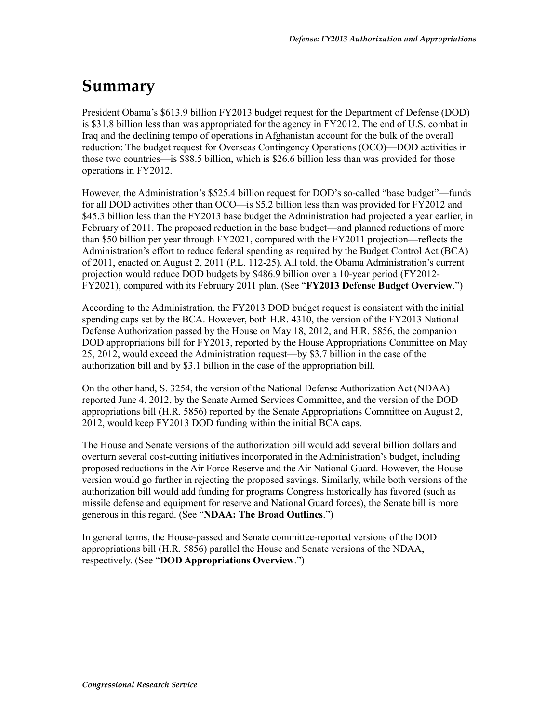## **Summary**

President Obama's \$613.9 billion FY2013 budget request for the Department of Defense (DOD) is \$31.8 billion less than was appropriated for the agency in FY2012. The end of U.S. combat in Iraq and the declining tempo of operations in Afghanistan account for the bulk of the overall reduction: The budget request for Overseas Contingency Operations (OCO)—DOD activities in those two countries—is \$88.5 billion, which is \$26.6 billion less than was provided for those operations in FY2012.

However, the Administration's \$525.4 billion request for DOD's so-called "base budget"—funds for all DOD activities other than OCO—is \$5.2 billion less than was provided for FY2012 and \$45.3 billion less than the FY2013 base budget the Administration had projected a year earlier, in February of 2011. The proposed reduction in the base budget—and planned reductions of more than \$50 billion per year through FY2021, compared with the FY2011 projection—reflects the Administration's effort to reduce federal spending as required by the Budget Control Act (BCA) of 2011, enacted on August 2, 2011 (P.L. 112-25). All told, the Obama Administration's current projection would reduce DOD budgets by \$486.9 billion over a 10-year period (FY2012- FY2021), compared with its February 2011 plan. (See "**FY2013 Defense Budget Overview**.")

According to the Administration, the FY2013 DOD budget request is consistent with the initial spending caps set by the BCA. However, both H.R. 4310, the version of the FY2013 National Defense Authorization passed by the House on May 18, 2012, and H.R. 5856, the companion DOD appropriations bill for FY2013, reported by the House Appropriations Committee on May 25, 2012, would exceed the Administration request—by \$3.7 billion in the case of the authorization bill and by \$3.1 billion in the case of the appropriation bill.

On the other hand, S. 3254, the version of the National Defense Authorization Act (NDAA) reported June 4, 2012, by the Senate Armed Services Committee, and the version of the DOD appropriations bill (H.R. 5856) reported by the Senate Appropriations Committee on August 2, 2012, would keep FY2013 DOD funding within the initial BCA caps.

The House and Senate versions of the authorization bill would add several billion dollars and overturn several cost-cutting initiatives incorporated in the Administration's budget, including proposed reductions in the Air Force Reserve and the Air National Guard. However, the House version would go further in rejecting the proposed savings. Similarly, while both versions of the authorization bill would add funding for programs Congress historically has favored (such as missile defense and equipment for reserve and National Guard forces), the Senate bill is more generous in this regard. (See "**NDAA: The Broad Outlines**.")

In general terms, the House-passed and Senate committee-reported versions of the DOD appropriations bill (H.R. 5856) parallel the House and Senate versions of the NDAA, respectively. (See "**DOD Appropriations Overview**.")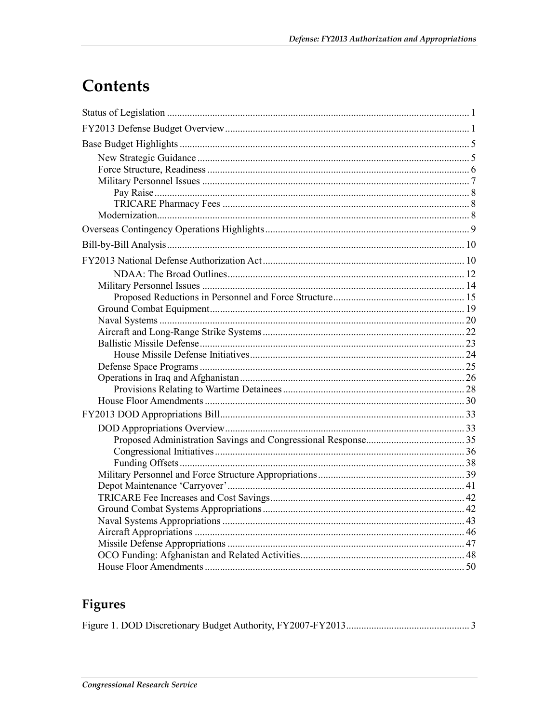## Contents

## Figures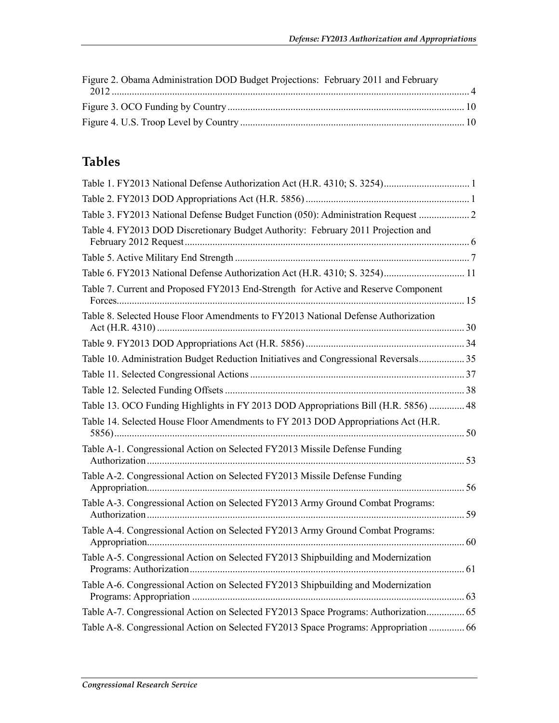| Figure 2. Obama Administration DOD Budget Projections: February 2011 and February |  |
|-----------------------------------------------------------------------------------|--|
|                                                                                   |  |
|                                                                                   |  |
|                                                                                   |  |

## **Tables**

| Table 3. FY2013 National Defense Budget Function (050): Administration Request  2    |  |
|--------------------------------------------------------------------------------------|--|
| Table 4. FY2013 DOD Discretionary Budget Authority: February 2011 Projection and     |  |
|                                                                                      |  |
| Table 6. FY2013 National Defense Authorization Act (H.R. 4310; S. 3254) 11           |  |
| Table 7. Current and Proposed FY2013 End-Strength for Active and Reserve Component   |  |
| Table 8. Selected House Floor Amendments to FY2013 National Defense Authorization    |  |
|                                                                                      |  |
| Table 10. Administration Budget Reduction Initiatives and Congressional Reversals 35 |  |
|                                                                                      |  |
|                                                                                      |  |
| Table 13. OCO Funding Highlights in FY 2013 DOD Appropriations Bill (H.R. 5856)  48  |  |
| Table 14. Selected House Floor Amendments to FY 2013 DOD Appropriations Act (H.R.    |  |
| Table A-1. Congressional Action on Selected FY2013 Missile Defense Funding           |  |
| Table A-2. Congressional Action on Selected FY2013 Missile Defense Funding           |  |
| Table A-3. Congressional Action on Selected FY2013 Army Ground Combat Programs:      |  |
| Table A-4. Congressional Action on Selected FY2013 Army Ground Combat Programs:      |  |
| Table A-5. Congressional Action on Selected FY2013 Shipbuilding and Modernization    |  |
| Table A-6. Congressional Action on Selected FY2013 Shipbuilding and Modernization    |  |
| Table A-7. Congressional Action on Selected FY2013 Space Programs: Authorization 65  |  |
| Table A-8. Congressional Action on Selected FY2013 Space Programs: Appropriation  66 |  |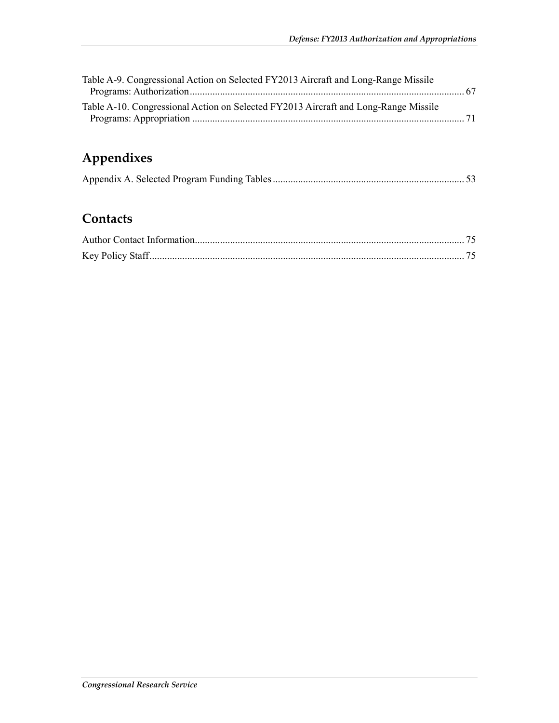| Table A-9. Congressional Action on Selected FY2013 Aircraft and Long-Range Missile  |  |
|-------------------------------------------------------------------------------------|--|
|                                                                                     |  |
| Table A-10. Congressional Action on Selected FY2013 Aircraft and Long-Range Missile |  |
|                                                                                     |  |

## **Appendixes**

## **Contacts**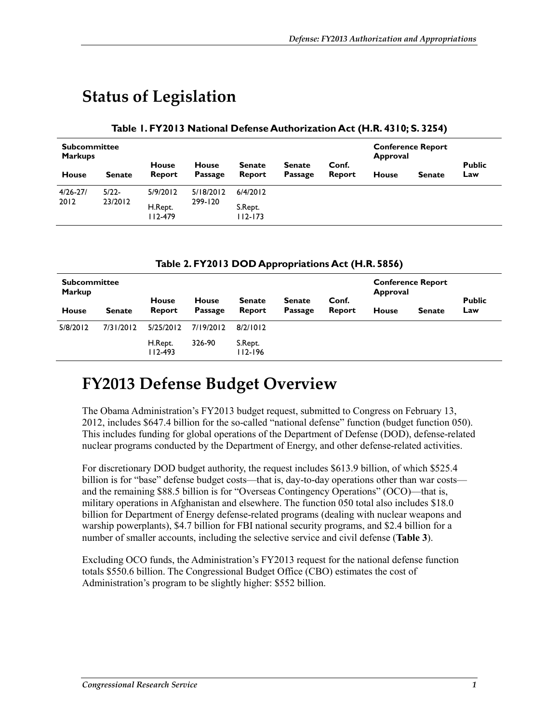## **Status of Legislation**

#### **Table 1. FY2013 National Defense Authorization Act (H.R. 4310; S. 3254)**

| <b>Subcommittee</b><br><b>Markups</b> |                                              | <b>House</b>           | <b>House</b> | <b>Senate</b> | <b>Senate</b> | Conf.  | <b>Conference Report</b><br>Approval |               | <b>Public</b> |
|---------------------------------------|----------------------------------------------|------------------------|--------------|---------------|---------------|--------|--------------------------------------|---------------|---------------|
| <b>House</b>                          | <b>Senate</b>                                | Report                 | Passage      | Report        | Passage       | Report | <b>House</b>                         | <b>Senate</b> | Law           |
| $4/26 - 27/$<br>2012                  | $5/22-$                                      | 5/9/2012               | 5/18/2012    | 6/4/2012      |               |        |                                      |               |               |
|                                       | 23/2012<br>299-120<br>H.Rept.<br>$112 - 479$ | S.Rept.<br>$112 - 173$ |              |               |               |        |                                      |               |               |

#### **Table 2. FY2013 DOD Appropriations Act (H.R. 5856)**

| <b>Subcommittee</b><br><b>Markup</b> |               | <b>House</b>           | <b>House</b> | <b>Senate</b>          | <b>Senate</b> | Conf.  | <b>Conference Report</b><br><b>Approval</b> |               | <b>Public</b> |
|--------------------------------------|---------------|------------------------|--------------|------------------------|---------------|--------|---------------------------------------------|---------------|---------------|
| <b>House</b>                         | <b>Senate</b> | Report                 | Passage      | Report                 | Passage       | Report | <b>House</b>                                | <b>Senate</b> | Law           |
| 5/8/2012                             | 7/31/2012     | 5/25/2012              | 7/19/2012    | 8/2/1012               |               |        |                                             |               |               |
|                                      |               | H.Rept.<br>$112 - 493$ | 326-90       | S.Rept.<br>$112 - 196$ |               |        |                                             |               |               |

## **FY2013 Defense Budget Overview**

The Obama Administration's FY2013 budget request, submitted to Congress on February 13, 2012, includes \$647.4 billion for the so-called "national defense" function (budget function 050). This includes funding for global operations of the Department of Defense (DOD), defense-related nuclear programs conducted by the Department of Energy, and other defense-related activities.

For discretionary DOD budget authority, the request includes \$613.9 billion, of which \$525.4 billion is for "base" defense budget costs—that is, day-to-day operations other than war costs and the remaining \$88.5 billion is for "Overseas Contingency Operations" (OCO)—that is, military operations in Afghanistan and elsewhere. The function 050 total also includes \$18.0 billion for Department of Energy defense-related programs (dealing with nuclear weapons and warship powerplants), \$4.7 billion for FBI national security programs, and \$2.4 billion for a number of smaller accounts, including the selective service and civil defense (**Table 3**).

Excluding OCO funds, the Administration's FY2013 request for the national defense function totals \$550.6 billion. The Congressional Budget Office (CBO) estimates the cost of Administration's program to be slightly higher: \$552 billion.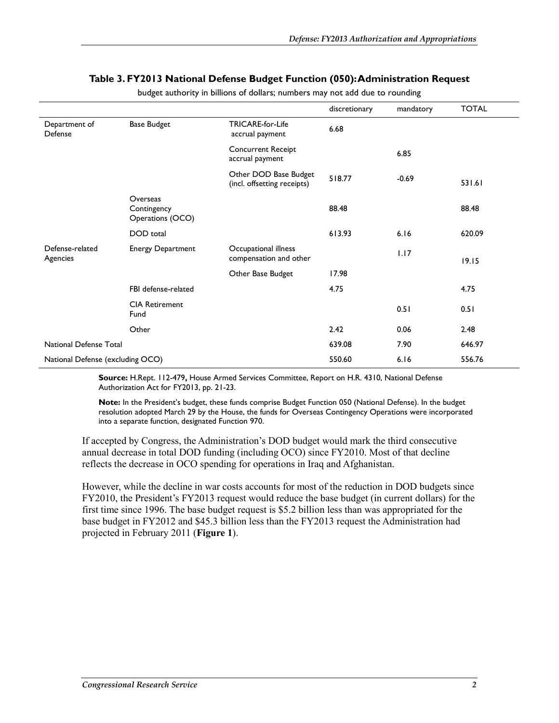#### **Table 3. FY2013 National Defense Budget Function (050): Administration Request**

|                                  |                                             |                                                      | discretionary | mandatory | <b>TOTAL</b> |
|----------------------------------|---------------------------------------------|------------------------------------------------------|---------------|-----------|--------------|
| Department of<br>Defense         | <b>Base Budget</b>                          | TRICARE-for-Life<br>accrual payment                  | 6.68          |           |              |
|                                  |                                             | <b>Concurrent Receipt</b><br>accrual payment         |               | 6.85      |              |
|                                  |                                             | Other DOD Base Budget<br>(incl. offsetting receipts) | 518.77        | $-0.69$   | 531.61       |
|                                  | Overseas<br>Contingency<br>Operations (OCO) |                                                      | 88.48         |           | 88.48        |
|                                  | DOD total                                   |                                                      | 613.93        | 6.16      | 620.09       |
| Defense-related<br>Agencies      | <b>Energy Department</b>                    | Occupational illness<br>compensation and other       |               | 1.17      | 19.15        |
|                                  |                                             | Other Base Budget                                    | 17.98         |           |              |
|                                  | FBI defense-related                         |                                                      | 4.75          |           | 4.75         |
|                                  | <b>CIA Retirement</b><br>Fund               |                                                      |               | 0.51      | 0.51         |
|                                  | Other                                       |                                                      | 2.42          | 0.06      | 2.48         |
| National Defense Total           |                                             |                                                      | 639.08        | 7.90      | 646.97       |
| National Defense (excluding OCO) |                                             |                                                      | 550.60        | 6.16      | 556.76       |

budget authority in billions of dollars; numbers may not add due to rounding

**Source:** H.Rept. 112-479**,** House Armed Services Committee, Report on H.R. 4310, National Defense Authorization Act for FY2013, pp. 21-23.

**Note:** In the President's budget, these funds comprise Budget Function 050 (National Defense). In the budget resolution adopted March 29 by the House, the funds for Overseas Contingency Operations were incorporated into a separate function, designated Function 970.

If accepted by Congress, the Administration's DOD budget would mark the third consecutive annual decrease in total DOD funding (including OCO) since FY2010. Most of that decline reflects the decrease in OCO spending for operations in Iraq and Afghanistan.

However, while the decline in war costs accounts for most of the reduction in DOD budgets since FY2010, the President's FY2013 request would reduce the base budget (in current dollars) for the first time since 1996. The base budget request is \$5.2 billion less than was appropriated for the base budget in FY2012 and \$45.3 billion less than the FY2013 request the Administration had projected in February 2011 (**Figure 1**).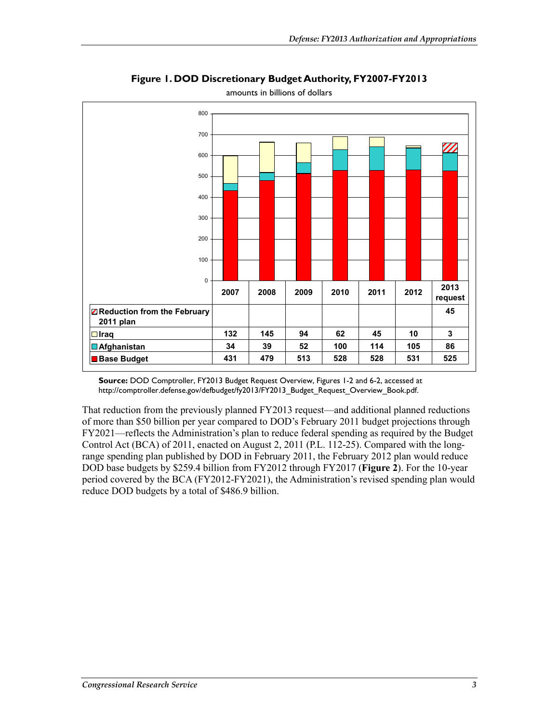

**Figure 1. DOD Discretionary Budget Authority, FY2007-FY2013** 

amounts in billions of dollars

**Source:** DOD Comptroller, FY2013 Budget Request Overview, Figures 1-2 and 6-2, accessed at http://comptroller.defense.gov/defbudget/fy2013/FY2013\_Budget\_Request\_Overview\_Book.pdf.

That reduction from the previously planned FY2013 request—and additional planned reductions of more than \$50 billion per year compared to DOD's February 2011 budget projections through FY2021—reflects the Administration's plan to reduce federal spending as required by the Budget Control Act (BCA) of 2011, enacted on August 2, 2011 (P.L. 112-25). Compared with the longrange spending plan published by DOD in February 2011, the February 2012 plan would reduce DOD base budgets by \$259.4 billion from FY2012 through FY2017 (**Figure 2**). For the 10-year period covered by the BCA (FY2012-FY2021), the Administration's revised spending plan would reduce DOD budgets by a total of \$486.9 billion.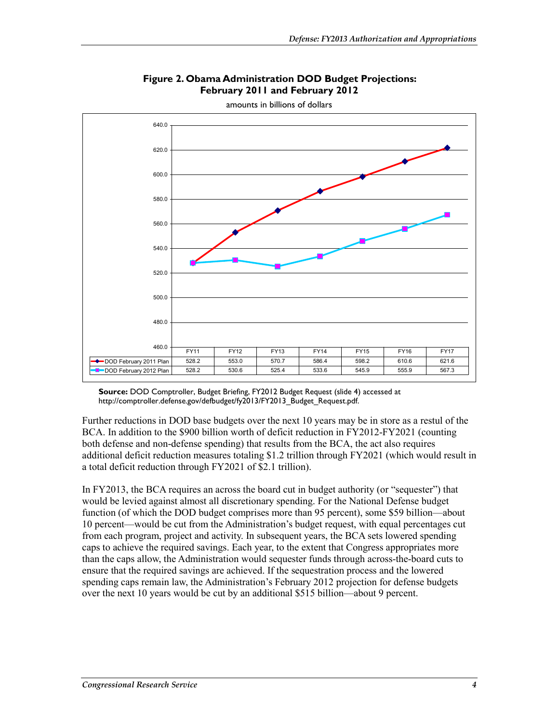

#### **Figure 2. Obama Administration DOD Budget Projections: February 2011 and February 2012**

amounts in billions of dollars

**Source:** DOD Comptroller, Budget Briefing, FY2012 Budget Request (slide 4) accessed at http://comptroller.defense.gov/defbudget/fy2013/FY2013\_Budget\_Request.pdf.

Further reductions in DOD base budgets over the next 10 years may be in store as a restul of the BCA. In addition to the \$900 billion worth of deficit reduction in FY2012-FY2021 (counting both defense and non-defense spending) that results from the BCA, the act also requires additional deficit reduction measures totaling \$1.2 trillion through FY2021 (which would result in a total deficit reduction through FY2021 of \$2.1 trillion).

In FY2013, the BCA requires an across the board cut in budget authority (or "sequester") that would be levied against almost all discretionary spending. For the National Defense budget function (of which the DOD budget comprises more than 95 percent), some \$59 billion—about 10 percent—would be cut from the Administration's budget request, with equal percentages cut from each program, project and activity. In subsequent years, the BCA sets lowered spending caps to achieve the required savings. Each year, to the extent that Congress appropriates more than the caps allow, the Administration would sequester funds through across-the-board cuts to ensure that the required savings are achieved. If the sequestration process and the lowered spending caps remain law, the Administration's February 2012 projection for defense budgets over the next 10 years would be cut by an additional \$515 billion—about 9 percent.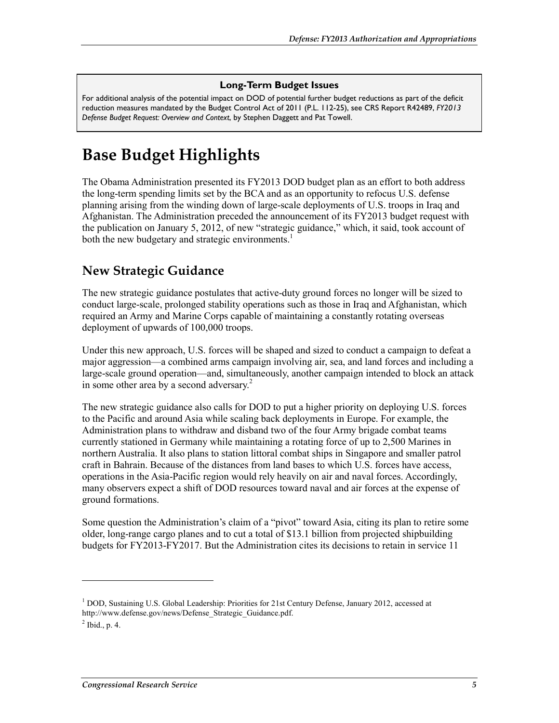#### **Long-Term Budget Issues**

For additional analysis of the potential impact on DOD of potential further budget reductions as part of the deficit reduction measures mandated by the Budget Control Act of 2011 (P.L. 112-25), see CRS Report R42489, *FY2013 Defense Budget Request: Overview and Context*, by Stephen Daggett and Pat Towell.

## **Base Budget Highlights**

The Obama Administration presented its FY2013 DOD budget plan as an effort to both address the long-term spending limits set by the BCA and as an opportunity to refocus U.S. defense planning arising from the winding down of large-scale deployments of U.S. troops in Iraq and Afghanistan. The Administration preceded the announcement of its FY2013 budget request with the publication on January 5, 2012, of new "strategic guidance," which, it said, took account of both the new budgetary and strategic environments.<sup>1</sup>

### **New Strategic Guidance**

The new strategic guidance postulates that active-duty ground forces no longer will be sized to conduct large-scale, prolonged stability operations such as those in Iraq and Afghanistan, which required an Army and Marine Corps capable of maintaining a constantly rotating overseas deployment of upwards of 100,000 troops.

Under this new approach, U.S. forces will be shaped and sized to conduct a campaign to defeat a major aggression—a combined arms campaign involving air, sea, and land forces and including a large-scale ground operation—and, simultaneously, another campaign intended to block an attack in some other area by a second adversary. $2^2$ 

The new strategic guidance also calls for DOD to put a higher priority on deploying U.S. forces to the Pacific and around Asia while scaling back deployments in Europe. For example, the Administration plans to withdraw and disband two of the four Army brigade combat teams currently stationed in Germany while maintaining a rotating force of up to 2,500 Marines in northern Australia. It also plans to station littoral combat ships in Singapore and smaller patrol craft in Bahrain. Because of the distances from land bases to which U.S. forces have access, operations in the Asia-Pacific region would rely heavily on air and naval forces. Accordingly, many observers expect a shift of DOD resources toward naval and air forces at the expense of ground formations.

Some question the Administration's claim of a "pivot" toward Asia, citing its plan to retire some older, long-range cargo planes and to cut a total of \$13.1 billion from projected shipbuilding budgets for FY2013-FY2017. But the Administration cites its decisions to retain in service 11

<u>.</u>

<sup>&</sup>lt;sup>1</sup> DOD, Sustaining U.S. Global Leadership: Priorities for 21st Century Defense, January 2012, accessed at http://www.defense.gov/news/Defense\_Strategic\_Guidance.pdf.

 $<sup>2</sup>$  Ibid., p. 4.</sup>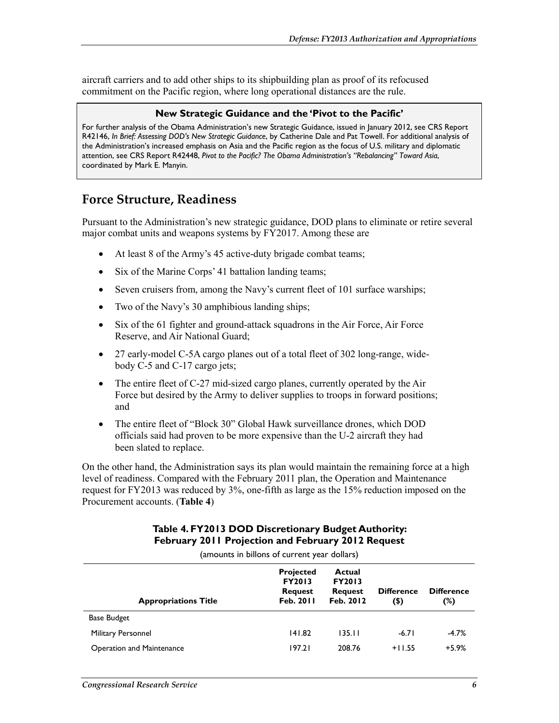aircraft carriers and to add other ships to its shipbuilding plan as proof of its refocused commitment on the Pacific region, where long operational distances are the rule.

#### **New Strategic Guidance and the 'Pivot to the Pacific'**

For further analysis of the Obama Administration's new Strategic Guidance, issued in January 2012, see CRS Report R42146, *In Brief: Assessing DOD's New Strategic Guidance*, by Catherine Dale and Pat Towell. For additional analysis of the Administration's increased emphasis on Asia and the Pacific region as the focus of U.S. military and diplomatic attention, see CRS Report R42448, *Pivot to the Pacific? The Obama Administration's "Rebalancing" Toward Asia*, coordinated by Mark E. Manyin.

### **Force Structure, Readiness**

Pursuant to the Administration's new strategic guidance, DOD plans to eliminate or retire several major combat units and weapons systems by FY2017. Among these are

- At least 8 of the Army's 45 active-duty brigade combat teams;
- Six of the Marine Corps' 41 battalion landing teams;
- Seven cruisers from, among the Navy's current fleet of 101 surface warships;
- Two of the Navy's 30 amphibious landing ships;
- Six of the 61 fighter and ground-attack squadrons in the Air Force, Air Force Reserve, and Air National Guard;
- 27 early-model C-5A cargo planes out of a total fleet of 302 long-range, widebody C-5 and C-17 cargo jets;
- The entire fleet of C-27 mid-sized cargo planes, currently operated by the Air Force but desired by the Army to deliver supplies to troops in forward positions; and
- The entire fleet of "Block 30" Global Hawk surveillance drones, which DOD officials said had proven to be more expensive than the U-2 aircraft they had been slated to replace.

On the other hand, the Administration says its plan would maintain the remaining force at a high level of readiness. Compared with the February 2011 plan, the Operation and Maintenance request for FY2013 was reduced by 3%, one-fifth as large as the 15% reduction imposed on the Procurement accounts. (**Table 4**)

#### **Table 4. FY2013 DOD Discretionary Budget Authority: February 2011 Projection and February 2012 Request**

(amounts in billons of current year dollars) **Appropriations Title Projected FY2013 Request Feb. 2011 Actual FY2013 Request Feb. 2012 Difference (\$) Difference (%)**  Base Budget Military Personnel 2012 141.82 135.11 -6.71 -4.7% Operation and Maintenance 197.21 208.76 +11.55 +5.9%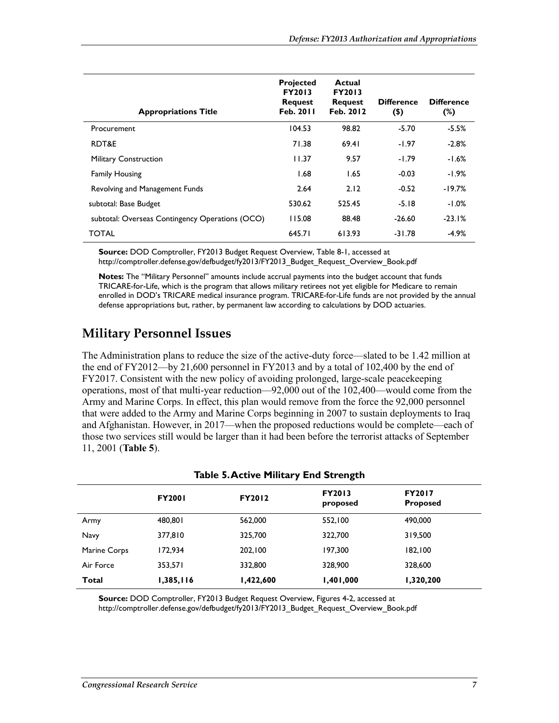| <b>Appropriations Title</b>                     | <b>Projected</b><br><b>FY2013</b><br><b>Request</b><br>Feb. 2011 | Actual<br><b>FY2013</b><br><b>Request</b><br>Feb. 2012 | <b>Difference</b><br>$($ \$ | <b>Difference</b><br>(%) |
|-------------------------------------------------|------------------------------------------------------------------|--------------------------------------------------------|-----------------------------|--------------------------|
| Procurement                                     | 104.53                                                           | 98.82                                                  | $-5.70$                     | $-5.5%$                  |
| RDT&E                                           | 71.38                                                            | 69.41                                                  | $-1.97$                     | $-2.8%$                  |
| <b>Military Construction</b>                    | 11.37                                                            | 9.57                                                   | $-1.79$                     | $-1.6%$                  |
| <b>Family Housing</b>                           | 1.68                                                             | 1.65                                                   | $-0.03$                     | $-1.9\%$                 |
| Revolving and Management Funds                  | 2.64                                                             | 2.12                                                   | $-0.52$                     | $-19.7%$                 |
| subtotal: Base Budget                           | 530.62                                                           | 525.45                                                 | $-5.18$                     | $-1.0%$                  |
| subtotal: Overseas Contingency Operations (OCO) | 115.08                                                           | 88.48                                                  | $-26.60$                    | $-23.1%$                 |
| <b>TOTAL</b>                                    | 645.71                                                           | 613.93                                                 | $-31.78$                    | $-4.9%$                  |

**Source:** DOD Comptroller, FY2013 Budget Request Overview, Table 8-1, accessed at http://comptroller.defense.gov/defbudget/fy2013/FY2013\_Budget\_Request\_Overview\_Book.pdf

**Notes:** The "Military Personnel" amounts include accrual payments into the budget account that funds TRICARE-for-Life, which is the program that allows military retirees not yet eligible for Medicare to remain enrolled in DOD's TRICARE medical insurance program. TRICARE-for-Life funds are not provided by the annual defense appropriations but, rather, by permanent law according to calculations by DOD actuaries.

## **Military Personnel Issues**

The Administration plans to reduce the size of the active-duty force—slated to be 1.42 million at the end of FY2012—by 21,600 personnel in FY2013 and by a total of 102,400 by the end of FY2017. Consistent with the new policy of avoiding prolonged, large-scale peacekeeping operations, most of that multi-year reduction—92,000 out of the 102,400—would come from the Army and Marine Corps. In effect, this plan would remove from the force the 92,000 personnel that were added to the Army and Marine Corps beginning in 2007 to sustain deployments to Iraq and Afghanistan. However, in 2017—when the proposed reductions would be complete—each of those two services still would be larger than it had been before the terrorist attacks of September 11, 2001 (**Table 5**).

|              | $r_{\rm advic}$ ). Active Finitally End Strength |               |                           |                                  |  |  |  |  |
|--------------|--------------------------------------------------|---------------|---------------------------|----------------------------------|--|--|--|--|
|              | <b>FY2001</b>                                    | <b>FY2012</b> | <b>FY2013</b><br>proposed | <b>FY2017</b><br><b>Proposed</b> |  |  |  |  |
| Army         | 480,801                                          | 562,000       | 552,100                   | 490,000                          |  |  |  |  |
| <b>Navy</b>  | 377,810                                          | 325,700       | 322,700                   | 319,500                          |  |  |  |  |
| Marine Corps | 172.934                                          | 202.100       | 197,300                   | 182,100                          |  |  |  |  |
| Air Force    | 353,571                                          | 332,800       | 328,900                   | 328,600                          |  |  |  |  |
| Total        | 1,385,116                                        | 1,422,600     | 1,401,000                 | 1,320,200                        |  |  |  |  |

#### **Table 5. Active Military End Strength**

**Source:** DOD Comptroller, FY2013 Budget Request Overview, Figures 4-2, accessed at http://comptroller.defense.gov/defbudget/fy2013/FY2013\_Budget\_Request\_Overview\_Book.pdf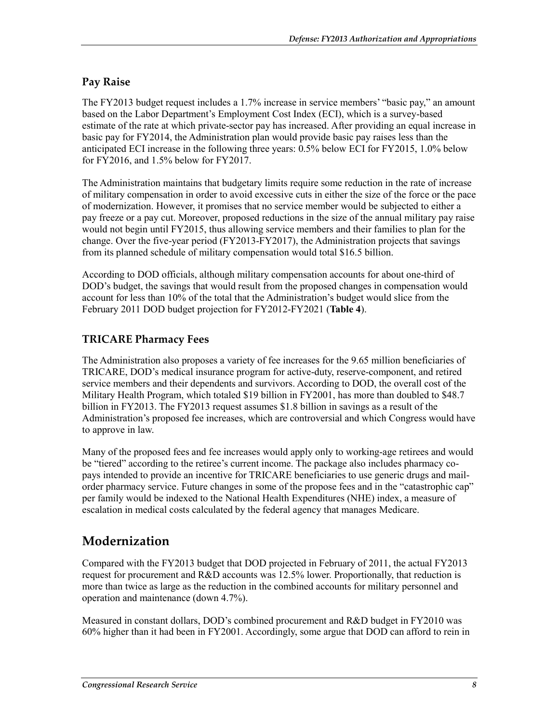#### **Pay Raise**

The FY2013 budget request includes a 1.7% increase in service members' "basic pay," an amount based on the Labor Department's Employment Cost Index (ECI), which is a survey-based estimate of the rate at which private-sector pay has increased. After providing an equal increase in basic pay for FY2014, the Administration plan would provide basic pay raises less than the anticipated ECI increase in the following three years: 0.5% below ECI for FY2015, 1.0% below for FY2016, and 1.5% below for FY2017.

The Administration maintains that budgetary limits require some reduction in the rate of increase of military compensation in order to avoid excessive cuts in either the size of the force or the pace of modernization. However, it promises that no service member would be subjected to either a pay freeze or a pay cut. Moreover, proposed reductions in the size of the annual military pay raise would not begin until FY2015, thus allowing service members and their families to plan for the change. Over the five-year period (FY2013-FY2017), the Administration projects that savings from its planned schedule of military compensation would total \$16.5 billion.

According to DOD officials, although military compensation accounts for about one-third of DOD's budget, the savings that would result from the proposed changes in compensation would account for less than 10% of the total that the Administration's budget would slice from the February 2011 DOD budget projection for FY2012-FY2021 (**Table 4**).

### **TRICARE Pharmacy Fees**

The Administration also proposes a variety of fee increases for the 9.65 million beneficiaries of TRICARE, DOD's medical insurance program for active-duty, reserve-component, and retired service members and their dependents and survivors. According to DOD, the overall cost of the Military Health Program, which totaled \$19 billion in FY2001, has more than doubled to \$48.7 billion in FY2013. The FY2013 request assumes \$1.8 billion in savings as a result of the Administration's proposed fee increases, which are controversial and which Congress would have to approve in law.

Many of the proposed fees and fee increases would apply only to working-age retirees and would be "tiered" according to the retiree's current income. The package also includes pharmacy copays intended to provide an incentive for TRICARE beneficiaries to use generic drugs and mailorder pharmacy service. Future changes in some of the propose fees and in the "catastrophic cap" per family would be indexed to the National Health Expenditures (NHE) index, a measure of escalation in medical costs calculated by the federal agency that manages Medicare.

## **Modernization**

Compared with the FY2013 budget that DOD projected in February of 2011, the actual FY2013 request for procurement and R&D accounts was 12.5% lower. Proportionally, that reduction is more than twice as large as the reduction in the combined accounts for military personnel and operation and maintenance (down 4.7%).

Measured in constant dollars, DOD's combined procurement and R&D budget in FY2010 was 60% higher than it had been in FY2001. Accordingly, some argue that DOD can afford to rein in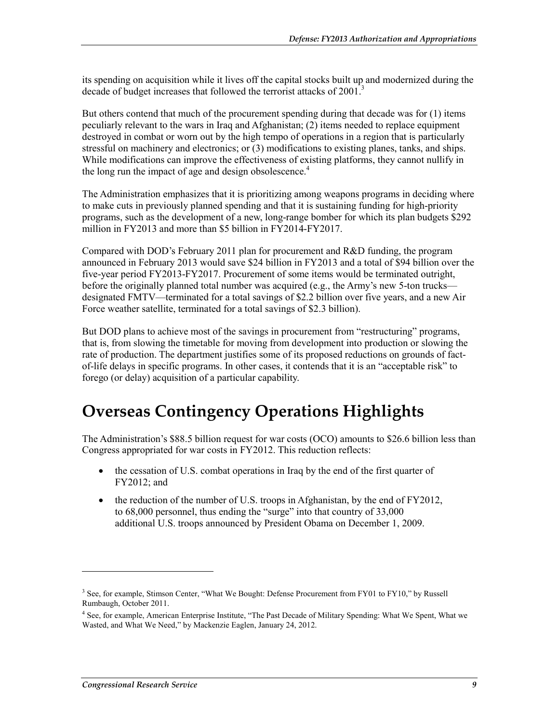its spending on acquisition while it lives off the capital stocks built up and modernized during the decade of budget increases that followed the terrorist attacks of 2001.

But others contend that much of the procurement spending during that decade was for (1) items peculiarly relevant to the wars in Iraq and Afghanistan; (2) items needed to replace equipment destroyed in combat or worn out by the high tempo of operations in a region that is particularly stressful on machinery and electronics; or (3) modifications to existing planes, tanks, and ships. While modifications can improve the effectiveness of existing platforms, they cannot nullify in the long run the impact of age and design obsolescence.<sup>4</sup>

The Administration emphasizes that it is prioritizing among weapons programs in deciding where to make cuts in previously planned spending and that it is sustaining funding for high-priority programs, such as the development of a new, long-range bomber for which its plan budgets \$292 million in FY2013 and more than \$5 billion in FY2014-FY2017.

Compared with DOD's February 2011 plan for procurement and R&D funding, the program announced in February 2013 would save \$24 billion in FY2013 and a total of \$94 billion over the five-year period FY2013-FY2017. Procurement of some items would be terminated outright, before the originally planned total number was acquired (e.g., the Army's new 5-ton trucks designated FMTV—terminated for a total savings of \$2.2 billion over five years, and a new Air Force weather satellite, terminated for a total savings of \$2.3 billion).

But DOD plans to achieve most of the savings in procurement from "restructuring" programs, that is, from slowing the timetable for moving from development into production or slowing the rate of production. The department justifies some of its proposed reductions on grounds of factof-life delays in specific programs. In other cases, it contends that it is an "acceptable risk" to forego (or delay) acquisition of a particular capability.

## **Overseas Contingency Operations Highlights**

The Administration's \$88.5 billion request for war costs (OCO) amounts to \$26.6 billion less than Congress appropriated for war costs in FY2012. This reduction reflects:

- the cessation of U.S. combat operations in Iraq by the end of the first quarter of FY2012; and
- the reduction of the number of U.S. troops in Afghanistan, by the end of FY2012, to 68,000 personnel, thus ending the "surge" into that country of 33,000 additional U.S. troops announced by President Obama on December 1, 2009.

1

<sup>&</sup>lt;sup>3</sup> See, for example, Stimson Center, "What We Bought: Defense Procurement from FY01 to FY10," by Russell Rumbaugh, October 2011.

<sup>4</sup> See, for example, American Enterprise Institute, "The Past Decade of Military Spending: What We Spent, What we Wasted, and What We Need," by Mackenzie Eaglen, January 24, 2012.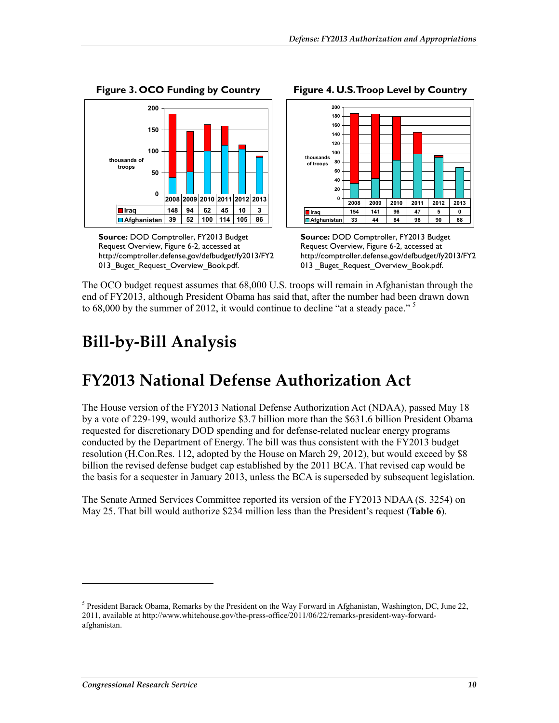

**Source:** DOD Comptroller, FY2013 Budget Request Overview, Figure 6-2, accessed at http://comptroller.defense.gov/defbudget/fy2013/FY2 013\_Buget\_Request\_Overview\_Book.pdf.

**Figure 4. U.S. Troop Level by Country** 



**Source:** DOD Comptroller, FY2013 Budget Request Overview, Figure 6-2, accessed at http://comptroller.defense.gov/defbudget/fy2013/FY2 013 \_Buget\_Request\_Overview\_Book.pdf.

The OCO budget request assumes that 68,000 U.S. troops will remain in Afghanistan through the end of FY2013, although President Obama has said that, after the number had been drawn down to 68,000 by the summer of 2012, it would continue to decline "at a steady pace."<sup>5</sup>

## **Bill-by-Bill Analysis**

## **FY2013 National Defense Authorization Act**

The House version of the FY2013 National Defense Authorization Act (NDAA), passed May 18 by a vote of 229-199, would authorize \$3.7 billion more than the \$631.6 billion President Obama requested for discretionary DOD spending and for defense-related nuclear energy programs conducted by the Department of Energy. The bill was thus consistent with the FY2013 budget resolution (H.Con.Res. 112, adopted by the House on March 29, 2012), but would exceed by \$8 billion the revised defense budget cap established by the 2011 BCA. That revised cap would be the basis for a sequester in January 2013, unless the BCA is superseded by subsequent legislation.

The Senate Armed Services Committee reported its version of the FY2013 NDAA (S. 3254) on May 25. That bill would authorize \$234 million less than the President's request (**Table 6**).

<u>.</u>

<sup>&</sup>lt;sup>5</sup> President Barack Obama, Remarks by the President on the Way Forward in Afghanistan, Washington, DC, June 22, 2011, available at http://www.whitehouse.gov/the-press-office/2011/06/22/remarks-president-way-forwardafghanistan.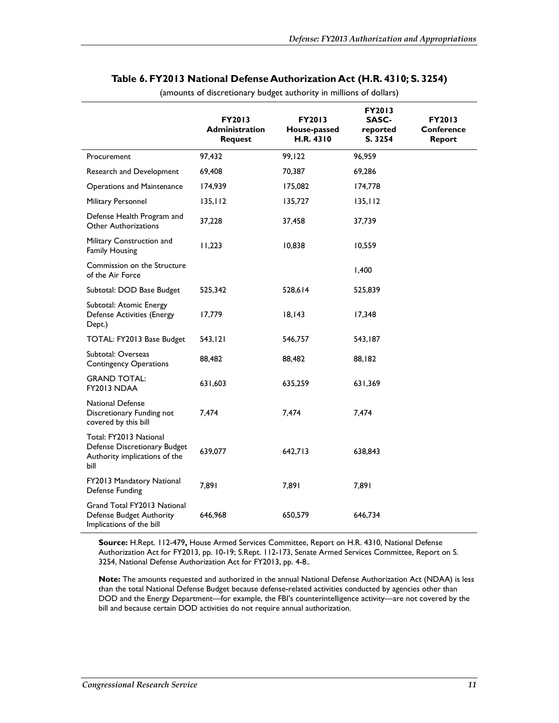|                                                                                                 | <b>FY2013</b><br><b>Administration</b><br><b>Request</b> | <b>FY2013</b><br>House-passed<br><b>H.R. 4310</b> | <b>FY2013</b><br>SASC-<br>reported<br>S. 3254 | <b>FY2013</b><br><b>Conference</b><br><b>Report</b> |
|-------------------------------------------------------------------------------------------------|----------------------------------------------------------|---------------------------------------------------|-----------------------------------------------|-----------------------------------------------------|
| Procurement                                                                                     | 97,432                                                   | 99,122                                            | 96,959                                        |                                                     |
| Research and Development                                                                        | 69,408                                                   | 70,387                                            | 69,286                                        |                                                     |
| <b>Operations and Maintenance</b>                                                               | 174,939                                                  | 175,082                                           | 174,778                                       |                                                     |
| Military Personnel                                                                              | 135, 112                                                 | 135,727                                           | 135, 112                                      |                                                     |
| Defense Health Program and<br><b>Other Authorizations</b>                                       | 37,228                                                   | 37,458                                            | 37,739                                        |                                                     |
| Military Construction and<br><b>Family Housing</b>                                              | 11,223                                                   | 10,838                                            | 10,559                                        |                                                     |
| Commission on the Structure<br>of the Air Force                                                 |                                                          |                                                   | 1,400                                         |                                                     |
| Subtotal: DOD Base Budget                                                                       | 525,342                                                  | 528,614                                           | 525,839                                       |                                                     |
| Subtotal: Atomic Energy<br>Defense Activities (Energy<br>Dept.)                                 | 17,779                                                   | 18,143                                            | 17,348                                        |                                                     |
| TOTAL: FY2013 Base Budget                                                                       | 543,121                                                  | 546,757                                           | 543,187                                       |                                                     |
| Subtotal: Overseas<br><b>Contingency Operations</b>                                             | 88,482                                                   | 88,482                                            | 88,182                                        |                                                     |
| <b>GRAND TOTAL:</b><br>FY2013 NDAA                                                              | 631,603                                                  | 635,259                                           | 631,369                                       |                                                     |
| <b>National Defense</b><br>Discretionary Funding not<br>covered by this bill                    | 7,474                                                    | 7,474                                             | 7,474                                         |                                                     |
| Total: FY2013 National<br>Defense Discretionary Budget<br>Authority implications of the<br>bill | 639,077                                                  | 642,713                                           | 638,843                                       |                                                     |
| FY2013 Mandatory National<br>Defense Funding                                                    | 7,891                                                    | 7,891                                             | 7,891                                         |                                                     |
| Grand Total FY2013 National<br>Defense Budget Authority<br>Implications of the bill             | 646,968                                                  | 650,579                                           | 646,734                                       |                                                     |

#### **Table 6. FY2013 National Defense Authorization Act (H.R. 4310; S. 3254)**

(amounts of discretionary budget authority in millions of dollars)

**Source:** H.Rept. 112-479**,** House Armed Services Committee, Report on H.R. 4310, National Defense Authorization Act for FY2013, pp. 10-19; S.Rept. 112-173, Senate Armed Services Committee, Report on S. 3254, National Defense Authorization Act for FY2013, pp. 4-8..

**Note:** The amounts requested and authorized in the annual National Defense Authorization Act (NDAA) is less than the total National Defense Budget because defense-related activities conducted by agencies other than DOD and the Energy Department—for example, the FBI's counterintelligence activity—are not covered by the bill and because certain DOD activities do not require annual authorization.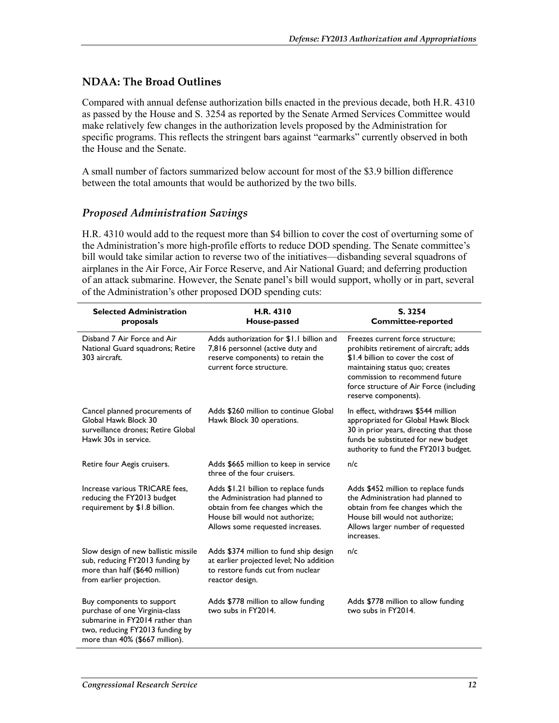#### **NDAA: The Broad Outlines**

Compared with annual defense authorization bills enacted in the previous decade, both H.R. 4310 as passed by the House and S. 3254 as reported by the Senate Armed Services Committee would make relatively few changes in the authorization levels proposed by the Administration for specific programs. This reflects the stringent bars against "earmarks" currently observed in both the House and the Senate.

A small number of factors summarized below account for most of the \$3.9 billion difference between the total amounts that would be authorized by the two bills.

#### *Proposed Administration Savings*

H.R. 4310 would add to the request more than \$4 billion to cover the cost of overturning some of the Administration's more high-profile efforts to reduce DOD spending. The Senate committee's bill would take similar action to reverse two of the initiatives—disbanding several squadrons of airplanes in the Air Force, Air Force Reserve, and Air National Guard; and deferring production of an attack submarine. However, the Senate panel's bill would support, wholly or in part, several of the Administration's other proposed DOD spending cuts:

| <b>Selected Administration</b><br>proposals                                                                                                                         | H.R. 4310<br>House-passed                                                                                                                                                             | S. 3254<br><b>Committee-reported</b>                                                                                                                                                                                                                     |
|---------------------------------------------------------------------------------------------------------------------------------------------------------------------|---------------------------------------------------------------------------------------------------------------------------------------------------------------------------------------|----------------------------------------------------------------------------------------------------------------------------------------------------------------------------------------------------------------------------------------------------------|
| Disband 7 Air Force and Air<br>National Guard squadrons; Retire<br>303 aircraft.                                                                                    | Adds authorization for \$1.1 billion and<br>7,816 personnel (active duty and<br>reserve components) to retain the<br>current force structure.                                         | Freezes current force structure;<br>prohibits retirement of aircraft; adds<br>\$1.4 billion to cover the cost of<br>maintaining status quo; creates<br>commission to recommend future<br>force structure of Air Force (including<br>reserve components). |
| Cancel planned procurements of<br>Global Hawk Block 30<br>surveillance drones; Retire Global<br>Hawk 30s in service.                                                | Adds \$260 million to continue Global<br>Hawk Block 30 operations.                                                                                                                    | In effect, withdraws \$544 million<br>appropriated for Global Hawk Block<br>30 in prior years, directing that those<br>funds be substituted for new budget<br>authority to fund the FY2013 budget.                                                       |
| Retire four Aegis cruisers.                                                                                                                                         | Adds \$665 million to keep in service<br>three of the four cruisers.                                                                                                                  | n/c                                                                                                                                                                                                                                                      |
| Increase various TRICARE fees.<br>reducing the FY2013 budget<br>requirement by \$1.8 billion.                                                                       | Adds \$1.21 billion to replace funds<br>the Administration had planned to<br>obtain from fee changes which the<br>House bill would not authorize;<br>Allows some requested increases. | Adds \$452 million to replace funds<br>the Administration had planned to<br>obtain from fee changes which the<br>House bill would not authorize;<br>Allows larger number of requested<br>increases.                                                      |
| Slow design of new ballistic missile<br>sub, reducing FY2013 funding by<br>more than half (\$640 million)<br>from earlier projection.                               | Adds \$374 million to fund ship design<br>at earlier projected level; No addition<br>to restore funds cut from nuclear<br>reactor design.                                             | n/c                                                                                                                                                                                                                                                      |
| Buy components to support<br>purchase of one Virginia-class<br>submarine in FY2014 rather than<br>two, reducing FY2013 funding by<br>more than 40% (\$667 million). | Adds \$778 million to allow funding<br>two subs in FY2014.                                                                                                                            | Adds \$778 million to allow funding<br>two subs in FY2014.                                                                                                                                                                                               |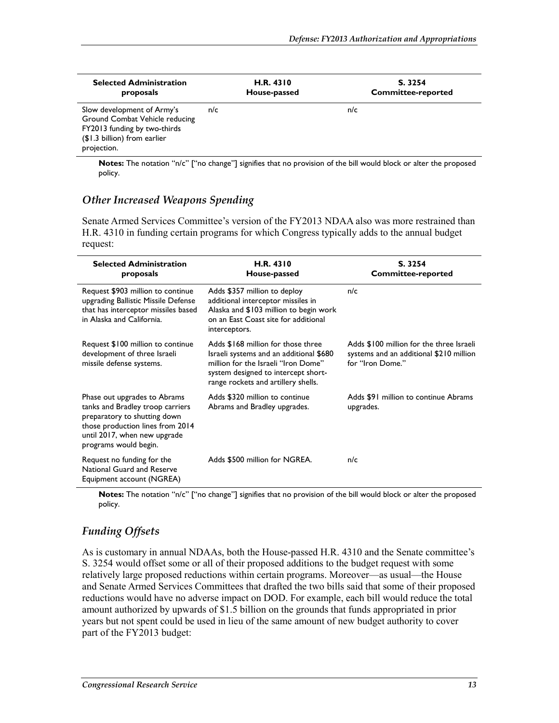| <b>Selected Administration</b><br>proposals                                                                                                 |     | <b>H.R. 4310</b><br>House-passed |     | S. 3254<br><b>Committee-reported</b> |
|---------------------------------------------------------------------------------------------------------------------------------------------|-----|----------------------------------|-----|--------------------------------------|
| Slow development of Army's<br>Ground Combat Vehicle reducing<br>FY2013 funding by two-thirds<br>(\$1.3 billion) from earlier<br>projection. | n/c |                                  | n/c |                                      |

**Notes:** The notation "n/c" ["no change"] signifies that no provision of the bill would block or alter the proposed policy.

#### *Other Increased Weapons Spending*

Senate Armed Services Committee's version of the FY2013 NDAA also was more restrained than H.R. 4310 in funding certain programs for which Congress typically adds to the annual budget request:

| <b>Selected Administration</b><br>proposals                                                                                                                                                   | H.R. 4310<br>House-passed                                                                                                                                                                          | S. 3254<br><b>Committee-reported</b>                                                                    |
|-----------------------------------------------------------------------------------------------------------------------------------------------------------------------------------------------|----------------------------------------------------------------------------------------------------------------------------------------------------------------------------------------------------|---------------------------------------------------------------------------------------------------------|
| Request \$903 million to continue<br>upgrading Ballistic Missile Defense<br>that has interceptor missiles based<br>in Alaska and California.                                                  | Adds \$357 million to deploy<br>additional interceptor missiles in<br>Alaska and \$103 million to begin work<br>on an East Coast site for additional<br>interceptors.                              | n/c                                                                                                     |
| Request \$100 million to continue<br>development of three Israeli<br>missile defense systems.                                                                                                 | Adds \$168 million for those three<br>Israeli systems and an additional \$680<br>million for the Israeli "Iron Dome"<br>system designed to intercept short-<br>range rockets and artillery shells. | Adds \$100 million for the three Israeli<br>systems and an additional \$210 million<br>for "Iron Dome." |
| Phase out upgrades to Abrams<br>tanks and Bradley troop carriers<br>preparatory to shutting down<br>those production lines from 2014<br>until 2017, when new upgrade<br>programs would begin. | Adds \$320 million to continue<br>Abrams and Bradley upgrades.                                                                                                                                     | Adds \$91 million to continue Abrams<br>upgrades.                                                       |
| Request no funding for the<br>National Guard and Reserve<br>Equipment account (NGREA)                                                                                                         | Adds \$500 million for NGREA.                                                                                                                                                                      | n/c                                                                                                     |

**Notes:** The notation "n/c" ["no change"] signifies that no provision of the bill would block or alter the proposed policy.

#### *Funding Offsets*

As is customary in annual NDAAs, both the House-passed H.R. 4310 and the Senate committee's S. 3254 would offset some or all of their proposed additions to the budget request with some relatively large proposed reductions within certain programs. Moreover—as usual—the House and Senate Armed Services Committees that drafted the two bills said that some of their proposed reductions would have no adverse impact on DOD. For example, each bill would reduce the total amount authorized by upwards of \$1.5 billion on the grounds that funds appropriated in prior years but not spent could be used in lieu of the same amount of new budget authority to cover part of the FY2013 budget: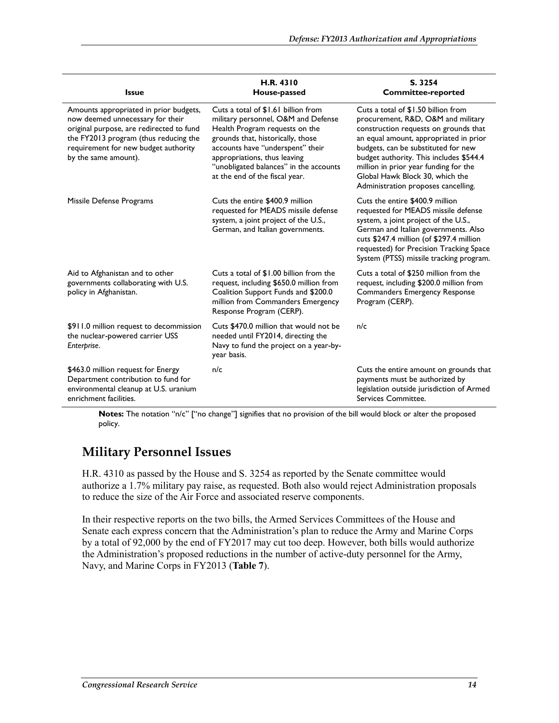| <b>Issue</b>                                                                                                                                                                                                                    | H.R. 4310<br>House-passed                                                                                                                                                                                                                                                                         | S. 3254<br><b>Committee-reported</b>                                                                                                                                                                                                                                                                                                                              |
|---------------------------------------------------------------------------------------------------------------------------------------------------------------------------------------------------------------------------------|---------------------------------------------------------------------------------------------------------------------------------------------------------------------------------------------------------------------------------------------------------------------------------------------------|-------------------------------------------------------------------------------------------------------------------------------------------------------------------------------------------------------------------------------------------------------------------------------------------------------------------------------------------------------------------|
| Amounts appropriated in prior budgets,<br>now deemed unnecessary for their<br>original purpose, are redirected to fund<br>the FY2013 program (thus reducing the<br>requirement for new budget authority<br>by the same amount). | Cuts a total of \$1.61 billion from<br>military personnel, O&M and Defense<br>Health Program requests on the<br>grounds that, historically, those<br>accounts have "underspent" their<br>appropriations, thus leaving<br>"unobligated balances" in the accounts<br>at the end of the fiscal year. | Cuts a total of \$1.50 billion from<br>procurement, R&D, O&M and military<br>construction requests on grounds that<br>an equal amount, appropriated in prior<br>budgets, can be substituted for new<br>budget authority. This includes \$544.4<br>million in prior year funding for the<br>Global Hawk Block 30, which the<br>Administration proposes cancelling. |
| Missile Defense Programs                                                                                                                                                                                                        | Cuts the entire \$400.9 million<br>requested for MEADS missile defense<br>system, a joint project of the U.S.,<br>German, and Italian governments.                                                                                                                                                | Cuts the entire \$400.9 million<br>requested for MEADS missile defense<br>system, a joint project of the U.S.,<br>German and Italian governments. Also<br>cuts \$247.4 million (of \$297.4 million<br>requested) for Precision Tracking Space<br>System (PTSS) missile tracking program.                                                                          |
| Aid to Afghanistan and to other<br>governments collaborating with U.S.<br>policy in Afghanistan.                                                                                                                                | Cuts a total of \$1.00 billion from the<br>request, including \$650.0 million from<br>Coalition Support Funds and \$200.0<br>million from Commanders Emergency<br>Response Program (CERP).                                                                                                        | Cuts a total of \$250 million from the<br>request, including \$200.0 million from<br>Commanders Emergency Response<br>Program (CERP).                                                                                                                                                                                                                             |
| \$911.0 million request to decommission<br>the nuclear-powered carrier USS<br>Enterprise.                                                                                                                                       | Cuts \$470.0 million that would not be<br>needed until FY2014, directing the<br>Navy to fund the project on a year-by-<br>year basis.                                                                                                                                                             | n/c                                                                                                                                                                                                                                                                                                                                                               |
| \$463.0 million request for Energy<br>Department contribution to fund for<br>environmental cleanup at U.S. uranium<br>enrichment facilities.                                                                                    | n/c                                                                                                                                                                                                                                                                                               | Cuts the entire amount on grounds that<br>payments must be authorized by<br>legislation outside jurisdiction of Armed<br>Services Committee.                                                                                                                                                                                                                      |

**Notes:** The notation "n/c" ["no change"] signifies that no provision of the bill would block or alter the proposed policy.

### **Military Personnel Issues**

H.R. 4310 as passed by the House and S. 3254 as reported by the Senate committee would authorize a 1.7% military pay raise, as requested. Both also would reject Administration proposals to reduce the size of the Air Force and associated reserve components.

In their respective reports on the two bills, the Armed Services Committees of the House and Senate each express concern that the Administration's plan to reduce the Army and Marine Corps by a total of 92,000 by the end of FY2017 may cut too deep. However, both bills would authorize the Administration's proposed reductions in the number of active-duty personnel for the Army, Navy, and Marine Corps in FY2013 (**Table 7**).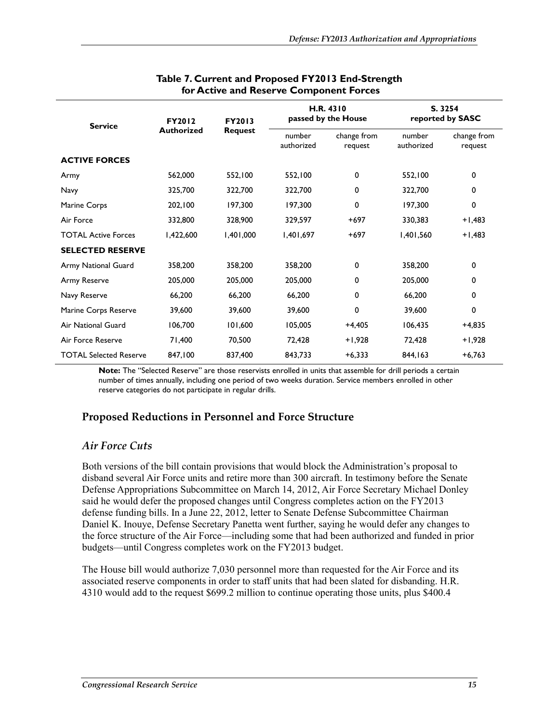| <b>Service</b>                | <b>FY2012</b><br><b>Authorized</b> | <b>FY2013</b><br><b>Request</b> | H.R. 4310<br>passed by the House |                        | S. 3254<br>reported by SASC |                        |
|-------------------------------|------------------------------------|---------------------------------|----------------------------------|------------------------|-----------------------------|------------------------|
|                               |                                    |                                 | number<br>authorized             | change from<br>request | number<br>authorized        | change from<br>request |
| <b>ACTIVE FORCES</b>          |                                    |                                 |                                  |                        |                             |                        |
| Army                          | 562,000                            | 552,100                         | 552,100                          | 0                      | 552,100                     | 0                      |
| Navy                          | 325,700                            | 322,700                         | 322,700                          | 0                      | 322,700                     | 0                      |
| Marine Corps                  | 202,100                            | 197,300                         | 197,300                          | 0                      | 197,300                     | 0                      |
| Air Force                     | 332,800                            | 328,900                         | 329,597                          | $+697$                 | 330,383                     | $+1,483$               |
| <b>TOTAL Active Forces</b>    | 1,422,600                          | 1,401,000                       | 1,401,697                        | $+697$                 | 1,401,560                   | +1,483                 |
| <b>SELECTED RESERVE</b>       |                                    |                                 |                                  |                        |                             |                        |
| Army National Guard           | 358,200                            | 358,200                         | 358,200                          | 0                      | 358,200                     | 0                      |
| Army Reserve                  | 205,000                            | 205,000                         | 205,000                          | 0                      | 205,000                     | 0                      |
| Navy Reserve                  | 66,200                             | 66,200                          | 66,200                           | 0                      | 66,200                      | 0                      |
| Marine Corps Reserve          | 39,600                             | 39,600                          | 39,600                           | 0                      | 39,600                      | 0                      |
| <b>Air National Guard</b>     | 106,700                            | 101,600                         | 105,005                          | $+4,405$               | 106,435                     | $+4,835$               |
| Air Force Reserve             | 71,400                             | 70,500                          | 72,428                           | $+1,928$               | 72,428                      | $+1,928$               |
| <b>TOTAL Selected Reserve</b> | 847,100                            | 837,400                         | 843,733                          | $+6,333$               | 844,163                     | $+6,763$               |

#### **Table 7. Current and Proposed FY2013 End-Strength for Active and Reserve Component Forces**

**Note:** The "Selected Reserve" are those reservists enrolled in units that assemble for drill periods a certain number of times annually, including one period of two weeks duration. Service members enrolled in other reserve categories do not participate in regular drills.

#### **Proposed Reductions in Personnel and Force Structure**

#### *Air Force Cuts*

Both versions of the bill contain provisions that would block the Administration's proposal to disband several Air Force units and retire more than 300 aircraft. In testimony before the Senate Defense Appropriations Subcommittee on March 14, 2012, Air Force Secretary Michael Donley said he would defer the proposed changes until Congress completes action on the FY2013 defense funding bills. In a June 22, 2012, letter to Senate Defense Subcommittee Chairman Daniel K. Inouye, Defense Secretary Panetta went further, saying he would defer any changes to the force structure of the Air Force—including some that had been authorized and funded in prior budgets—until Congress completes work on the FY2013 budget.

The House bill would authorize 7,030 personnel more than requested for the Air Force and its associated reserve components in order to staff units that had been slated for disbanding. H.R. 4310 would add to the request \$699.2 million to continue operating those units, plus \$400.4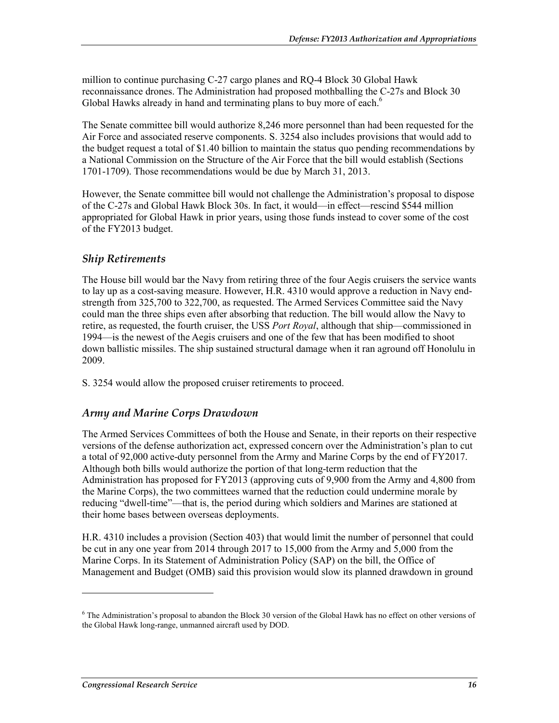million to continue purchasing C-27 cargo planes and RQ-4 Block 30 Global Hawk reconnaissance drones. The Administration had proposed mothballing the C-27s and Block 30 Global Hawks already in hand and terminating plans to buy more of each.<sup>6</sup>

The Senate committee bill would authorize 8,246 more personnel than had been requested for the Air Force and associated reserve components. S. 3254 also includes provisions that would add to the budget request a total of \$1.40 billion to maintain the status quo pending recommendations by a National Commission on the Structure of the Air Force that the bill would establish (Sections 1701-1709). Those recommendations would be due by March 31, 2013.

However, the Senate committee bill would not challenge the Administration's proposal to dispose of the C-27s and Global Hawk Block 30s. In fact, it would—in effect—rescind \$544 million appropriated for Global Hawk in prior years, using those funds instead to cover some of the cost of the FY2013 budget.

#### *Ship Retirements*

The House bill would bar the Navy from retiring three of the four Aegis cruisers the service wants to lay up as a cost-saving measure. However, H.R. 4310 would approve a reduction in Navy endstrength from 325,700 to 322,700, as requested. The Armed Services Committee said the Navy could man the three ships even after absorbing that reduction. The bill would allow the Navy to retire, as requested, the fourth cruiser, the USS *Port Royal*, although that ship—commissioned in 1994—is the newest of the Aegis cruisers and one of the few that has been modified to shoot down ballistic missiles. The ship sustained structural damage when it ran aground off Honolulu in 2009.

S. 3254 would allow the proposed cruiser retirements to proceed.

#### *Army and Marine Corps Drawdown*

The Armed Services Committees of both the House and Senate, in their reports on their respective versions of the defense authorization act, expressed concern over the Administration's plan to cut a total of 92,000 active-duty personnel from the Army and Marine Corps by the end of FY2017. Although both bills would authorize the portion of that long-term reduction that the Administration has proposed for FY2013 (approving cuts of 9,900 from the Army and 4,800 from the Marine Corps), the two committees warned that the reduction could undermine morale by reducing "dwell-time"—that is, the period during which soldiers and Marines are stationed at their home bases between overseas deployments.

H.R. 4310 includes a provision (Section 403) that would limit the number of personnel that could be cut in any one year from 2014 through 2017 to 15,000 from the Army and 5,000 from the Marine Corps. In its Statement of Administration Policy (SAP) on the bill, the Office of Management and Budget (OMB) said this provision would slow its planned drawdown in ground

1

<sup>&</sup>lt;sup>6</sup> The Administration's proposal to abandon the Block 30 version of the Global Hawk has no effect on other versions of the Global Hawk long-range, unmanned aircraft used by DOD.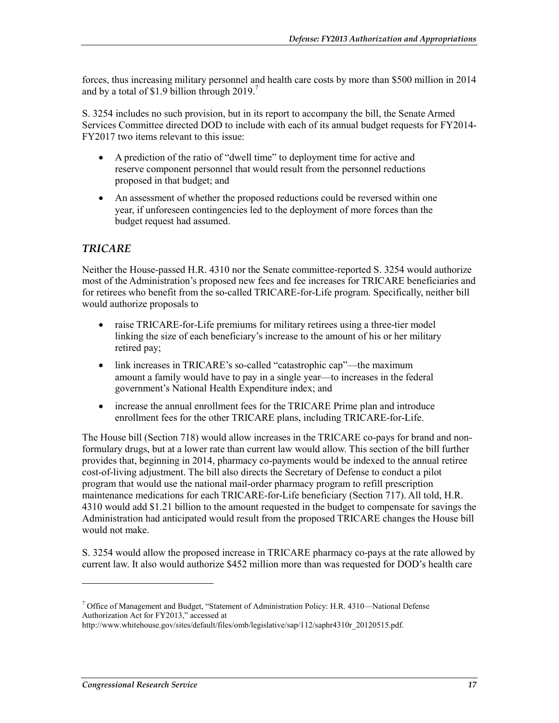forces, thus increasing military personnel and health care costs by more than \$500 million in 2014 and by a total of \$1.9 billion through 2019.<sup>7</sup>

S. 3254 includes no such provision, but in its report to accompany the bill, the Senate Armed Services Committee directed DOD to include with each of its annual budget requests for FY2014- FY2017 two items relevant to this issue:

- A prediction of the ratio of "dwell time" to deployment time for active and reserve component personnel that would result from the personnel reductions proposed in that budget; and
- An assessment of whether the proposed reductions could be reversed within one year, if unforeseen contingencies led to the deployment of more forces than the budget request had assumed.

#### *TRICARE*

Neither the House-passed H.R. 4310 nor the Senate committee-reported S. 3254 would authorize most of the Administration's proposed new fees and fee increases for TRICARE beneficiaries and for retirees who benefit from the so-called TRICARE-for-Life program. Specifically, neither bill would authorize proposals to

- raise TRICARE-for-Life premiums for military retirees using a three-tier model linking the size of each beneficiary's increase to the amount of his or her military retired pay;
- link increases in TRICARE's so-called "catastrophic cap"—the maximum amount a family would have to pay in a single year—to increases in the federal government's National Health Expenditure index; and
- increase the annual enrollment fees for the TRICARE Prime plan and introduce enrollment fees for the other TRICARE plans, including TRICARE-for-Life.

The House bill (Section 718) would allow increases in the TRICARE co-pays for brand and nonformulary drugs, but at a lower rate than current law would allow. This section of the bill further provides that, beginning in 2014, pharmacy co-payments would be indexed to the annual retiree cost-of-living adjustment. The bill also directs the Secretary of Defense to conduct a pilot program that would use the national mail-order pharmacy program to refill prescription maintenance medications for each TRICARE-for-Life beneficiary (Section 717). All told, H.R. 4310 would add \$1.21 billion to the amount requested in the budget to compensate for savings the Administration had anticipated would result from the proposed TRICARE changes the House bill would not make.

S. 3254 would allow the proposed increase in TRICARE pharmacy co-pays at the rate allowed by current law. It also would authorize \$452 million more than was requested for DOD's health care

<u>.</u>

<sup>&</sup>lt;sup>7</sup> Office of Management and Budget, "Statement of Administration Policy: H.R. 4310—National Defense Authorization Act for FY2013," accessed at

http://www.whitehouse.gov/sites/default/files/omb/legislative/sap/112/saphr4310r\_20120515.pdf.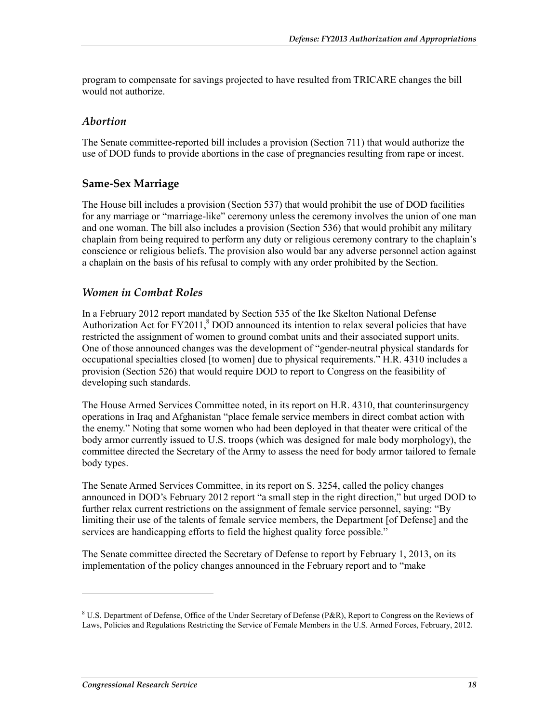program to compensate for savings projected to have resulted from TRICARE changes the bill would not authorize.

#### *Abortion*

The Senate committee-reported bill includes a provision (Section 711) that would authorize the use of DOD funds to provide abortions in the case of pregnancies resulting from rape or incest.

#### **Same-Sex Marriage**

The House bill includes a provision (Section 537) that would prohibit the use of DOD facilities for any marriage or "marriage-like" ceremony unless the ceremony involves the union of one man and one woman. The bill also includes a provision (Section 536) that would prohibit any military chaplain from being required to perform any duty or religious ceremony contrary to the chaplain's conscience or religious beliefs. The provision also would bar any adverse personnel action against a chaplain on the basis of his refusal to comply with any order prohibited by the Section.

#### *Women in Combat Roles*

In a February 2012 report mandated by Section 535 of the Ike Skelton National Defense Authorization Act for  $FY2011$ ,  $8$  DOD announced its intention to relax several policies that have restricted the assignment of women to ground combat units and their associated support units. One of those announced changes was the development of "gender-neutral physical standards for occupational specialties closed [to women] due to physical requirements." H.R. 4310 includes a provision (Section 526) that would require DOD to report to Congress on the feasibility of developing such standards.

The House Armed Services Committee noted, in its report on H.R. 4310, that counterinsurgency operations in Iraq and Afghanistan "place female service members in direct combat action with the enemy." Noting that some women who had been deployed in that theater were critical of the body armor currently issued to U.S. troops (which was designed for male body morphology), the committee directed the Secretary of the Army to assess the need for body armor tailored to female body types.

The Senate Armed Services Committee, in its report on S. 3254, called the policy changes announced in DOD's February 2012 report "a small step in the right direction," but urged DOD to further relax current restrictions on the assignment of female service personnel, saying: "By limiting their use of the talents of female service members, the Department [of Defense] and the services are handicapping efforts to field the highest quality force possible."

The Senate committee directed the Secretary of Defense to report by February 1, 2013, on its implementation of the policy changes announced in the February report and to "make

1

<sup>&</sup>lt;sup>8</sup> U.S. Department of Defense, Office of the Under Secretary of Defense (P&R), Report to Congress on the Reviews of Laws, Policies and Regulations Restricting the Service of Female Members in the U.S. Armed Forces, February, 2012.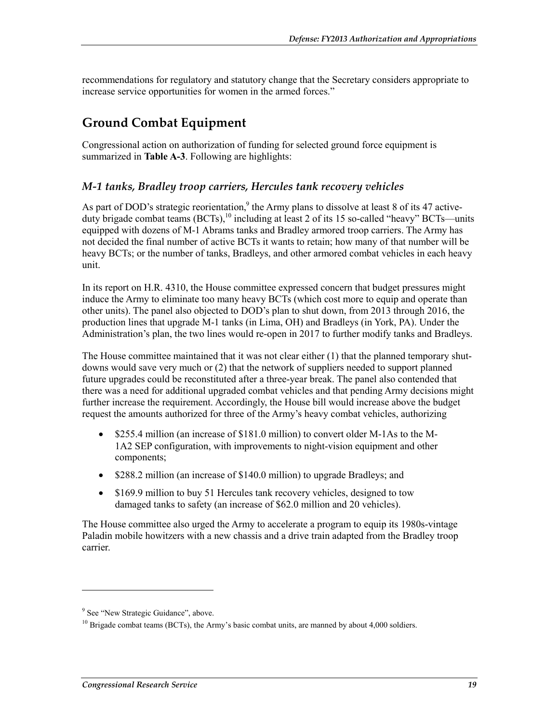recommendations for regulatory and statutory change that the Secretary considers appropriate to increase service opportunities for women in the armed forces."

### **Ground Combat Equipment**

Congressional action on authorization of funding for selected ground force equipment is summarized in **Table A-3**. Following are highlights:

#### *M-1 tanks, Bradley troop carriers, Hercules tank recovery vehicles*

As part of DOD's strategic reorientation,<sup>9</sup> the Army plans to dissolve at least 8 of its 47 activeduty brigade combat teams  $(BCTs)$ ,<sup>10</sup> including at least 2 of its 15 so-called "heavy" BCTs—units equipped with dozens of M-1 Abrams tanks and Bradley armored troop carriers. The Army has not decided the final number of active BCTs it wants to retain; how many of that number will be heavy BCTs; or the number of tanks, Bradleys, and other armored combat vehicles in each heavy unit.

In its report on H.R. 4310, the House committee expressed concern that budget pressures might induce the Army to eliminate too many heavy BCTs (which cost more to equip and operate than other units). The panel also objected to DOD's plan to shut down, from 2013 through 2016, the production lines that upgrade M-1 tanks (in Lima, OH) and Bradleys (in York, PA). Under the Administration's plan, the two lines would re-open in 2017 to further modify tanks and Bradleys.

The House committee maintained that it was not clear either (1) that the planned temporary shutdowns would save very much or (2) that the network of suppliers needed to support planned future upgrades could be reconstituted after a three-year break. The panel also contended that there was a need for additional upgraded combat vehicles and that pending Army decisions might further increase the requirement. Accordingly, the House bill would increase above the budget request the amounts authorized for three of the Army's heavy combat vehicles, authorizing

- \$255.4 million (an increase of \$181.0 million) to convert older M-1As to the M-1A2 SEP configuration, with improvements to night-vision equipment and other components;
- \$288.2 million (an increase of \$140.0 million) to upgrade Bradleys; and
- \$169.9 million to buy 51 Hercules tank recovery vehicles, designed to tow damaged tanks to safety (an increase of \$62.0 million and 20 vehicles).

The House committee also urged the Army to accelerate a program to equip its 1980s-vintage Paladin mobile howitzers with a new chassis and a drive train adapted from the Bradley troop carrier.

1

<sup>&</sup>lt;sup>9</sup> See "New Strategic Guidance", above.

 $10$  Brigade combat teams (BCTs), the Army's basic combat units, are manned by about 4,000 soldiers.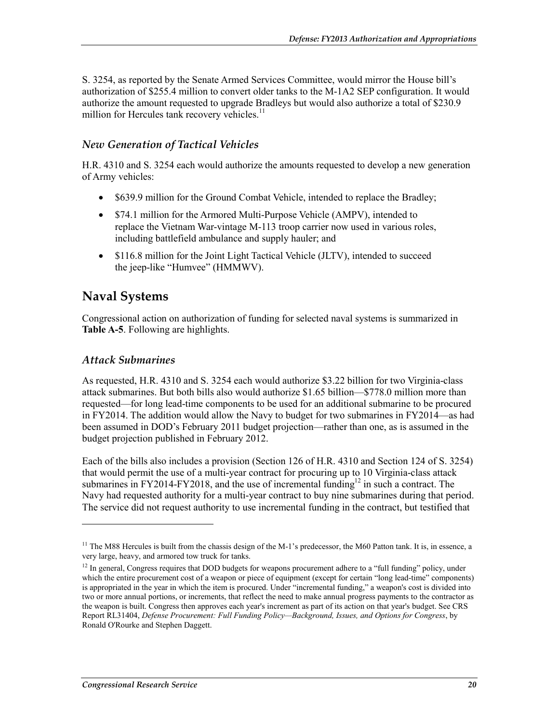S. 3254, as reported by the Senate Armed Services Committee, would mirror the House bill's authorization of \$255.4 million to convert older tanks to the M-1A2 SEP configuration. It would authorize the amount requested to upgrade Bradleys but would also authorize a total of \$230.9 million for Hercules tank recovery vehicles.<sup>11</sup>

#### *New Generation of Tactical Vehicles*

H.R. 4310 and S. 3254 each would authorize the amounts requested to develop a new generation of Army vehicles:

- \$639.9 million for the Ground Combat Vehicle, intended to replace the Bradley;
- \$74.1 million for the Armored Multi-Purpose Vehicle (AMPV), intended to replace the Vietnam War-vintage M-113 troop carrier now used in various roles, including battlefield ambulance and supply hauler; and
- \$116.8 million for the Joint Light Tactical Vehicle (JLTV), intended to succeed the jeep-like "Humvee" (HMMWV).

### **Naval Systems**

Congressional action on authorization of funding for selected naval systems is summarized in **Table A-5**. Following are highlights.

#### *Attack Submarines*

1

As requested, H.R. 4310 and S. 3254 each would authorize \$3.22 billion for two Virginia-class attack submarines. But both bills also would authorize \$1.65 billion—\$778.0 million more than requested—for long lead-time components to be used for an additional submarine to be procured in FY2014. The addition would allow the Navy to budget for two submarines in FY2014—as had been assumed in DOD's February 2011 budget projection—rather than one, as is assumed in the budget projection published in February 2012.

Each of the bills also includes a provision (Section 126 of H.R. 4310 and Section 124 of S. 3254) that would permit the use of a multi-year contract for procuring up to 10 Virginia-class attack submarines in FY2014-FY2018, and the use of incremental funding<sup>12</sup> in such a contract. The Navy had requested authority for a multi-year contract to buy nine submarines during that period. The service did not request authority to use incremental funding in the contract, but testified that

<sup>&</sup>lt;sup>11</sup> The M88 Hercules is built from the chassis design of the M-1's predecessor, the M60 Patton tank. It is, in essence, a very large, heavy, and armored tow truck for tanks.

<sup>&</sup>lt;sup>12</sup> In general, Congress requires that DOD budgets for weapons procurement adhere to a "full funding" policy, under which the entire procurement cost of a weapon or piece of equipment (except for certain "long lead-time" components) is appropriated in the year in which the item is procured. Under "incremental funding," a weapon's cost is divided into two or more annual portions, or increments, that reflect the need to make annual progress payments to the contractor as the weapon is built. Congress then approves each year's increment as part of its action on that year's budget. See CRS Report RL31404, *Defense Procurement: Full Funding Policy—Background, Issues, and Options for Congress*, by Ronald O'Rourke and Stephen Daggett.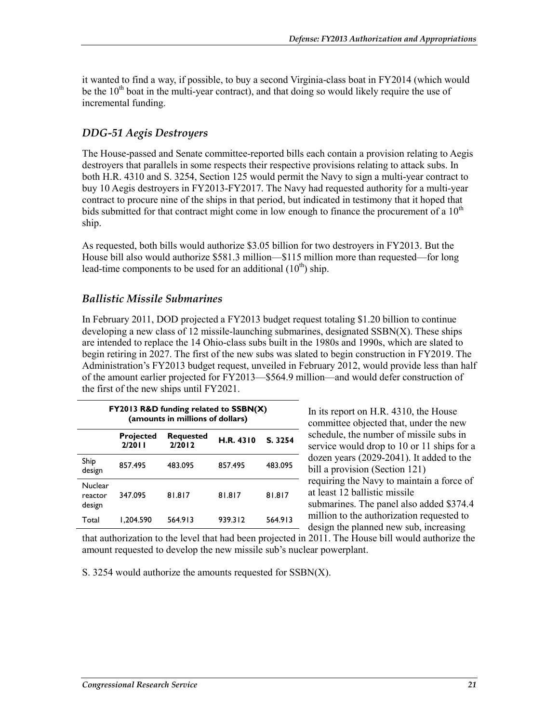it wanted to find a way, if possible, to buy a second Virginia-class boat in FY2014 (which would be the  $10<sup>th</sup>$  boat in the multi-year contract), and that doing so would likely require the use of incremental funding.

#### *DDG-51 Aegis Destroyers*

The House-passed and Senate committee-reported bills each contain a provision relating to Aegis destroyers that parallels in some respects their respective provisions relating to attack subs. In both H.R. 4310 and S. 3254, Section 125 would permit the Navy to sign a multi-year contract to buy 10 Aegis destroyers in FY2013-FY2017. The Navy had requested authority for a multi-year contract to procure nine of the ships in that period, but indicated in testimony that it hoped that bids submitted for that contract might come in low enough to finance the procurement of a  $10<sup>th</sup>$ ship.

As requested, both bills would authorize \$3.05 billion for two destroyers in FY2013. But the House bill also would authorize \$581.3 million—\$115 million more than requested—for long lead-time components to be used for an additional  $(10<sup>th</sup>)$  ship.

#### *Ballistic Missile Submarines*

In February 2011, DOD projected a FY2013 budget request totaling \$1.20 billion to continue developing a new class of 12 missile-launching submarines, designated SSBN(X). These ships are intended to replace the 14 Ohio-class subs built in the 1980s and 1990s, which are slated to begin retiring in 2027. The first of the new subs was slated to begin construction in FY2019. The Administration's FY2013 budget request, unveiled in February 2012, would provide less than half of the amount earlier projected for FY2013—\$564.9 million—and would defer construction of the first of the new ships until FY2021.

| FY2013 R&D funding related to SSBN(X)<br>(amounts in millions of dollars) |                     |                            |                  |         |  |
|---------------------------------------------------------------------------|---------------------|----------------------------|------------------|---------|--|
|                                                                           | Projected<br>2/2011 | <b>Requested</b><br>2/2012 | <b>H.R. 4310</b> | S. 3254 |  |
| Ship<br>design                                                            | 857.495             | 483.095                    | 857.495          | 483.095 |  |
| Nuclear<br>reactor<br>design                                              | 347.095             | 81.817                     | 81.817           | 81.817  |  |
| Total                                                                     | 1.204.590           | 564.913                    | 939.312          | 564.913 |  |

In its report on H.R. 4310, the House committee objected that, under the new schedule, the number of missile subs in service would drop to 10 or 11 ships for a dozen years (2029-2041). It added to the bill a provision (Section 121) requiring the Navy to maintain a force of at least 12 ballistic missile submarines. The panel also added \$374.4 million to the authorization requested to design the planned new sub, increasing

that authorization to the level that had been projected in 2011. The House bill would authorize the amount requested to develop the new missile sub's nuclear powerplant.

S. 3254 would authorize the amounts requested for SSBN(X).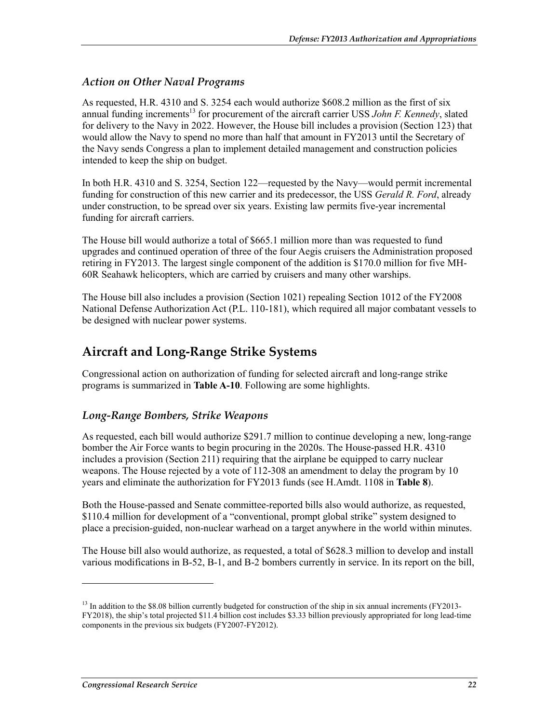#### *Action on Other Naval Programs*

As requested, H.R. 4310 and S. 3254 each would authorize \$608.2 million as the first of six annual funding increments<sup>13</sup> for procurement of the aircraft carrier USS *John F. Kennedy*, slated for delivery to the Navy in 2022. However, the House bill includes a provision (Section 123) that would allow the Navy to spend no more than half that amount in FY2013 until the Secretary of the Navy sends Congress a plan to implement detailed management and construction policies intended to keep the ship on budget.

In both H.R. 4310 and S. 3254, Section 122—requested by the Navy—would permit incremental funding for construction of this new carrier and its predecessor, the USS *Gerald R. Ford*, already under construction, to be spread over six years. Existing law permits five-year incremental funding for aircraft carriers.

The House bill would authorize a total of \$665.1 million more than was requested to fund upgrades and continued operation of three of the four Aegis cruisers the Administration proposed retiring in FY2013. The largest single component of the addition is \$170.0 million for five MH-60R Seahawk helicopters, which are carried by cruisers and many other warships.

The House bill also includes a provision (Section 1021) repealing Section 1012 of the FY2008 National Defense Authorization Act (P.L. 110-181), which required all major combatant vessels to be designed with nuclear power systems.

### **Aircraft and Long-Range Strike Systems**

Congressional action on authorization of funding for selected aircraft and long-range strike programs is summarized in **Table A-10**. Following are some highlights.

#### *Long-Range Bombers, Strike Weapons*

As requested, each bill would authorize \$291.7 million to continue developing a new, long-range bomber the Air Force wants to begin procuring in the 2020s. The House-passed H.R. 4310 includes a provision (Section 211) requiring that the airplane be equipped to carry nuclear weapons. The House rejected by a vote of 112-308 an amendment to delay the program by 10 years and eliminate the authorization for FY2013 funds (see H.Amdt. 1108 in **Table 8**).

Both the House-passed and Senate committee-reported bills also would authorize, as requested, \$110.4 million for development of a "conventional, prompt global strike" system designed to place a precision-guided, non-nuclear warhead on a target anywhere in the world within minutes.

The House bill also would authorize, as requested, a total of \$628.3 million to develop and install various modifications in B-52, B-1, and B-2 bombers currently in service. In its report on the bill,

<u>.</u>

 $13$  In addition to the \$8.08 billion currently budgeted for construction of the ship in six annual increments (FY2013-FY2018), the ship's total projected \$11.4 billion cost includes \$3.33 billion previously appropriated for long lead-time components in the previous six budgets (FY2007-FY2012).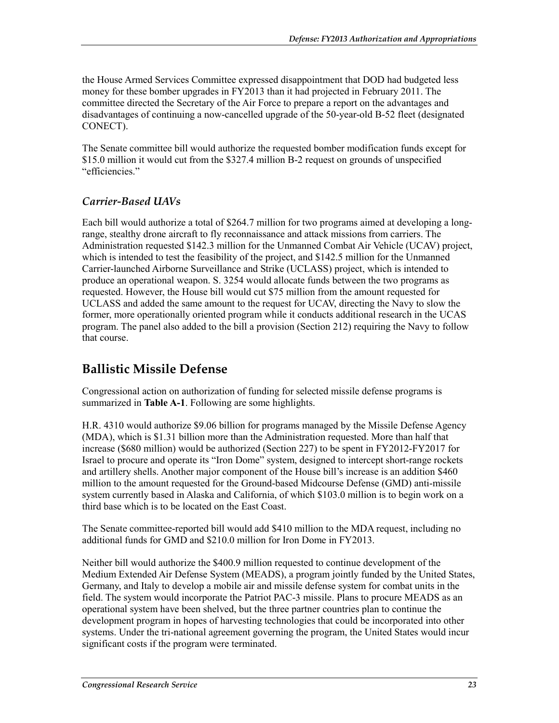the House Armed Services Committee expressed disappointment that DOD had budgeted less money for these bomber upgrades in FY2013 than it had projected in February 2011. The committee directed the Secretary of the Air Force to prepare a report on the advantages and disadvantages of continuing a now-cancelled upgrade of the 50-year-old B-52 fleet (designated CONECT).

The Senate committee bill would authorize the requested bomber modification funds except for \$15.0 million it would cut from the \$327.4 million B-2 request on grounds of unspecified "efficiencies."

#### *Carrier-Based UAVs*

Each bill would authorize a total of \$264.7 million for two programs aimed at developing a longrange, stealthy drone aircraft to fly reconnaissance and attack missions from carriers. The Administration requested \$142.3 million for the Unmanned Combat Air Vehicle (UCAV) project, which is intended to test the feasibility of the project, and \$142.5 million for the Unmanned Carrier-launched Airborne Surveillance and Strike (UCLASS) project, which is intended to produce an operational weapon. S. 3254 would allocate funds between the two programs as requested. However, the House bill would cut \$75 million from the amount requested for UCLASS and added the same amount to the request for UCAV, directing the Navy to slow the former, more operationally oriented program while it conducts additional research in the UCAS program. The panel also added to the bill a provision (Section 212) requiring the Navy to follow that course.

### **Ballistic Missile Defense**

Congressional action on authorization of funding for selected missile defense programs is summarized in **Table A-1**. Following are some highlights.

H.R. 4310 would authorize \$9.06 billion for programs managed by the Missile Defense Agency (MDA), which is \$1.31 billion more than the Administration requested. More than half that increase (\$680 million) would be authorized (Section 227) to be spent in FY2012-FY2017 for Israel to procure and operate its "Iron Dome" system, designed to intercept short-range rockets and artillery shells. Another major component of the House bill's increase is an addition \$460 million to the amount requested for the Ground-based Midcourse Defense (GMD) anti-missile system currently based in Alaska and California, of which \$103.0 million is to begin work on a third base which is to be located on the East Coast.

The Senate committee-reported bill would add \$410 million to the MDA request, including no additional funds for GMD and \$210.0 million for Iron Dome in FY2013.

Neither bill would authorize the \$400.9 million requested to continue development of the Medium Extended Air Defense System (MEADS), a program jointly funded by the United States, Germany, and Italy to develop a mobile air and missile defense system for combat units in the field. The system would incorporate the Patriot PAC-3 missile. Plans to procure MEADS as an operational system have been shelved, but the three partner countries plan to continue the development program in hopes of harvesting technologies that could be incorporated into other systems. Under the tri-national agreement governing the program, the United States would incur significant costs if the program were terminated.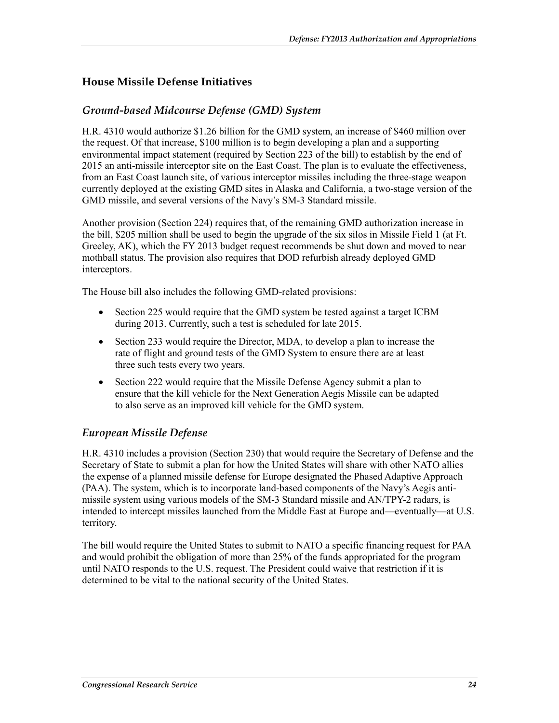#### **House Missile Defense Initiatives**

#### *Ground-based Midcourse Defense (GMD) System*

H.R. 4310 would authorize \$1.26 billion for the GMD system, an increase of \$460 million over the request. Of that increase, \$100 million is to begin developing a plan and a supporting environmental impact statement (required by Section 223 of the bill) to establish by the end of 2015 an anti-missile interceptor site on the East Coast. The plan is to evaluate the effectiveness, from an East Coast launch site, of various interceptor missiles including the three-stage weapon currently deployed at the existing GMD sites in Alaska and California, a two-stage version of the GMD missile, and several versions of the Navy's SM-3 Standard missile.

Another provision (Section 224) requires that, of the remaining GMD authorization increase in the bill, \$205 million shall be used to begin the upgrade of the six silos in Missile Field 1 (at Ft. Greeley, AK), which the FY 2013 budget request recommends be shut down and moved to near mothball status. The provision also requires that DOD refurbish already deployed GMD interceptors.

The House bill also includes the following GMD-related provisions:

- Section 225 would require that the GMD system be tested against a target ICBM during 2013. Currently, such a test is scheduled for late 2015.
- Section 233 would require the Director, MDA, to develop a plan to increase the rate of flight and ground tests of the GMD System to ensure there are at least three such tests every two years.
- Section 222 would require that the Missile Defense Agency submit a plan to ensure that the kill vehicle for the Next Generation Aegis Missile can be adapted to also serve as an improved kill vehicle for the GMD system.

#### *European Missile Defense*

H.R. 4310 includes a provision (Section 230) that would require the Secretary of Defense and the Secretary of State to submit a plan for how the United States will share with other NATO allies the expense of a planned missile defense for Europe designated the Phased Adaptive Approach (PAA). The system, which is to incorporate land-based components of the Navy's Aegis antimissile system using various models of the SM-3 Standard missile and AN/TPY-2 radars, is intended to intercept missiles launched from the Middle East at Europe and—eventually—at U.S. territory.

The bill would require the United States to submit to NATO a specific financing request for PAA and would prohibit the obligation of more than 25% of the funds appropriated for the program until NATO responds to the U.S. request. The President could waive that restriction if it is determined to be vital to the national security of the United States.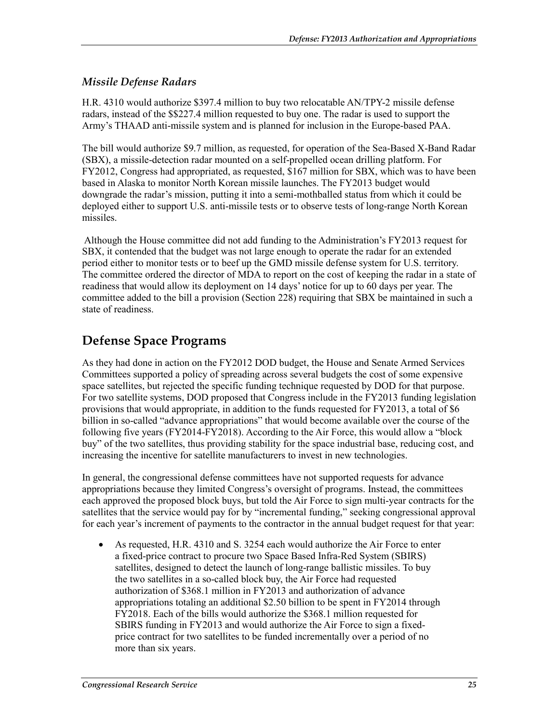#### *Missile Defense Radars*

H.R. 4310 would authorize \$397.4 million to buy two relocatable AN/TPY-2 missile defense radars, instead of the \$\$227.4 million requested to buy one. The radar is used to support the Army's THAAD anti-missile system and is planned for inclusion in the Europe-based PAA.

The bill would authorize \$9.7 million, as requested, for operation of the Sea-Based X-Band Radar (SBX), a missile-detection radar mounted on a self-propelled ocean drilling platform. For FY2012, Congress had appropriated, as requested, \$167 million for SBX, which was to have been based in Alaska to monitor North Korean missile launches. The FY2013 budget would downgrade the radar's mission, putting it into a semi-mothballed status from which it could be deployed either to support U.S. anti-missile tests or to observe tests of long-range North Korean missiles.

 Although the House committee did not add funding to the Administration's FY2013 request for SBX, it contended that the budget was not large enough to operate the radar for an extended period either to monitor tests or to beef up the GMD missile defense system for U.S. territory. The committee ordered the director of MDA to report on the cost of keeping the radar in a state of readiness that would allow its deployment on 14 days' notice for up to 60 days per year. The committee added to the bill a provision (Section 228) requiring that SBX be maintained in such a state of readiness.

### **Defense Space Programs**

As they had done in action on the FY2012 DOD budget, the House and Senate Armed Services Committees supported a policy of spreading across several budgets the cost of some expensive space satellites, but rejected the specific funding technique requested by DOD for that purpose. For two satellite systems, DOD proposed that Congress include in the FY2013 funding legislation provisions that would appropriate, in addition to the funds requested for FY2013, a total of \$6 billion in so-called "advance appropriations" that would become available over the course of the following five years (FY2014-FY2018). According to the Air Force, this would allow a "block buy" of the two satellites, thus providing stability for the space industrial base, reducing cost, and increasing the incentive for satellite manufacturers to invest in new technologies.

In general, the congressional defense committees have not supported requests for advance appropriations because they limited Congress's oversight of programs. Instead, the committees each approved the proposed block buys, but told the Air Force to sign multi-year contracts for the satellites that the service would pay for by "incremental funding," seeking congressional approval for each year's increment of payments to the contractor in the annual budget request for that year:

• As requested, H.R. 4310 and S. 3254 each would authorize the Air Force to enter a fixed-price contract to procure two Space Based Infra-Red System (SBIRS) satellites, designed to detect the launch of long-range ballistic missiles. To buy the two satellites in a so-called block buy, the Air Force had requested authorization of \$368.1 million in FY2013 and authorization of advance appropriations totaling an additional \$2.50 billion to be spent in FY2014 through FY2018. Each of the bills would authorize the \$368.1 million requested for SBIRS funding in FY2013 and would authorize the Air Force to sign a fixedprice contract for two satellites to be funded incrementally over a period of no more than six years.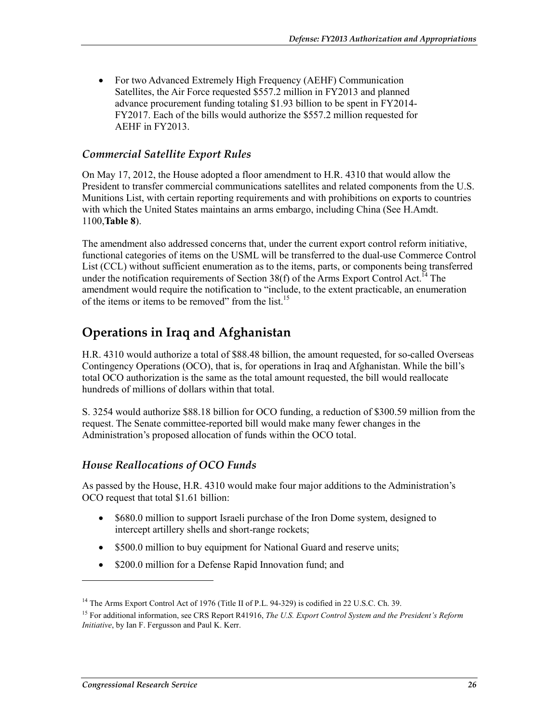• For two Advanced Extremely High Frequency (AEHF) Communication Satellites, the Air Force requested \$557.2 million in FY2013 and planned advance procurement funding totaling \$1.93 billion to be spent in FY2014- FY2017. Each of the bills would authorize the \$557.2 million requested for AEHF in FY2013.

#### *Commercial Satellite Export Rules*

On May 17, 2012, the House adopted a floor amendment to H.R. 4310 that would allow the President to transfer commercial communications satellites and related components from the U.S. Munitions List, with certain reporting requirements and with prohibitions on exports to countries with which the United States maintains an arms embargo, including China (See H.Amdt. 1100,**Table 8**).

The amendment also addressed concerns that, under the current export control reform initiative, functional categories of items on the USML will be transferred to the dual-use Commerce Control List (CCL) without sufficient enumeration as to the items, parts, or components being transferred under the notification requirements of Section 38(f) of the Arms Export Control Act.<sup>14</sup> The amendment would require the notification to "include, to the extent practicable, an enumeration of the items or items to be removed" from the list.<sup>15</sup>

### **Operations in Iraq and Afghanistan**

H.R. 4310 would authorize a total of \$88.48 billion, the amount requested, for so-called Overseas Contingency Operations (OCO), that is, for operations in Iraq and Afghanistan. While the bill's total OCO authorization is the same as the total amount requested, the bill would reallocate hundreds of millions of dollars within that total.

S. 3254 would authorize \$88.18 billion for OCO funding, a reduction of \$300.59 million from the request. The Senate committee-reported bill would make many fewer changes in the Administration's proposed allocation of funds within the OCO total.

#### *House Reallocations of OCO Funds*

As passed by the House, H.R. 4310 would make four major additions to the Administration's OCO request that total \$1.61 billion:

- \$680.0 million to support Israeli purchase of the Iron Dome system, designed to intercept artillery shells and short-range rockets;
- \$500.0 million to buy equipment for National Guard and reserve units;
- \$200.0 million for a Defense Rapid Innovation fund; and

<u>.</u>

<sup>&</sup>lt;sup>14</sup> The Arms Export Control Act of 1976 (Title II of P.L. 94-329) is codified in 22 U.S.C. Ch. 39.

<sup>&</sup>lt;sup>15</sup> For additional information, see CRS Report R41916, *The U.S. Export Control System and the President's Reform Initiative*, by Ian F. Fergusson and Paul K. Kerr.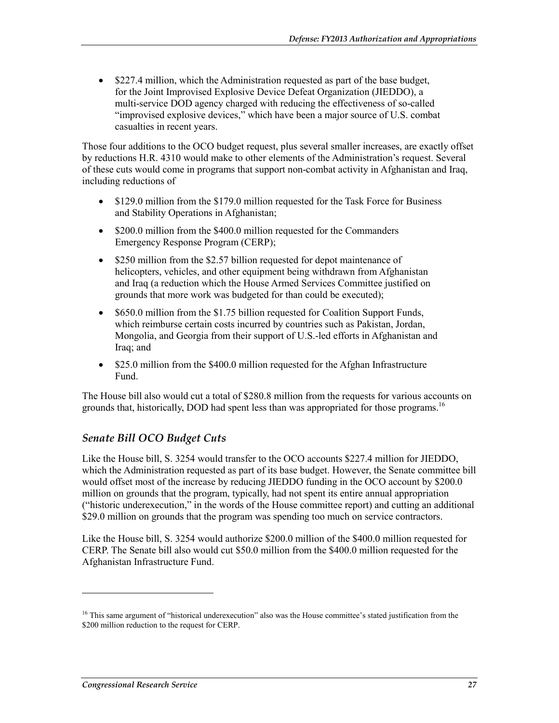• \$227.4 million, which the Administration requested as part of the base budget, for the Joint Improvised Explosive Device Defeat Organization (JIEDDO), a multi-service DOD agency charged with reducing the effectiveness of so-called "improvised explosive devices," which have been a major source of U.S. combat casualties in recent years.

Those four additions to the OCO budget request, plus several smaller increases, are exactly offset by reductions H.R. 4310 would make to other elements of the Administration's request. Several of these cuts would come in programs that support non-combat activity in Afghanistan and Iraq, including reductions of

- \$129.0 million from the \$179.0 million requested for the Task Force for Business and Stability Operations in Afghanistan;
- \$200.0 million from the \$400.0 million requested for the Commanders Emergency Response Program (CERP);
- \$250 million from the \$2.57 billion requested for depot maintenance of helicopters, vehicles, and other equipment being withdrawn from Afghanistan and Iraq (a reduction which the House Armed Services Committee justified on grounds that more work was budgeted for than could be executed);
- \$650.0 million from the \$1.75 billion requested for Coalition Support Funds, which reimburse certain costs incurred by countries such as Pakistan, Jordan, Mongolia, and Georgia from their support of U.S.-led efforts in Afghanistan and Iraq; and
- \$25.0 million from the \$400.0 million requested for the Afghan Infrastructure Fund.

The House bill also would cut a total of \$280.8 million from the requests for various accounts on grounds that, historically, DOD had spent less than was appropriated for those programs.<sup>16</sup>

#### *Senate Bill OCO Budget Cuts*

Like the House bill, S. 3254 would transfer to the OCO accounts \$227.4 million for JIEDDO, which the Administration requested as part of its base budget. However, the Senate committee bill would offset most of the increase by reducing JIEDDO funding in the OCO account by \$200.0 million on grounds that the program, typically, had not spent its entire annual appropriation ("historic underexecution," in the words of the House committee report) and cutting an additional \$29.0 million on grounds that the program was spending too much on service contractors.

Like the House bill, S. 3254 would authorize \$200.0 million of the \$400.0 million requested for CERP. The Senate bill also would cut \$50.0 million from the \$400.0 million requested for the Afghanistan Infrastructure Fund.

1

<sup>&</sup>lt;sup>16</sup> This same argument of "historical underexecution" also was the House committee's stated justification from the \$200 million reduction to the request for CERP.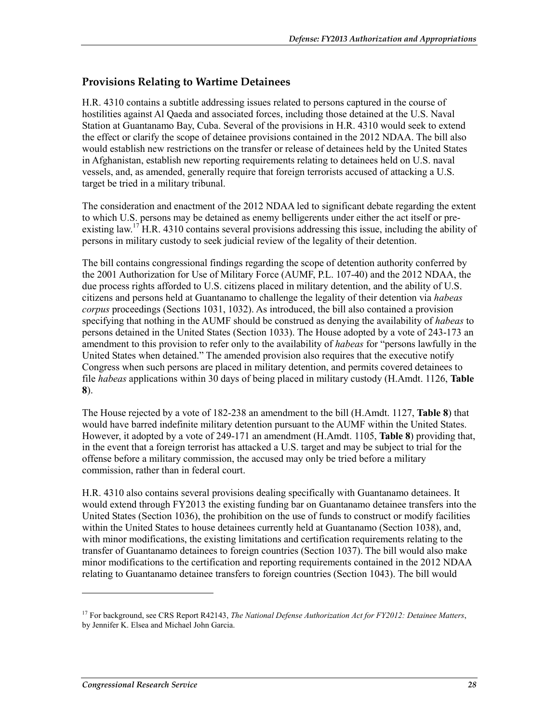#### **Provisions Relating to Wartime Detainees**

H.R. 4310 contains a subtitle addressing issues related to persons captured in the course of hostilities against Al Qaeda and associated forces, including those detained at the U.S. Naval Station at Guantanamo Bay, Cuba. Several of the provisions in H.R. 4310 would seek to extend the effect or clarify the scope of detainee provisions contained in the 2012 NDAA. The bill also would establish new restrictions on the transfer or release of detainees held by the United States in Afghanistan, establish new reporting requirements relating to detainees held on U.S. naval vessels, and, as amended, generally require that foreign terrorists accused of attacking a U.S. target be tried in a military tribunal.

The consideration and enactment of the 2012 NDAA led to significant debate regarding the extent to which U.S. persons may be detained as enemy belligerents under either the act itself or preexisting law.<sup>17</sup> H.R. 4310 contains several provisions addressing this issue, including the ability of persons in military custody to seek judicial review of the legality of their detention.

The bill contains congressional findings regarding the scope of detention authority conferred by the 2001 Authorization for Use of Military Force (AUMF, P.L. 107-40) and the 2012 NDAA, the due process rights afforded to U.S. citizens placed in military detention, and the ability of U.S. citizens and persons held at Guantanamo to challenge the legality of their detention via *habeas corpus* proceedings (Sections 1031, 1032). As introduced, the bill also contained a provision specifying that nothing in the AUMF should be construed as denying the availability of *habeas* to persons detained in the United States (Section 1033). The House adopted by a vote of 243-173 an amendment to this provision to refer only to the availability of *habeas* for "persons lawfully in the United States when detained." The amended provision also requires that the executive notify Congress when such persons are placed in military detention, and permits covered detainees to file *habeas* applications within 30 days of being placed in military custody (H.Amdt. 1126, **Table 8**).

The House rejected by a vote of 182-238 an amendment to the bill (H.Amdt. 1127, **Table 8**) that would have barred indefinite military detention pursuant to the AUMF within the United States. However, it adopted by a vote of 249-171 an amendment (H.Amdt. 1105, **Table 8**) providing that, in the event that a foreign terrorist has attacked a U.S. target and may be subject to trial for the offense before a military commission, the accused may only be tried before a military commission, rather than in federal court.

H.R. 4310 also contains several provisions dealing specifically with Guantanamo detainees. It would extend through FY2013 the existing funding bar on Guantanamo detainee transfers into the United States (Section 1036), the prohibition on the use of funds to construct or modify facilities within the United States to house detainees currently held at Guantanamo (Section 1038), and, with minor modifications, the existing limitations and certification requirements relating to the transfer of Guantanamo detainees to foreign countries (Section 1037). The bill would also make minor modifications to the certification and reporting requirements contained in the 2012 NDAA relating to Guantanamo detainee transfers to foreign countries (Section 1043). The bill would

1

<sup>&</sup>lt;sup>17</sup> For background, see CRS Report R42143, *The National Defense Authorization Act for FY2012: Detainee Matters*, by Jennifer K. Elsea and Michael John Garcia.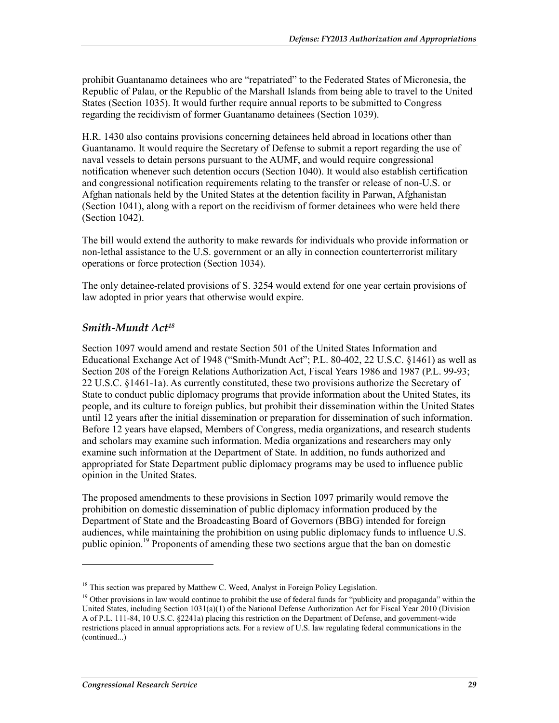prohibit Guantanamo detainees who are "repatriated" to the Federated States of Micronesia, the Republic of Palau, or the Republic of the Marshall Islands from being able to travel to the United States (Section 1035). It would further require annual reports to be submitted to Congress regarding the recidivism of former Guantanamo detainees (Section 1039).

H.R. 1430 also contains provisions concerning detainees held abroad in locations other than Guantanamo. It would require the Secretary of Defense to submit a report regarding the use of naval vessels to detain persons pursuant to the AUMF, and would require congressional notification whenever such detention occurs (Section 1040). It would also establish certification and congressional notification requirements relating to the transfer or release of non-U.S. or Afghan nationals held by the United States at the detention facility in Parwan, Afghanistan (Section 1041), along with a report on the recidivism of former detainees who were held there (Section 1042).

The bill would extend the authority to make rewards for individuals who provide information or non-lethal assistance to the U.S. government or an ally in connection counterterrorist military operations or force protection (Section 1034).

The only detainee-related provisions of S. 3254 would extend for one year certain provisions of law adopted in prior years that otherwise would expire.

#### *Smith-Mundt Act18*

Section 1097 would amend and restate Section 501 of the United States Information and Educational Exchange Act of 1948 ("Smith-Mundt Act"; P.L. 80-402, 22 U.S.C. §1461) as well as Section 208 of the Foreign Relations Authorization Act, Fiscal Years 1986 and 1987 (P.L. 99-93; 22 U.S.C. §1461-1a). As currently constituted, these two provisions authorize the Secretary of State to conduct public diplomacy programs that provide information about the United States, its people, and its culture to foreign publics, but prohibit their dissemination within the United States until 12 years after the initial dissemination or preparation for dissemination of such information. Before 12 years have elapsed, Members of Congress, media organizations, and research students and scholars may examine such information. Media organizations and researchers may only examine such information at the Department of State. In addition, no funds authorized and appropriated for State Department public diplomacy programs may be used to influence public opinion in the United States.

The proposed amendments to these provisions in Section 1097 primarily would remove the prohibition on domestic dissemination of public diplomacy information produced by the Department of State and the Broadcasting Board of Governors (BBG) intended for foreign audiences, while maintaining the prohibition on using public diplomacy funds to influence U.S. public opinion.<sup>19</sup> Proponents of amending these two sections argue that the ban on domestic

<u>.</u>

<sup>&</sup>lt;sup>18</sup> This section was prepared by Matthew C. Weed, Analyst in Foreign Policy Legislation.

<sup>&</sup>lt;sup>19</sup> Other provisions in law would continue to prohibit the use of federal funds for "publicity and propaganda" within the United States, including Section 1031(a)(1) of the National Defense Authorization Act for Fiscal Year 2010 (Division A of P.L. 111-84, 10 U.S.C. §2241a) placing this restriction on the Department of Defense, and government-wide restrictions placed in annual appropriations acts. For a review of U.S. law regulating federal communications in the (continued...)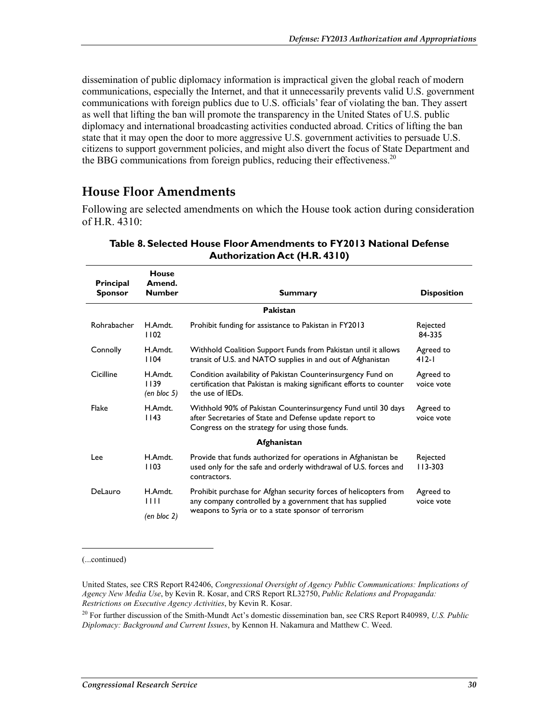dissemination of public diplomacy information is impractical given the global reach of modern communications, especially the Internet, and that it unnecessarily prevents valid U.S. government communications with foreign publics due to U.S. officials' fear of violating the ban. They assert as well that lifting the ban will promote the transparency in the United States of U.S. public diplomacy and international broadcasting activities conducted abroad. Critics of lifting the ban state that it may open the door to more aggressive U.S. government activities to persuade U.S. citizens to support government policies, and might also divert the focus of State Department and the BBG communications from foreign publics, reducing their effectiveness.<sup>20</sup>

### **House Floor Amendments**

Following are selected amendments on which the House took action during consideration of H.R. 4310:

| <b>Principal</b><br><b>Sponsor</b> | House<br>Amend.<br><b>Number</b>       | Summary                                                                                                                                                                     | <b>Disposition</b>      |
|------------------------------------|----------------------------------------|-----------------------------------------------------------------------------------------------------------------------------------------------------------------------------|-------------------------|
|                                    |                                        | Pakistan                                                                                                                                                                    |                         |
| Rohrabacher                        | H.Amdt.<br>1102                        | Prohibit funding for assistance to Pakistan in FY2013                                                                                                                       | Rejected<br>84-335      |
| Connolly                           | H.Amdt.<br>1104                        | Withhold Coalition Support Funds from Pakistan until it allows<br>transit of U.S. and NATO supplies in and out of Afghanistan                                               | Agreed to<br>412-1      |
| Cicilline                          | H.Amdt.<br>1139<br>$(en \, bloc \, 5)$ | Condition availability of Pakistan Counterinsurgency Fund on<br>certification that Pakistan is making significant efforts to counter<br>the use of IEDs.                    | Agreed to<br>voice vote |
| Flake                              | H.Amdt.<br>1143                        | Withhold 90% of Pakistan Counterinsurgency Fund until 30 days<br>after Secretaries of State and Defense update report to<br>Congress on the strategy for using those funds. | Agreed to<br>voice vote |
|                                    |                                        | Afghanistan                                                                                                                                                                 |                         |
| Lee                                | H.Amdt.<br>1103                        | Provide that funds authorized for operations in Afghanistan be<br>used only for the safe and orderly withdrawal of U.S. forces and<br>contractors.                          | Rejected<br>$113 - 303$ |
| DeLauro                            | H.Amdt.<br>1111                        | Prohibit purchase for Afghan security forces of helicopters from<br>any company controlled by a government that has supplied                                                | Agreed to<br>voice vote |
|                                    | (en bloc 2)                            | weapons to Syria or to a state sponsor of terrorism                                                                                                                         |                         |

#### **Table 8. Selected House Floor Amendments to FY2013 National Defense Authorization Act (H.R. 4310)**

(...continued)

1

United States, see CRS Report R42406, *Congressional Oversight of Agency Public Communications: Implications of Agency New Media Use*, by Kevin R. Kosar, and CRS Report RL32750, *Public Relations and Propaganda: Restrictions on Executive Agency Activities*, by Kevin R. Kosar.

20 For further discussion of the Smith-Mundt Act's domestic dissemination ban, see CRS Report R40989, *U.S. Public Diplomacy: Background and Current Issues*, by Kennon H. Nakamura and Matthew C. Weed.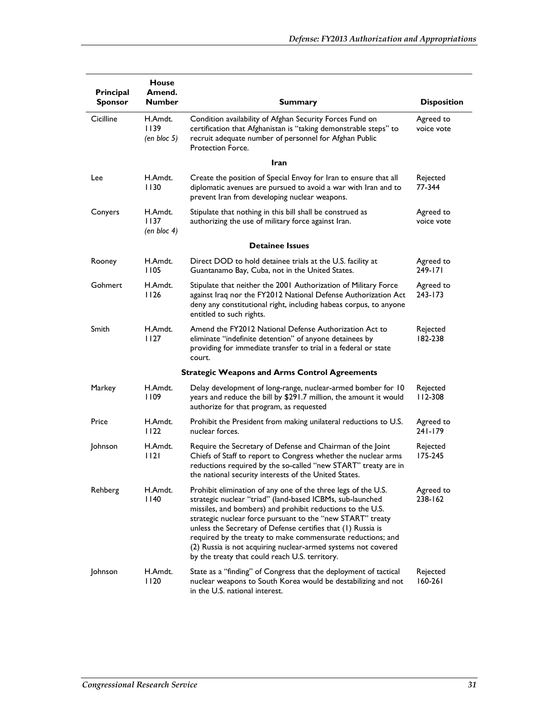| Principal<br><b>Sponsor</b>                          | <b>House</b><br>Amend.<br><b>Number</b> | <b>Summary</b>                                                                                                                                                                                                                                                                                                                                                                                                                                                                                           | <b>Disposition</b>      |  |  |  |
|------------------------------------------------------|-----------------------------------------|----------------------------------------------------------------------------------------------------------------------------------------------------------------------------------------------------------------------------------------------------------------------------------------------------------------------------------------------------------------------------------------------------------------------------------------------------------------------------------------------------------|-------------------------|--|--|--|
| Cicilline                                            | H.Amdt.<br>1139<br>$(en \, bloc \, 5)$  | Condition availability of Afghan Security Forces Fund on<br>certification that Afghanistan is "taking demonstrable steps" to<br>recruit adequate number of personnel for Afghan Public<br>Protection Force.                                                                                                                                                                                                                                                                                              | Agreed to<br>voice vote |  |  |  |
|                                                      |                                         | <b>Iran</b>                                                                                                                                                                                                                                                                                                                                                                                                                                                                                              |                         |  |  |  |
| Lee                                                  | H.Amdt.<br>1130                         | Create the position of Special Envoy for Iran to ensure that all<br>diplomatic avenues are pursued to avoid a war with Iran and to<br>prevent Iran from developing nuclear weapons.                                                                                                                                                                                                                                                                                                                      | Rejected<br>77-344      |  |  |  |
| Conyers                                              | H.Amdt.<br>1137<br>$(en \, bloc \, 4)$  | Stipulate that nothing in this bill shall be construed as<br>authorizing the use of military force against Iran.                                                                                                                                                                                                                                                                                                                                                                                         | Agreed to<br>voice vote |  |  |  |
|                                                      |                                         | <b>Detainee Issues</b>                                                                                                                                                                                                                                                                                                                                                                                                                                                                                   |                         |  |  |  |
| Rooney                                               | H.Amdt.<br>1105                         | Direct DOD to hold detainee trials at the U.S. facility at<br>Guantanamo Bay, Cuba, not in the United States.                                                                                                                                                                                                                                                                                                                                                                                            | Agreed to<br>249-171    |  |  |  |
| Gohmert                                              | H.Amdt.<br>1126                         | Stipulate that neither the 2001 Authorization of Military Force<br>against Iraq nor the FY2012 National Defense Authorization Act<br>deny any constitutional right, including habeas corpus, to anyone<br>entitled to such rights.                                                                                                                                                                                                                                                                       | Agreed to<br>243-173    |  |  |  |
| Smith                                                | H.Amdt.<br>1127                         | Amend the FY2012 National Defense Authorization Act to<br>eliminate "indefinite detention" of anyone detainees by<br>providing for immediate transfer to trial in a federal or state<br>court.                                                                                                                                                                                                                                                                                                           | Rejected<br>182-238     |  |  |  |
| <b>Strategic Weapons and Arms Control Agreements</b> |                                         |                                                                                                                                                                                                                                                                                                                                                                                                                                                                                                          |                         |  |  |  |
| Markey                                               | H.Amdt.<br>1109                         | Delay development of long-range, nuclear-armed bomber for 10<br>years and reduce the bill by \$291.7 million, the amount it would<br>authorize for that program, as requested                                                                                                                                                                                                                                                                                                                            | Rejected<br>112-308     |  |  |  |
| Price                                                | H.Amdt.<br>1122                         | Prohibit the President from making unilateral reductions to U.S.<br>nuclear forces.                                                                                                                                                                                                                                                                                                                                                                                                                      | Agreed to<br>241-179    |  |  |  |
| Johnson                                              | H.Amdt.<br>1121                         | Require the Secretary of Defense and Chairman of the Joint<br>Chiefs of Staff to report to Congress whether the nuclear arms<br>reductions required by the so-called "new START" treaty are in<br>the national security interests of the United States.                                                                                                                                                                                                                                                  | Rejected<br>175-245     |  |  |  |
| Rehberg                                              | H.Amdt.<br>  140                        | Prohibit elimination of any one of the three legs of the U.S.<br>strategic nuclear "triad" (land-based ICBMs, sub-launched<br>missiles, and bombers) and prohibit reductions to the U.S.<br>strategic nuclear force pursuant to the "new START" treaty<br>unless the Secretary of Defense certifies that (1) Russia is<br>required by the treaty to make commensurate reductions; and<br>(2) Russia is not acquiring nuclear-armed systems not covered<br>by the treaty that could reach U.S. territory. | Agreed to<br>238-162    |  |  |  |
| Johnson                                              | H.Amdt.<br>1120                         | State as a "finding" of Congress that the deployment of tactical<br>nuclear weapons to South Korea would be destabilizing and not<br>in the U.S. national interest.                                                                                                                                                                                                                                                                                                                                      | Rejected<br>160-261     |  |  |  |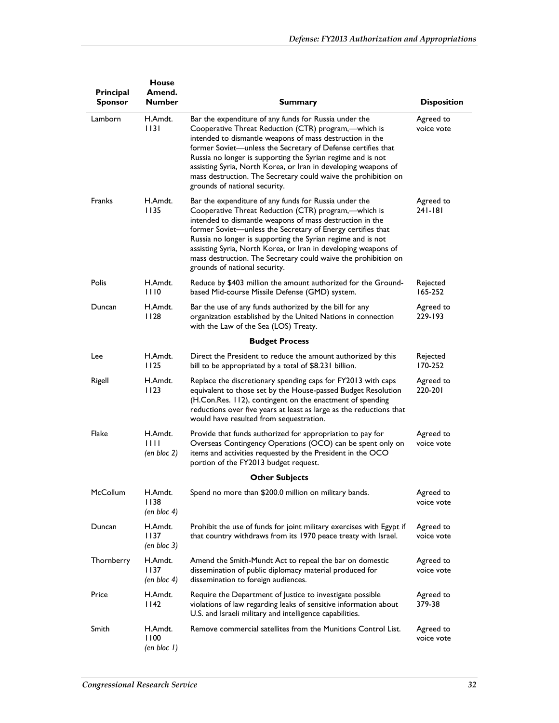|                             | <b>House</b>                           |                                                                                                                                                                                                                                                                                                                                                                                                                                                                               |                         |
|-----------------------------|----------------------------------------|-------------------------------------------------------------------------------------------------------------------------------------------------------------------------------------------------------------------------------------------------------------------------------------------------------------------------------------------------------------------------------------------------------------------------------------------------------------------------------|-------------------------|
| Principal<br><b>Sponsor</b> | Amend.<br><b>Number</b>                | Summary                                                                                                                                                                                                                                                                                                                                                                                                                                                                       | <b>Disposition</b>      |
| Lamborn                     | H.Amdt.<br>1131                        | Bar the expenditure of any funds for Russia under the<br>Cooperative Threat Reduction (CTR) program,-which is<br>intended to dismantle weapons of mass destruction in the<br>former Soviet-unless the Secretary of Defense certifies that<br>Russia no longer is supporting the Syrian regime and is not<br>assisting Syria, North Korea, or Iran in developing weapons of<br>mass destruction. The Secretary could waive the prohibition on<br>grounds of national security. | Agreed to<br>voice vote |
| <b>Franks</b>               | H.Amdt.<br>1135                        | Bar the expenditure of any funds for Russia under the<br>Cooperative Threat Reduction (CTR) program,-which is<br>intended to dismantle weapons of mass destruction in the<br>former Soviet-unless the Secretary of Energy certifies that<br>Russia no longer is supporting the Syrian regime and is not<br>assisting Syria, North Korea, or Iran in developing weapons of<br>mass destruction. The Secretary could waive the prohibition on<br>grounds of national security.  | Agreed to<br>241-181    |
| Polis                       | H.Amdt.<br>1110                        | Reduce by \$403 million the amount authorized for the Ground-<br>based Mid-course Missile Defense (GMD) system.                                                                                                                                                                                                                                                                                                                                                               | Rejected<br>165-252     |
| Duncan                      | H.Amdt.<br>1128                        | Bar the use of any funds authorized by the bill for any<br>organization established by the United Nations in connection<br>with the Law of the Sea (LOS) Treaty.                                                                                                                                                                                                                                                                                                              | Agreed to<br>229-193    |
|                             |                                        | <b>Budget Process</b>                                                                                                                                                                                                                                                                                                                                                                                                                                                         |                         |
| Lee                         | H.Amdt.<br>1125                        | Direct the President to reduce the amount authorized by this<br>bill to be appropriated by a total of \$8.231 billion.                                                                                                                                                                                                                                                                                                                                                        | Rejected<br>170-252     |
| Rigell                      | H.Amdt.<br>1123                        | Replace the discretionary spending caps for FY2013 with caps<br>equivalent to those set by the House-passed Budget Resolution<br>(H.Con.Res. 112), contingent on the enactment of spending<br>reductions over five years at least as large as the reductions that<br>would have resulted from sequestration.                                                                                                                                                                  | Agreed to<br>220-201    |
| Flake                       | H.Amdt.<br>1111<br>$(en \, bloc \, 2)$ | Provide that funds authorized for appropriation to pay for<br>Overseas Contingency Operations (OCO) can be spent only on<br>items and activities requested by the President in the OCO<br>portion of the FY2013 budget request.                                                                                                                                                                                                                                               | Agreed to<br>voice vote |
|                             |                                        | <b>Other Subjects</b>                                                                                                                                                                                                                                                                                                                                                                                                                                                         |                         |
| <b>McCollum</b>             | H.Amdt.<br>1138<br>$(en \, bloc \, 4)$ | Spend no more than \$200.0 million on military bands.                                                                                                                                                                                                                                                                                                                                                                                                                         | Agreed to<br>voice vote |
| Duncan                      | H.Amdt.<br>1137<br>(en bloc 3)         | Prohibit the use of funds for joint military exercises with Egypt if<br>that country withdraws from its 1970 peace treaty with Israel.                                                                                                                                                                                                                                                                                                                                        | Agreed to<br>voice vote |
| Thornberry                  | H.Amdt.<br>1137<br>$(en \, bloc \, 4)$ | Amend the Smith-Mundt Act to repeal the bar on domestic<br>dissemination of public diplomacy material produced for<br>dissemination to foreign audiences.                                                                                                                                                                                                                                                                                                                     | Agreed to<br>voice vote |
| Price                       | H.Amdt.<br>1142                        | Require the Department of Justice to investigate possible<br>violations of law regarding leaks of sensitive information about<br>U.S. and Israeli military and intelligence capabilities.                                                                                                                                                                                                                                                                                     | Agreed to<br>379-38     |
| Smith                       | H.Amdt.<br>1100<br>(en bloc 1)         | Remove commercial satellites from the Munitions Control List.                                                                                                                                                                                                                                                                                                                                                                                                                 | Agreed to<br>voice vote |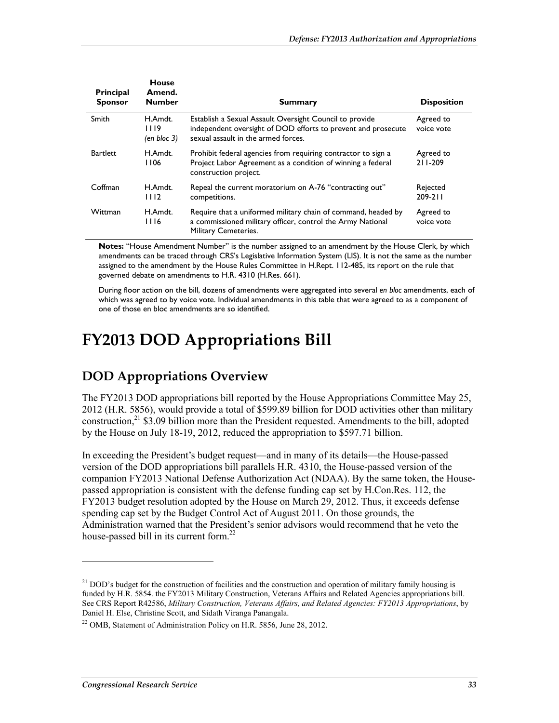| <b>Principal</b><br><b>Sponsor</b> | <b>House</b><br>Amend.<br><b>Number</b> | <b>Summary</b>                                                                                                                                                  | <b>Disposition</b>      |
|------------------------------------|-----------------------------------------|-----------------------------------------------------------------------------------------------------------------------------------------------------------------|-------------------------|
| Smith                              | H.Amdt.<br>1119<br>$(en \, bloc \, 3)$  | Establish a Sexual Assault Oversight Council to provide<br>independent oversight of DOD efforts to prevent and prosecute<br>sexual assault in the armed forces. | Agreed to<br>voice vote |
| <b>Bartlett</b>                    | H.Amdt.<br>1106                         | Prohibit federal agencies from requiring contractor to sign a<br>Project Labor Agreement as a condition of winning a federal<br>construction project.           | Agreed to<br>211-209    |
| Coffman                            | H.Amdt.<br>1112                         | Repeal the current moratorium on A-76 "contracting out"<br>competitions.                                                                                        | Rejected<br>$209 - 211$ |
| Wittman                            | H.Amdt.<br>1116                         | Require that a uniformed military chain of command, headed by<br>a commissioned military officer, control the Army National<br>Military Cemeteries.             | Agreed to<br>voice vote |

**Notes:** "House Amendment Number" is the number assigned to an amendment by the House Clerk, by which amendments can be traced through CRS's Legislative Information System (LIS). It is not the same as the number assigned to the amendment by the House Rules Committee in H.Rept. 112-485, its report on the rule that governed debate on amendments to H.R. 4310 (H.Res. 661).

During floor action on the bill, dozens of amendments were aggregated into several *en bloc* amendments, each of which was agreed to by voice vote. Individual amendments in this table that were agreed to as a component of one of those en bloc amendments are so identified.

# **FY2013 DOD Appropriations Bill**

### **DOD Appropriations Overview**

The FY2013 DOD appropriations bill reported by the House Appropriations Committee May 25, 2012 (H.R. 5856), would provide a total of \$599.89 billion for DOD activities other than military construction, $^{21}$  \$3.09 billion more than the President requested. Amendments to the bill, adopted by the House on July 18-19, 2012, reduced the appropriation to \$597.71 billion.

In exceeding the President's budget request—and in many of its details—the House-passed version of the DOD appropriations bill parallels H.R. 4310, the House-passed version of the companion FY2013 National Defense Authorization Act (NDAA). By the same token, the Housepassed appropriation is consistent with the defense funding cap set by H.Con.Res. 112, the FY2013 budget resolution adopted by the House on March 29, 2012. Thus, it exceeds defense spending cap set by the Budget Control Act of August 2011. On those grounds, the Administration warned that the President's senior advisors would recommend that he veto the house-passed bill in its current form.<sup>22</sup>

<u>.</u>

<sup>&</sup>lt;sup>21</sup> DOD's budget for the construction of facilities and the construction and operation of military family housing is funded by H.R. 5854. the FY2013 Military Construction, Veterans Affairs and Related Agencies appropriations bill. See CRS Report R42586, *Military Construction, Veterans Affairs, and Related Agencies: FY2013 Appropriations*, by Daniel H. Else, Christine Scott, and Sidath Viranga Panangala.

 $^{22}$  OMB, Statement of Administration Policy on H.R. 5856, June 28, 2012.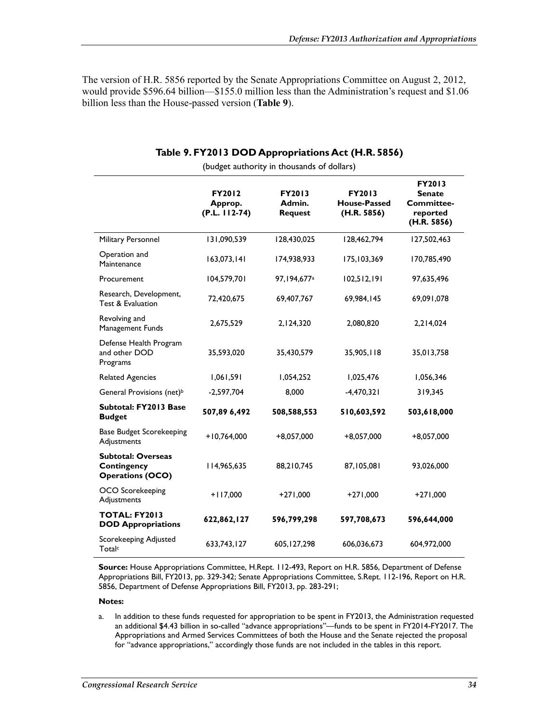The version of H.R. 5856 reported by the Senate Appropriations Committee on August 2, 2012, would provide \$596.64 billion—\$155.0 million less than the Administration's request and \$1.06 billion less than the House-passed version (**Table 9**).

|                                                                     | FY2012<br>Approp.<br>$(P.L. 112-74)$ | FY2013<br>Admin.<br><b>Request</b> | FY2013<br><b>House-Passed</b><br>(H.R. 5856) | FY2013<br><b>Senate</b><br><b>Committee-</b><br>reported<br>(H.R. 5856) |
|---------------------------------------------------------------------|--------------------------------------|------------------------------------|----------------------------------------------|-------------------------------------------------------------------------|
| Military Personnel                                                  | 131,090,539                          | 128,430,025                        | 128,462,794                                  | 127,502,463                                                             |
| Operation and<br>Maintenance                                        | 163,073,141                          | 174,938,933                        | 175,103,369                                  | 170,785,490                                                             |
| Procurement                                                         | 104,579,701                          | 97,194,677 <sup>a</sup>            | 102,512,191                                  | 97,635,496                                                              |
| Research, Development,<br>Test & Evaluation                         | 72,420,675                           | 69,407,767                         | 69,984,145                                   | 69,091,078                                                              |
| Revolving and<br>Management Funds                                   | 2,675,529                            | 2,124,320                          | 2,080,820                                    | 2,214,024                                                               |
| Defense Health Program<br>and other DOD<br>Programs                 | 35,593,020                           | 35,430,579                         | 35,905,118                                   | 35,013,758                                                              |
| <b>Related Agencies</b>                                             | 1,061,591                            | 1,054,252                          | 1,025,476                                    | 1,056,346                                                               |
| General Provisions (net) <sup>b</sup>                               | $-2,597,704$                         | 8,000                              | $-4,470,321$                                 | 319,345                                                                 |
| Subtotal: FY2013 Base<br><b>Budget</b>                              | 507,89 6,492                         | 508,588,553                        | 510,603,592                                  | 503,618,000                                                             |
| <b>Base Budget Scorekeeping</b><br>Adjustments                      | $+10,764,000$                        | $+8,057,000$                       | $+8,057,000$                                 | $+8,057,000$                                                            |
| <b>Subtotal: Overseas</b><br>Contingency<br><b>Operations (OCO)</b> | 114,965,635                          | 88,210,745                         | 87,105,081                                   | 93,026,000                                                              |
| OCO Scorekeeping<br>Adjustments                                     | $+117,000$                           | $+271,000$                         | $+271,000$                                   | $+271,000$                                                              |
| <b>TOTAL: FY2013</b><br><b>DOD Appropriations</b>                   | 622,862,127                          | 596,799,298                        | 597,708,673                                  | 596,644,000                                                             |
| Scorekeeping Adjusted<br>Total <sup>c</sup>                         | 633,743,127                          | 605, 127, 298                      | 606,036,673                                  | 604,972,000                                                             |

#### **Table 9. FY2013 DOD Appropriations Act (H.R. 5856)**  (budget authority in thousands of dollars)

**Source:** House Appropriations Committee, H.Rept. 112-493, Report on H.R. 5856, Department of Defense Appropriations Bill, FY2013, pp. 329-342; Senate Appropriations Committee, S.Rept. 112-196, Report on H.R. 5856, Department of Defense Appropriations Bill, FY2013, pp. 283-291;

#### **Notes:**

a. In addition to these funds requested for appropriation to be spent in FY2013, the Administration requested an additional \$4.43 billion in so-called "advance appropriations"—funds to be spent in FY2014-FY2017. The Appropriations and Armed Services Committees of both the House and the Senate rejected the proposal for "advance appropriations," accordingly those funds are not included in the tables in this report.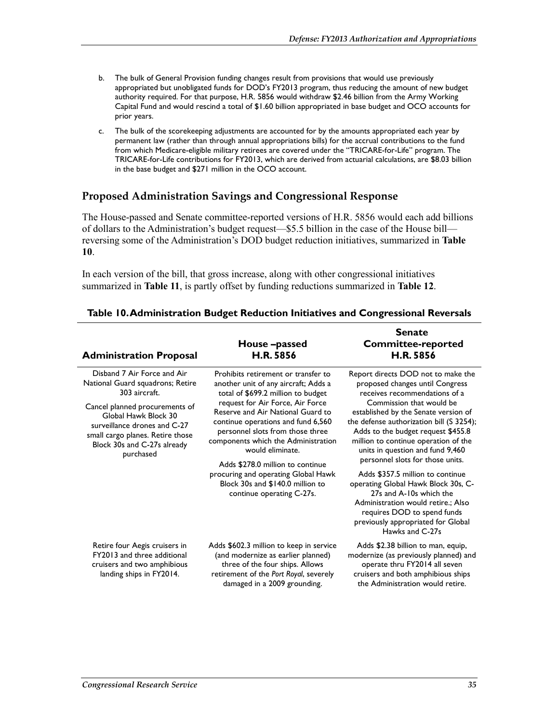- b. The bulk of General Provision funding changes result from provisions that would use previously appropriated but unobligated funds for DOD's FY2013 program, thus reducing the amount of new budget authority required. For that purpose, H.R. 5856 would withdraw \$2.46 billion from the Army Working Capital Fund and would rescind a total of \$1.60 billion appropriated in base budget and OCO accounts for prior years.
- c. The bulk of the scorekeeping adjustments are accounted for by the amounts appropriated each year by permanent law (rather than through annual appropriations bills) for the accrual contributions to the fund from which Medicare-eligible military retirees are covered under the "TRICARE-for-Life" program. The TRICARE-for-Life contributions for FY2013, which are derived from actuarial calculations, are \$8.03 billion in the base budget and \$271 million in the OCO account.

### **Proposed Administration Savings and Congressional Response**

The House-passed and Senate committee-reported versions of H.R. 5856 would each add billions of dollars to the Administration's budget request—\$5.5 billion in the case of the House bill reversing some of the Administration's DOD budget reduction initiatives, summarized in **Table 10**.

In each version of the bill, that gross increase, along with other congressional initiatives summarized in **Table 11**, is partly offset by funding reductions summarized in **Table 12**.

| <b>Administration Proposal</b>                                                                                                                                                                                                                             | House-passed<br>H.R. 5856                                                                                                                                                                                                                                                                                                                                                                                                                                                   | <b>Senate</b><br><b>Committee-reported</b><br>H.R. 5856                                                                                                                                                                                                                                                                                                                                                                                                                                                                                                                                                          |
|------------------------------------------------------------------------------------------------------------------------------------------------------------------------------------------------------------------------------------------------------------|-----------------------------------------------------------------------------------------------------------------------------------------------------------------------------------------------------------------------------------------------------------------------------------------------------------------------------------------------------------------------------------------------------------------------------------------------------------------------------|------------------------------------------------------------------------------------------------------------------------------------------------------------------------------------------------------------------------------------------------------------------------------------------------------------------------------------------------------------------------------------------------------------------------------------------------------------------------------------------------------------------------------------------------------------------------------------------------------------------|
| Disband 7 Air Force and Air<br>National Guard squadrons; Retire<br>303 aircraft.<br>Cancel planned procurements of<br>Global Hawk Block 30<br>surveillance drones and C-27<br>small cargo planes. Retire those<br>Block 30s and C-27s already<br>purchased | Prohibits retirement or transfer to<br>another unit of any aircraft; Adds a<br>total of \$699.2 million to budget<br>request for Air Force, Air Force<br>Reserve and Air National Guard to<br>continue operations and fund 6,560<br>personnel slots from those three<br>components which the Administration<br>would eliminate.<br>Adds \$278.0 million to continue<br>procuring and operating Global Hawk<br>Block 30s and \$140.0 million to<br>continue operating C-27s. | Report directs DOD not to make the<br>proposed changes until Congress<br>receives recommendations of a<br>Commission that would be<br>established by the Senate version of<br>the defense authorization bill (S 3254);<br>Adds to the budget request \$455.8<br>million to continue operation of the<br>units in question and fund 9,460<br>personnel slots for those units.<br>Adds \$357.5 million to continue<br>operating Global Hawk Block 30s, C-<br>27s and A-10s which the<br>Administration would retire.; Also<br>requires DOD to spend funds<br>previously appropriated for Global<br>Hawks and C-27s |
| Retire four Aegis cruisers in<br>FY2013 and three additional<br>cruisers and two amphibious<br>landing ships in FY2014.                                                                                                                                    | Adds \$602.3 million to keep in service<br>(and modernize as earlier planned)<br>three of the four ships. Allows<br>retirement of the Port Royal, severely<br>damaged in a 2009 grounding.                                                                                                                                                                                                                                                                                  | Adds \$2.38 billion to man, equip,<br>modernize (as previously planned) and<br>operate thru FY2014 all seven<br>cruisers and both amphibious ships<br>the Administration would retire.                                                                                                                                                                                                                                                                                                                                                                                                                           |

#### **Table 10. Administration Budget Reduction Initiatives and Congressional Reversals**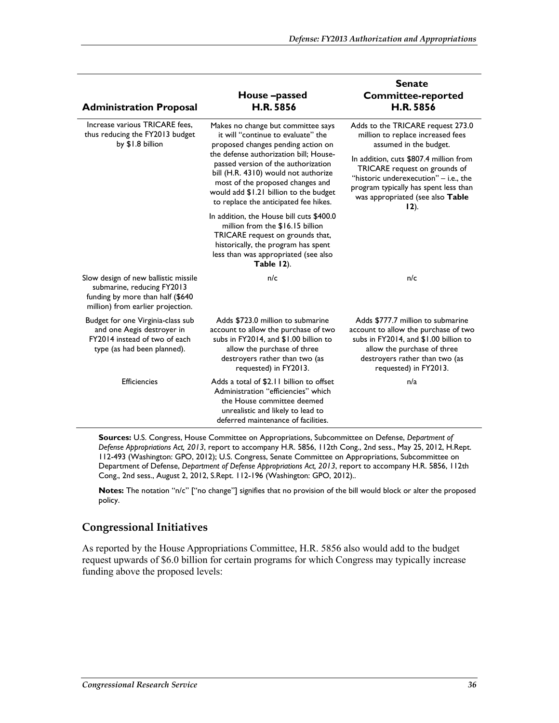| <b>Administration Proposal</b>                                                                                                              | House –passed<br>H.R. 5856                                                                                                                                                                                                                   | <b>Senate</b><br><b>Committee-reported</b><br><b>H.R. 5856</b>                                                                                                                                               |
|---------------------------------------------------------------------------------------------------------------------------------------------|----------------------------------------------------------------------------------------------------------------------------------------------------------------------------------------------------------------------------------------------|--------------------------------------------------------------------------------------------------------------------------------------------------------------------------------------------------------------|
| Increase various TRICARE fees.<br>thus reducing the FY2013 budget<br>by \$1.8 billion                                                       | Makes no change but committee says<br>it will "continue to evaluate" the<br>proposed changes pending action on                                                                                                                               | Adds to the TRICARE request 273.0<br>million to replace increased fees<br>assumed in the budget.                                                                                                             |
|                                                                                                                                             | the defense authorization bill; House-<br>passed version of the authorization<br>bill (H.R. 4310) would not authorize<br>most of the proposed changes and<br>would add \$1.21 billion to the budget<br>to replace the anticipated fee hikes. | In addition, cuts \$807.4 million from<br>TRICARE request on grounds of<br>"historic underexecution" - i.e., the<br>program typically has spent less than<br>was appropriated (see also Table<br>$12$ ).     |
|                                                                                                                                             | In addition, the House bill cuts \$400.0<br>million from the \$16.15 billion<br>TRICARE request on grounds that,<br>historically, the program has spent<br>less than was appropriated (see also<br>Table 12).                                |                                                                                                                                                                                                              |
| Slow design of new ballistic missile<br>submarine, reducing FY2013<br>funding by more than half (\$640<br>million) from earlier projection. | n/c                                                                                                                                                                                                                                          | n/c                                                                                                                                                                                                          |
| Budget for one Virginia-class sub<br>and one Aegis destroyer in<br>FY2014 instead of two of each<br>type (as had been planned).             | Adds \$723.0 million to submarine<br>account to allow the purchase of two<br>subs in FY2014, and \$1.00 billion to<br>allow the purchase of three<br>destroyers rather than two (as<br>requested) in FY2013.                                 | Adds \$777.7 million to submarine<br>account to allow the purchase of two<br>subs in FY2014, and \$1.00 billion to<br>allow the purchase of three<br>destroyers rather than two (as<br>requested) in FY2013. |
| <b>Efficiencies</b>                                                                                                                         | Adds a total of \$2.11 billion to offset<br>Administration "efficiencies" which<br>the House committee deemed<br>unrealistic and likely to lead to<br>deferred maintenance of facilities.                                                    | n/a                                                                                                                                                                                                          |

**Sources:** U.S. Congress, House Committee on Appropriations, Subcommittee on Defense, *Department of Defense Appropriations Act, 2013*, report to accompany H.R. 5856, 112th Cong., 2nd sess., May 25, 2012, H.Rept. 112-493 (Washington: GPO, 2012); U.S. Congress, Senate Committee on Appropriations, Subcommittee on Department of Defense, *Department of Defense Appropriations Act, 2013*, report to accompany H.R. 5856, 112th Cong., 2nd sess., August 2, 2012, S.Rept. 112-196 (Washington: GPO, 2012)..

**Notes:** The notation "n/c" ["no change"] signifies that no provision of the bill would block or alter the proposed policy.

#### **Congressional Initiatives**

As reported by the House Appropriations Committee, H.R. 5856 also would add to the budget request upwards of \$6.0 billion for certain programs for which Congress may typically increase funding above the proposed levels: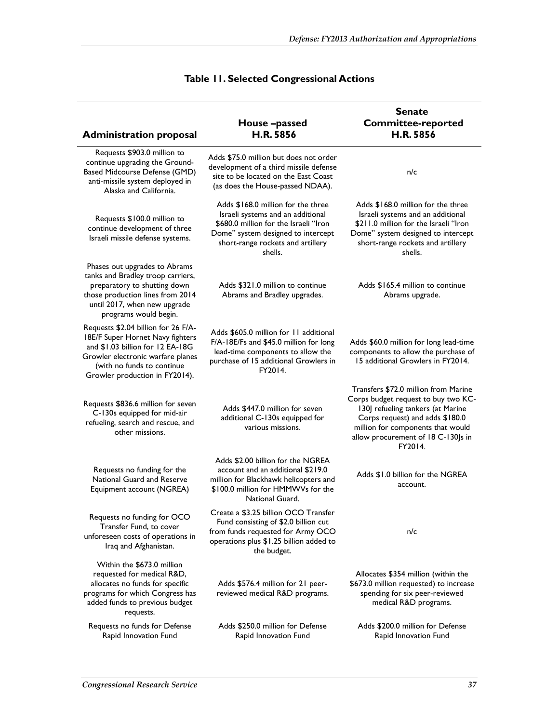|                                                                                                                                                                                                                  | House-passed                                                                                                                                                                                           | <b>Senate</b><br><b>Committee-reported</b>                                                                                                                                                                                                |
|------------------------------------------------------------------------------------------------------------------------------------------------------------------------------------------------------------------|--------------------------------------------------------------------------------------------------------------------------------------------------------------------------------------------------------|-------------------------------------------------------------------------------------------------------------------------------------------------------------------------------------------------------------------------------------------|
| <b>Administration proposal</b>                                                                                                                                                                                   | H.R. 5856                                                                                                                                                                                              | H.R. 5856                                                                                                                                                                                                                                 |
| Requests \$903.0 million to<br>continue upgrading the Ground-<br><b>Based Midcourse Defense (GMD)</b><br>anti-missile system deployed in<br>Alaska and California.                                               | Adds \$75.0 million but does not order<br>development of a third missile defense<br>site to be located on the East Coast<br>(as does the House-passed NDAA).                                           | n/c                                                                                                                                                                                                                                       |
| Requests \$100.0 million to<br>continue development of three<br>Israeli missile defense systems.                                                                                                                 | Adds \$168.0 million for the three<br>Israeli systems and an additional<br>\$680.0 million for the Israeli "Iron<br>Dome" system designed to intercept<br>short-range rockets and artillery<br>shells. | Adds \$168.0 million for the three<br>Israeli systems and an additional<br>\$211.0 million for the Israeli "Iron<br>Dome" system designed to intercept<br>short-range rockets and artillery<br>shells.                                    |
| Phases out upgrades to Abrams<br>tanks and Bradley troop carriers,<br>preparatory to shutting down<br>those production lines from 2014<br>until 2017, when new upgrade<br>programs would begin.                  | Adds \$321.0 million to continue<br>Abrams and Bradley upgrades.                                                                                                                                       | Adds \$165.4 million to continue<br>Abrams upgrade.                                                                                                                                                                                       |
| Requests \$2.04 billion for 26 F/A-<br>18E/F Super Hornet Navy fighters<br>and \$1.03 billion for 12 EA-18G<br>Growler electronic warfare planes<br>(with no funds to continue<br>Growler production in FY2014). | Adds \$605.0 million for 11 additional<br>F/A-18E/Fs and \$45.0 million for long<br>lead-time components to allow the<br>purchase of 15 additional Growlers in<br>FY2014.                              | Adds \$60.0 million for long lead-time<br>components to allow the purchase of<br>15 additional Growlers in FY2014.                                                                                                                        |
| Requests \$836.6 million for seven<br>C-130s equipped for mid-air<br>refueling, search and rescue, and<br>other missions.                                                                                        | Adds \$447.0 million for seven<br>additional C-130s equipped for<br>various missions.                                                                                                                  | Transfers \$72.0 million from Marine<br>Corps budget request to buy two KC-<br>130J refueling tankers (at Marine<br>Corps request) and adds \$180.0<br>million for components that would<br>allow procurement of 18 C-130Js in<br>FY2014. |
| Requests no funding for the<br>National Guard and Reserve<br>Equipment account (NGREA)                                                                                                                           | Adds \$2.00 billion for the NGREA<br>account and an additional \$219.0<br>million for Blackhawk helicopters and<br>\$100.0 million for HMMWVs for the<br>National Guard.                               | Adds \$1.0 billion for the NGREA<br>account.                                                                                                                                                                                              |
| Requests no funding for OCO<br>Transfer Fund, to cover<br>unforeseen costs of operations in<br>Iraq and Afghanistan.                                                                                             | Create a \$3.25 billion OCO Transfer<br>Fund consisting of \$2.0 billion cut<br>from funds requested for Army OCO<br>operations plus \$1.25 billion added to<br>the budget.                            | n/c                                                                                                                                                                                                                                       |
| Within the \$673.0 million<br>requested for medical R&D,<br>allocates no funds for specific<br>programs for which Congress has<br>added funds to previous budget<br>requests.                                    | Adds \$576.4 million for 21 peer-<br>reviewed medical R&D programs.                                                                                                                                    | Allocates \$354 million (within the<br>\$673.0 million requested) to increase<br>spending for six peer-reviewed<br>medical R&D programs.                                                                                                  |
| Requests no funds for Defense<br>Rapid Innovation Fund                                                                                                                                                           | Adds \$250.0 million for Defense<br>Rapid Innovation Fund                                                                                                                                              | Adds \$200.0 million for Defense<br>Rapid Innovation Fund                                                                                                                                                                                 |

### **Table 11. Selected Congressional Actions**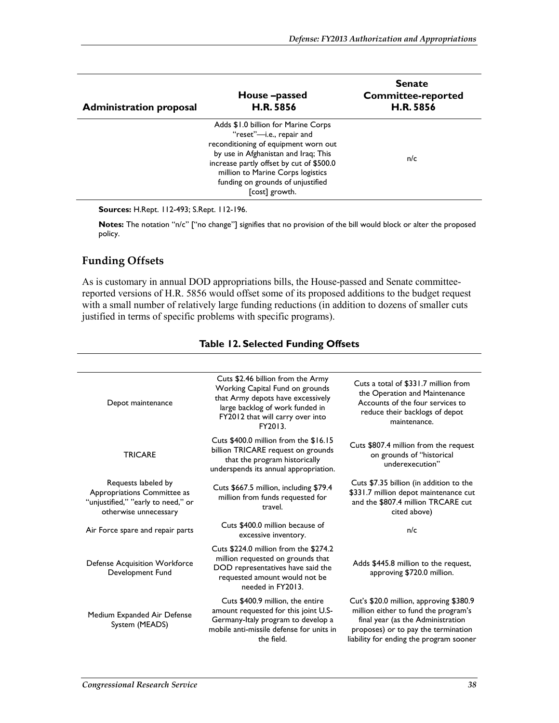| <b>Administration proposal</b> | House-passed<br><b>H.R. 5856</b>                                                                                                                                                                                                                                                        | <b>Senate</b><br><b>Committee-reported</b><br><b>H.R. 5856</b> |
|--------------------------------|-----------------------------------------------------------------------------------------------------------------------------------------------------------------------------------------------------------------------------------------------------------------------------------------|----------------------------------------------------------------|
|                                | Adds \$1.0 billion for Marine Corps<br>"reset"-i.e., repair and<br>reconditioning of equipment worn out<br>by use in Afghanistan and Iraq; This<br>increase partly offset by cut of \$500.0<br>million to Marine Corps logistics<br>funding on grounds of unjustified<br>[cost] growth. | n/c                                                            |

**Sources:** H.Rept. 112-493; S.Rept. 112-196.

**Notes:** The notation "n/c" ["no change"] signifies that no provision of the bill would block or alter the proposed policy.

### **Funding Offsets**

As is customary in annual DOD appropriations bills, the House-passed and Senate committeereported versions of H.R. 5856 would offset some of its proposed additions to the budget request with a small number of relatively large funding reductions (in addition to dozens of smaller cuts justified in terms of specific problems with specific programs).

| Depot maintenance                                                                                                 | Cuts \$2.46 billion from the Army<br>Working Capital Fund on grounds<br>that Army depots have excessively<br>large backlog of work funded in<br>FY2012 that will carry over into<br>FY2013. | Cuts a total of \$331.7 million from<br>the Operation and Maintenance<br>Accounts of the four services to<br>reduce their backlogs of depot<br>maintenance.                                            |
|-------------------------------------------------------------------------------------------------------------------|---------------------------------------------------------------------------------------------------------------------------------------------------------------------------------------------|--------------------------------------------------------------------------------------------------------------------------------------------------------------------------------------------------------|
| <b>TRICARE</b>                                                                                                    | Cuts \$400.0 million from the \$16.15<br>billion TRICARE request on grounds<br>that the program historically<br>underspends its annual appropriation.                                       | Cuts \$807.4 million from the request<br>on grounds of "historical<br>underexecution"                                                                                                                  |
| Requests labeled by<br>Appropriations Committee as<br>"unjustified," "early to need," or<br>otherwise unnecessary | Cuts \$667.5 million, including \$79.4<br>million from funds requested for<br>travel.                                                                                                       | Cuts \$7.35 billion (in addition to the<br>\$331.7 million depot maintenance cut<br>and the \$807.4 million TRCARE cut<br>cited above)                                                                 |
| Air Force spare and repair parts                                                                                  | Cuts \$400.0 million because of<br>excessive inventory.                                                                                                                                     | n/c                                                                                                                                                                                                    |
| <b>Defense Acquisition Workforce</b><br>Development Fund                                                          | Cuts \$224.0 million from the \$274.2<br>million requested on grounds that<br>DOD representatives have said the<br>requested amount would not be<br>needed in FY2013.                       | Adds \$445.8 million to the request,<br>approving \$720.0 million.                                                                                                                                     |
| Medium Expanded Air Defense<br>System (MEADS)                                                                     | Cuts \$400.9 million, the entire<br>amount requested for this joint U.S-<br>Germany-Italy program to develop a<br>mobile anti-missile defense for units in<br>the field.                    | Cut's \$20.0 million, approving \$380.9<br>million either to fund the program's<br>final year (as the Administration<br>proposes) or to pay the termination<br>liability for ending the program sooner |

#### **Table 12. Selected Funding Offsets**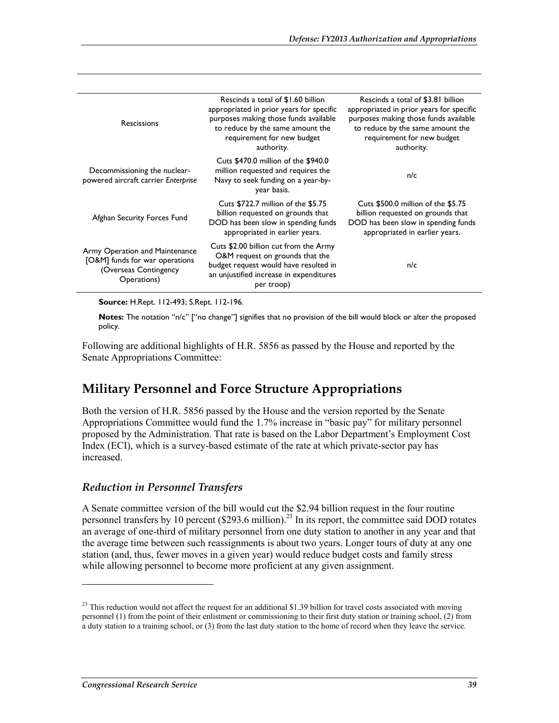| <b>Rescissions</b>                                                                                       | Rescinds a total of \$1.60 billion<br>appropriated in prior years for specific<br>purposes making those funds available<br>to reduce by the same amount the<br>requirement for new budget<br>authority. | Rescinds a total of \$3.81 billion<br>appropriated in prior years for specific<br>purposes making those funds available<br>to reduce by the same amount the<br>requirement for new budget<br>authority. |
|----------------------------------------------------------------------------------------------------------|---------------------------------------------------------------------------------------------------------------------------------------------------------------------------------------------------------|---------------------------------------------------------------------------------------------------------------------------------------------------------------------------------------------------------|
| Decommissioning the nuclear-<br>powered aircraft carrier Enterprise                                      | Cuts \$470.0 million of the \$940.0<br>million requested and requires the<br>Navy to seek funding on a year-by-<br>year basis.                                                                          | n/c                                                                                                                                                                                                     |
| Afghan Security Forces Fund                                                                              | Cuts \$722.7 million of the \$5.75<br>billion requested on grounds that<br>DOD has been slow in spending funds<br>appropriated in earlier years.                                                        | Cuts \$500.0 million of the \$5.75<br>billion requested on grounds that<br>DOD has been slow in spending funds<br>appropriated in earlier years.                                                        |
| Army Operation and Maintenance<br>[O&M] funds for war operations<br>(Overseas Contingency<br>Operations) | Cuts \$2.00 billion cut from the Army<br>O&M request on grounds that the<br>budget request would have resulted in<br>an unjustified increase in expenditures<br>per troop)                              | n/c                                                                                                                                                                                                     |

**Source:** H.Rept. 112-493; S.Rept. 112-196.

**Notes:** The notation "n/c" ["no change"] signifies that no provision of the bill would block or alter the proposed policy.

Following are additional highlights of H.R. 5856 as passed by the House and reported by the Senate Appropriations Committee:

### **Military Personnel and Force Structure Appropriations**

Both the version of H.R. 5856 passed by the House and the version reported by the Senate Appropriations Committee would fund the 1.7% increase in "basic pay" for military personnel proposed by the Administration. That rate is based on the Labor Department's Employment Cost Index (ECI), which is a survey-based estimate of the rate at which private-sector pay has increased.

#### *Reduction in Personnel Transfers*

A Senate committee version of the bill would cut the \$2.94 billion request in the four routine personnel transfers by 10 percent  $(\$293.6 \text{ million})^{23}$  In its report, the committee said DOD rotates an average of one-third of military personnel from one duty station to another in any year and that the average time between such reassignments is about two years. Longer tours of duty at any one station (and, thus, fewer moves in a given year) would reduce budget costs and family stress while allowing personnel to become more proficient at any given assignment.

<u>.</u>

 $23$  This reduction would not affect the request for an additional \$1.39 billion for travel costs associated with moving personnel (1) from the point of their enlistment or commissioning to their first duty station or training school, (2) from a duty station to a training school, or (3) from the last duty station to the home of record when they leave the service.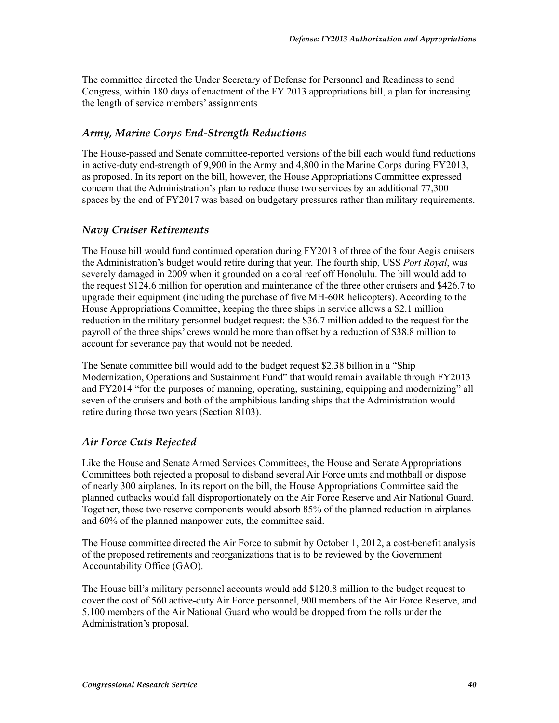The committee directed the Under Secretary of Defense for Personnel and Readiness to send Congress, within 180 days of enactment of the FY 2013 appropriations bill, a plan for increasing the length of service members' assignments

### *Army, Marine Corps End-Strength Reductions*

The House-passed and Senate committee-reported versions of the bill each would fund reductions in active-duty end-strength of 9,900 in the Army and 4,800 in the Marine Corps during FY2013, as proposed. In its report on the bill, however, the House Appropriations Committee expressed concern that the Administration's plan to reduce those two services by an additional 77,300 spaces by the end of FY2017 was based on budgetary pressures rather than military requirements.

### *Navy Cruiser Retirements*

The House bill would fund continued operation during FY2013 of three of the four Aegis cruisers the Administration's budget would retire during that year. The fourth ship, USS *Port Royal*, was severely damaged in 2009 when it grounded on a coral reef off Honolulu. The bill would add to the request \$124.6 million for operation and maintenance of the three other cruisers and \$426.7 to upgrade their equipment (including the purchase of five MH-60R helicopters). According to the House Appropriations Committee, keeping the three ships in service allows a \$2.1 million reduction in the military personnel budget request: the \$36.7 million added to the request for the payroll of the three ships' crews would be more than offset by a reduction of \$38.8 million to account for severance pay that would not be needed.

The Senate committee bill would add to the budget request \$2.38 billion in a "Ship Modernization, Operations and Sustainment Fund" that would remain available through FY2013 and FY2014 "for the purposes of manning, operating, sustaining, equipping and modernizing" all seven of the cruisers and both of the amphibious landing ships that the Administration would retire during those two years (Section 8103).

### *Air Force Cuts Rejected*

Like the House and Senate Armed Services Committees, the House and Senate Appropriations Committees both rejected a proposal to disband several Air Force units and mothball or dispose of nearly 300 airplanes. In its report on the bill, the House Appropriations Committee said the planned cutbacks would fall disproportionately on the Air Force Reserve and Air National Guard. Together, those two reserve components would absorb 85% of the planned reduction in airplanes and 60% of the planned manpower cuts, the committee said.

The House committee directed the Air Force to submit by October 1, 2012, a cost-benefit analysis of the proposed retirements and reorganizations that is to be reviewed by the Government Accountability Office (GAO).

The House bill's military personnel accounts would add \$120.8 million to the budget request to cover the cost of 560 active-duty Air Force personnel, 900 members of the Air Force Reserve, and 5,100 members of the Air National Guard who would be dropped from the rolls under the Administration's proposal.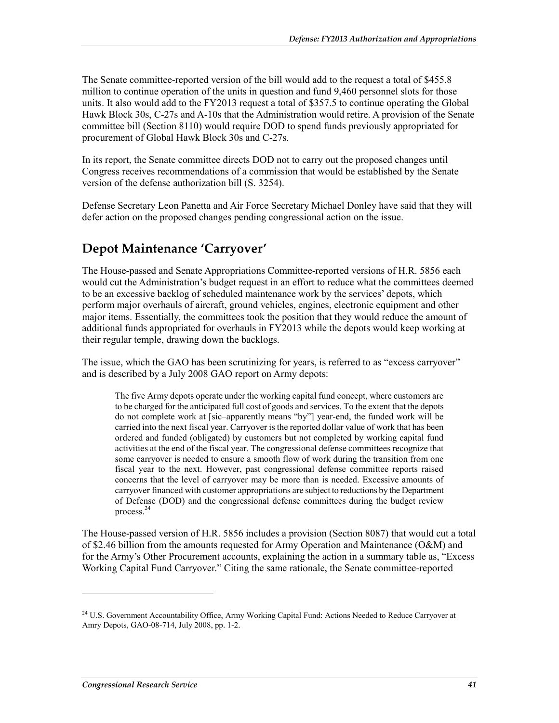The Senate committee-reported version of the bill would add to the request a total of \$455.8 million to continue operation of the units in question and fund 9,460 personnel slots for those units. It also would add to the FY2013 request a total of \$357.5 to continue operating the Global Hawk Block 30s, C-27s and A-10s that the Administration would retire. A provision of the Senate committee bill (Section 8110) would require DOD to spend funds previously appropriated for procurement of Global Hawk Block 30s and C-27s.

In its report, the Senate committee directs DOD not to carry out the proposed changes until Congress receives recommendations of a commission that would be established by the Senate version of the defense authorization bill (S. 3254).

Defense Secretary Leon Panetta and Air Force Secretary Michael Donley have said that they will defer action on the proposed changes pending congressional action on the issue.

## **Depot Maintenance 'Carryover'**

The House-passed and Senate Appropriations Committee-reported versions of H.R. 5856 each would cut the Administration's budget request in an effort to reduce what the committees deemed to be an excessive backlog of scheduled maintenance work by the services' depots, which perform major overhauls of aircraft, ground vehicles, engines, electronic equipment and other major items. Essentially, the committees took the position that they would reduce the amount of additional funds appropriated for overhauls in FY2013 while the depots would keep working at their regular temple, drawing down the backlogs.

The issue, which the GAO has been scrutinizing for years, is referred to as "excess carryover" and is described by a July 2008 GAO report on Army depots:

The five Army depots operate under the working capital fund concept, where customers are to be charged for the anticipated full cost of goods and services. To the extent that the depots do not complete work at [sic–apparently means "by"] year-end, the funded work will be carried into the next fiscal year. Carryover is the reported dollar value of work that has been ordered and funded (obligated) by customers but not completed by working capital fund activities at the end of the fiscal year. The congressional defense committees recognize that some carryover is needed to ensure a smooth flow of work during the transition from one fiscal year to the next. However, past congressional defense committee reports raised concerns that the level of carryover may be more than is needed. Excessive amounts of carryover financed with customer appropriations are subject to reductions by the Department of Defense (DOD) and the congressional defense committees during the budget review process.<sup>24</sup>

The House-passed version of H.R. 5856 includes a provision (Section 8087) that would cut a total of \$2.46 billion from the amounts requested for Army Operation and Maintenance (O&M) and for the Army's Other Procurement accounts, explaining the action in a summary table as, "Excess Working Capital Fund Carryover." Citing the same rationale, the Senate committee-reported

1

<sup>&</sup>lt;sup>24</sup> U.S. Government Accountability Office, Army Working Capital Fund: Actions Needed to Reduce Carryover at Amry Depots, GAO-08-714, July 2008, pp. 1-2.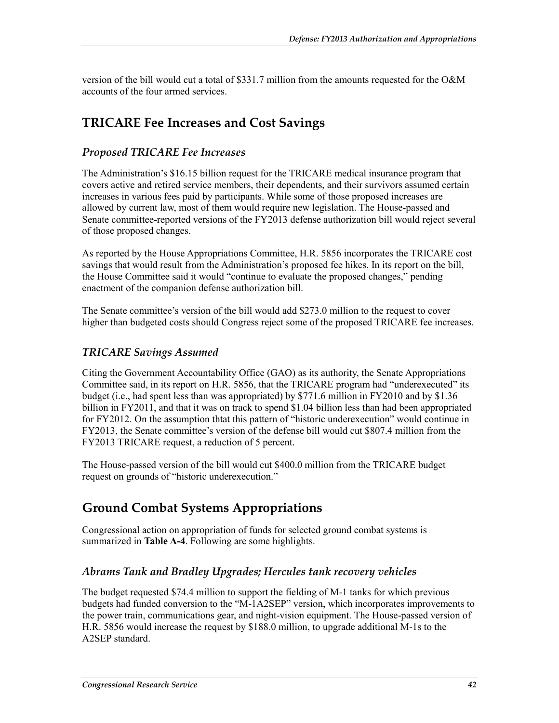version of the bill would cut a total of \$331.7 million from the amounts requested for the O&M accounts of the four armed services.

## **TRICARE Fee Increases and Cost Savings**

### *Proposed TRICARE Fee Increases*

The Administration's \$16.15 billion request for the TRICARE medical insurance program that covers active and retired service members, their dependents, and their survivors assumed certain increases in various fees paid by participants. While some of those proposed increases are allowed by current law, most of them would require new legislation. The House-passed and Senate committee-reported versions of the FY2013 defense authorization bill would reject several of those proposed changes.

As reported by the House Appropriations Committee, H.R. 5856 incorporates the TRICARE cost savings that would result from the Administration's proposed fee hikes. In its report on the bill, the House Committee said it would "continue to evaluate the proposed changes," pending enactment of the companion defense authorization bill.

The Senate committee's version of the bill would add \$273.0 million to the request to cover higher than budgeted costs should Congress reject some of the proposed TRICARE fee increases.

### *TRICARE Savings Assumed*

Citing the Government Accountability Office (GAO) as its authority, the Senate Appropriations Committee said, in its report on H.R. 5856, that the TRICARE program had "underexecuted" its budget (i.e., had spent less than was appropriated) by \$771.6 million in FY2010 and by \$1.36 billion in FY2011, and that it was on track to spend \$1.04 billion less than had been appropriated for FY2012. On the assumption thtat this pattern of "historic underexecution" would continue in FY2013, the Senate committee's version of the defense bill would cut \$807.4 million from the FY2013 TRICARE request, a reduction of 5 percent.

The House-passed version of the bill would cut \$400.0 million from the TRICARE budget request on grounds of "historic underexecution."

## **Ground Combat Systems Appropriations**

Congressional action on appropriation of funds for selected ground combat systems is summarized in **Table A-4**. Following are some highlights.

### *Abrams Tank and Bradley Upgrades; Hercules tank recovery vehicles*

The budget requested \$74.4 million to support the fielding of M-1 tanks for which previous budgets had funded conversion to the "M-1A2SEP" version, which incorporates improvements to the power train, communications gear, and night-vision equipment. The House-passed version of H.R. 5856 would increase the request by \$188.0 million, to upgrade additional M-1s to the A2SEP standard.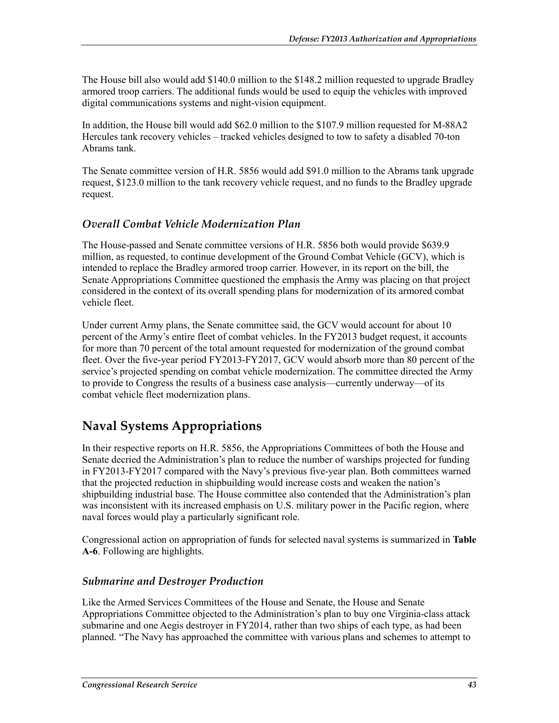The House bill also would add \$140.0 million to the \$148.2 million requested to upgrade Bradley armored troop carriers. The additional funds would be used to equip the vehicles with improved digital communications systems and night-vision equipment.

In addition, the House bill would add \$62.0 million to the \$107.9 million requested for M-88A2 Hercules tank recovery vehicles – tracked vehicles designed to tow to safety a disabled 70-ton Abrams tank.

The Senate committee version of H.R. 5856 would add \$91.0 million to the Abrams tank upgrade request, \$123.0 million to the tank recovery vehicle request, and no funds to the Bradley upgrade request.

### *Overall Combat Vehicle Modernization Plan*

The House-passed and Senate committee versions of H.R. 5856 both would provide \$639.9 million, as requested, to continue development of the Ground Combat Vehicle (GCV), which is intended to replace the Bradley armored troop carrier. However, in its report on the bill, the Senate Appropriations Committee questioned the emphasis the Army was placing on that project considered in the context of its overall spending plans for modernization of its armored combat vehicle fleet.

Under current Army plans, the Senate committee said, the GCV would account for about 10 percent of the Army's entire fleet of combat vehicles. In the FY2013 budget request, it accounts for more than 70 percent of the total amount requested for modernization of the ground combat fleet. Over the five-year period FY2013-FY2017, GCV would absorb more than 80 percent of the service's projected spending on combat vehicle modernization. The committee directed the Army to provide to Congress the results of a business case analysis—currently underway—of its combat vehicle fleet modernization plans.

## **Naval Systems Appropriations**

In their respective reports on H.R. 5856, the Appropriations Committees of both the House and Senate decried the Administration's plan to reduce the number of warships projected for funding in FY2013-FY2017 compared with the Navy's previous five-year plan. Both committees warned that the projected reduction in shipbuilding would increase costs and weaken the nation's shipbuilding industrial base. The House committee also contended that the Administration's plan was inconsistent with its increased emphasis on U.S. military power in the Pacific region, where naval forces would play a particularly significant role.

Congressional action on appropriation of funds for selected naval systems is summarized in **Table A-6**. Following are highlights.

#### *Submarine and Destroyer Production*

Like the Armed Services Committees of the House and Senate, the House and Senate Appropriations Committee objected to the Administration's plan to buy one Virginia-class attack submarine and one Aegis destroyer in FY2014, rather than two ships of each type, as had been planned. "The Navy has approached the committee with various plans and schemes to attempt to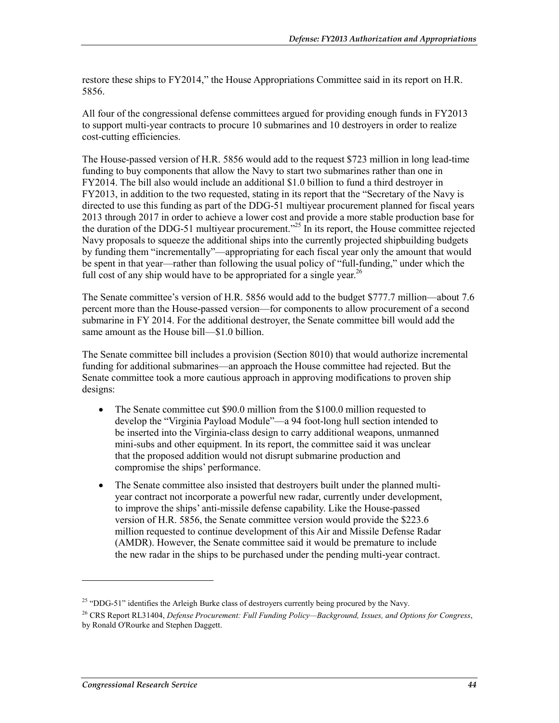restore these ships to FY2014," the House Appropriations Committee said in its report on H.R. 5856.

All four of the congressional defense committees argued for providing enough funds in FY2013 to support multi-year contracts to procure 10 submarines and 10 destroyers in order to realize cost-cutting efficiencies.

The House-passed version of H.R. 5856 would add to the request \$723 million in long lead-time funding to buy components that allow the Navy to start two submarines rather than one in FY2014. The bill also would include an additional \$1.0 billion to fund a third destroyer in FY2013, in addition to the two requested, stating in its report that the "Secretary of the Navy is directed to use this funding as part of the DDG-51 multiyear procurement planned for fiscal years 2013 through 2017 in order to achieve a lower cost and provide a more stable production base for the duration of the DDG-51 multivear procurement.<sup> $25$ </sup> In its report, the House committee rejected Navy proposals to squeeze the additional ships into the currently projected shipbuilding budgets by funding them "incrementally"—appropriating for each fiscal year only the amount that would be spent in that year—rather than following the usual policy of "full-funding," under which the full cost of any ship would have to be appropriated for a single year.<sup>26</sup>

The Senate committee's version of H.R. 5856 would add to the budget \$777.7 million—about 7.6 percent more than the House-passed version—for components to allow procurement of a second submarine in FY 2014. For the additional destroyer, the Senate committee bill would add the same amount as the House bill—\$1.0 billion.

The Senate committee bill includes a provision (Section 8010) that would authorize incremental funding for additional submarines—an approach the House committee had rejected. But the Senate committee took a more cautious approach in approving modifications to proven ship designs:

- The Senate committee cut \$90.0 million from the \$100.0 million requested to develop the "Virginia Payload Module"—a 94 foot-long hull section intended to be inserted into the Virginia-class design to carry additional weapons, unmanned mini-subs and other equipment. In its report, the committee said it was unclear that the proposed addition would not disrupt submarine production and compromise the ships' performance.
- The Senate committee also insisted that destroyers built under the planned multiyear contract not incorporate a powerful new radar, currently under development, to improve the ships' anti-missile defense capability. Like the House-passed version of H.R. 5856, the Senate committee version would provide the \$223.6 million requested to continue development of this Air and Missile Defense Radar (AMDR). However, the Senate committee said it would be premature to include the new radar in the ships to be purchased under the pending multi-year contract.

<u>.</u>

<sup>&</sup>lt;sup>25</sup> "DDG-51" identifies the Arleigh Burke class of destroyers currently being procured by the Navy.

<sup>26</sup> CRS Report RL31404, *Defense Procurement: Full Funding Policy—Background, Issues, and Options for Congress*, by Ronald O'Rourke and Stephen Daggett.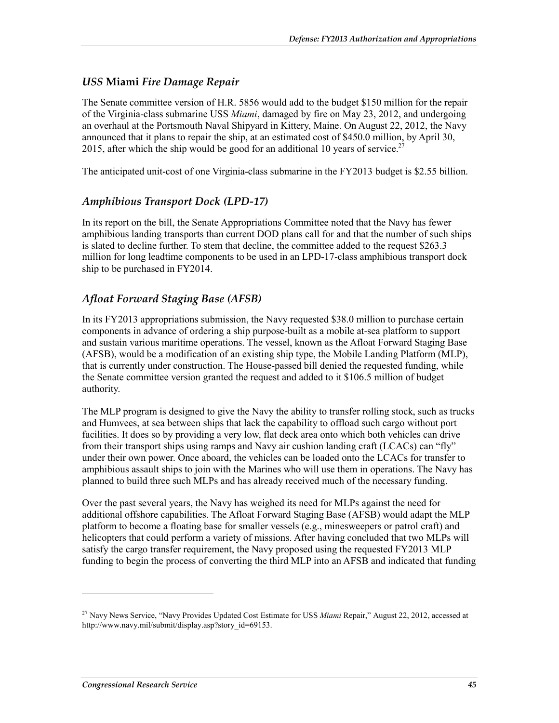### *USS* **Miami** *Fire Damage Repair*

The Senate committee version of H.R. 5856 would add to the budget \$150 million for the repair of the Virginia-class submarine USS *Miami*, damaged by fire on May 23, 2012, and undergoing an overhaul at the Portsmouth Naval Shipyard in Kittery, Maine. On August 22, 2012, the Navy announced that it plans to repair the ship, at an estimated cost of \$450.0 million, by April 30, 2015, after which the ship would be good for an additional 10 years of service.<sup>27</sup>

The anticipated unit-cost of one Virginia-class submarine in the FY2013 budget is \$2.55 billion.

### *Amphibious Transport Dock (LPD-17)*

In its report on the bill, the Senate Appropriations Committee noted that the Navy has fewer amphibious landing transports than current DOD plans call for and that the number of such ships is slated to decline further. To stem that decline, the committee added to the request \$263.3 million for long leadtime components to be used in an LPD-17-class amphibious transport dock ship to be purchased in FY2014.

### *Afloat Forward Staging Base (AFSB)*

In its FY2013 appropriations submission, the Navy requested \$38.0 million to purchase certain components in advance of ordering a ship purpose-built as a mobile at-sea platform to support and sustain various maritime operations. The vessel, known as the Afloat Forward Staging Base (AFSB), would be a modification of an existing ship type, the Mobile Landing Platform (MLP), that is currently under construction. The House-passed bill denied the requested funding, while the Senate committee version granted the request and added to it \$106.5 million of budget authority.

The MLP program is designed to give the Navy the ability to transfer rolling stock, such as trucks and Humvees, at sea between ships that lack the capability to offload such cargo without port facilities. It does so by providing a very low, flat deck area onto which both vehicles can drive from their transport ships using ramps and Navy air cushion landing craft (LCACs) can "fly" under their own power. Once aboard, the vehicles can be loaded onto the LCACs for transfer to amphibious assault ships to join with the Marines who will use them in operations. The Navy has planned to build three such MLPs and has already received much of the necessary funding.

Over the past several years, the Navy has weighed its need for MLPs against the need for additional offshore capabilities. The Afloat Forward Staging Base (AFSB) would adapt the MLP platform to become a floating base for smaller vessels (e.g., minesweepers or patrol craft) and helicopters that could perform a variety of missions. After having concluded that two MLPs will satisfy the cargo transfer requirement, the Navy proposed using the requested FY2013 MLP funding to begin the process of converting the third MLP into an AFSB and indicated that funding

1

<sup>27</sup> Navy News Service, "Navy Provides Updated Cost Estimate for USS *Miami* Repair," August 22, 2012, accessed at http://www.navy.mil/submit/display.asp?story\_id=69153.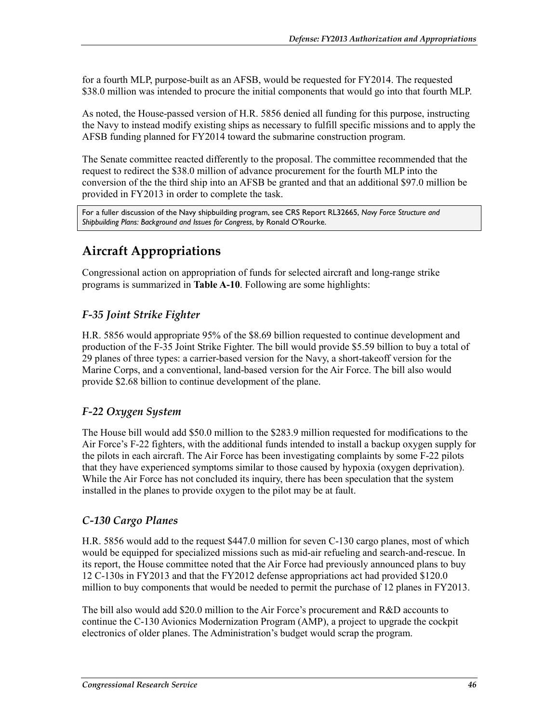for a fourth MLP, purpose-built as an AFSB, would be requested for FY2014. The requested \$38.0 million was intended to procure the initial components that would go into that fourth MLP.

As noted, the House-passed version of H.R. 5856 denied all funding for this purpose, instructing the Navy to instead modify existing ships as necessary to fulfill specific missions and to apply the AFSB funding planned for FY2014 toward the submarine construction program.

The Senate committee reacted differently to the proposal. The committee recommended that the request to redirect the \$38.0 million of advance procurement for the fourth MLP into the conversion of the the third ship into an AFSB be granted and that an additional \$97.0 million be provided in FY2013 in order to complete the task.

For a fuller discussion of the Navy shipbuilding program, see CRS Report RL32665, *Navy Force Structure and Shipbuilding Plans: Background and Issues for Congress*, by Ronald O'Rourke.

## **Aircraft Appropriations**

Congressional action on appropriation of funds for selected aircraft and long-range strike programs is summarized in **Table A-10**. Following are some highlights:

### *F-35 Joint Strike Fighter*

H.R. 5856 would appropriate 95% of the \$8.69 billion requested to continue development and production of the F-35 Joint Strike Fighter. The bill would provide \$5.59 billion to buy a total of 29 planes of three types: a carrier-based version for the Navy, a short-takeoff version for the Marine Corps, and a conventional, land-based version for the Air Force. The bill also would provide \$2.68 billion to continue development of the plane.

### *F-22 Oxygen System*

The House bill would add \$50.0 million to the \$283.9 million requested for modifications to the Air Force's F-22 fighters, with the additional funds intended to install a backup oxygen supply for the pilots in each aircraft. The Air Force has been investigating complaints by some F-22 pilots that they have experienced symptoms similar to those caused by hypoxia (oxygen deprivation). While the Air Force has not concluded its inquiry, there has been speculation that the system installed in the planes to provide oxygen to the pilot may be at fault.

### *C-130 Cargo Planes*

H.R. 5856 would add to the request \$447.0 million for seven C-130 cargo planes, most of which would be equipped for specialized missions such as mid-air refueling and search-and-rescue. In its report, the House committee noted that the Air Force had previously announced plans to buy 12 C-130s in FY2013 and that the FY2012 defense appropriations act had provided \$120.0 million to buy components that would be needed to permit the purchase of 12 planes in FY2013.

The bill also would add \$20.0 million to the Air Force's procurement and R&D accounts to continue the C-130 Avionics Modernization Program (AMP), a project to upgrade the cockpit electronics of older planes. The Administration's budget would scrap the program.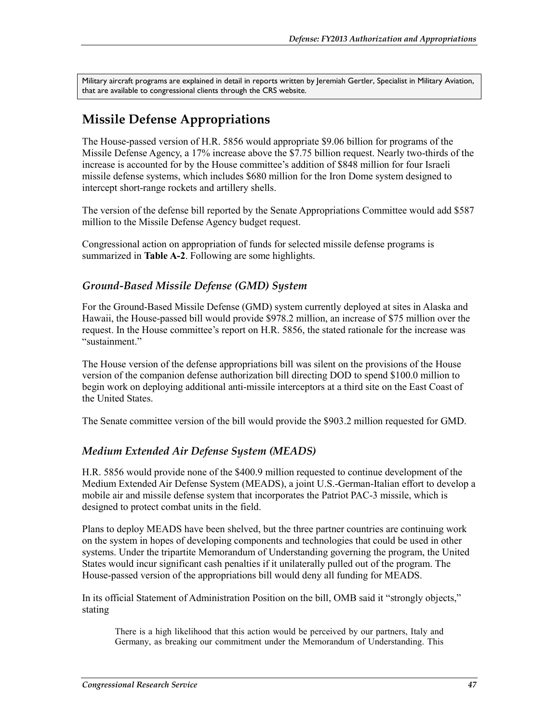Military aircraft programs are explained in detail in reports written by Jeremiah Gertler, Specialist in Military Aviation, that are available to congressional clients through the CRS website.

## **Missile Defense Appropriations**

The House-passed version of H.R. 5856 would appropriate \$9.06 billion for programs of the Missile Defense Agency, a 17% increase above the \$7.75 billion request. Nearly two-thirds of the increase is accounted for by the House committee's addition of \$848 million for four Israeli missile defense systems, which includes \$680 million for the Iron Dome system designed to intercept short-range rockets and artillery shells.

The version of the defense bill reported by the Senate Appropriations Committee would add \$587 million to the Missile Defense Agency budget request.

Congressional action on appropriation of funds for selected missile defense programs is summarized in **Table A-2**. Following are some highlights.

### *Ground-Based Missile Defense (GMD) System*

For the Ground-Based Missile Defense (GMD) system currently deployed at sites in Alaska and Hawaii, the House-passed bill would provide \$978.2 million, an increase of \$75 million over the request. In the House committee's report on H.R. 5856, the stated rationale for the increase was "sustainment."

The House version of the defense appropriations bill was silent on the provisions of the House version of the companion defense authorization bill directing DOD to spend \$100.0 million to begin work on deploying additional anti-missile interceptors at a third site on the East Coast of the United States.

The Senate committee version of the bill would provide the \$903.2 million requested for GMD.

### *Medium Extended Air Defense System (MEADS)*

H.R. 5856 would provide none of the \$400.9 million requested to continue development of the Medium Extended Air Defense System (MEADS), a joint U.S.-German-Italian effort to develop a mobile air and missile defense system that incorporates the Patriot PAC-3 missile, which is designed to protect combat units in the field.

Plans to deploy MEADS have been shelved, but the three partner countries are continuing work on the system in hopes of developing components and technologies that could be used in other systems. Under the tripartite Memorandum of Understanding governing the program, the United States would incur significant cash penalties if it unilaterally pulled out of the program. The House-passed version of the appropriations bill would deny all funding for MEADS.

In its official Statement of Administration Position on the bill, OMB said it "strongly objects," stating

There is a high likelihood that this action would be perceived by our partners, Italy and Germany, as breaking our commitment under the Memorandum of Understanding. This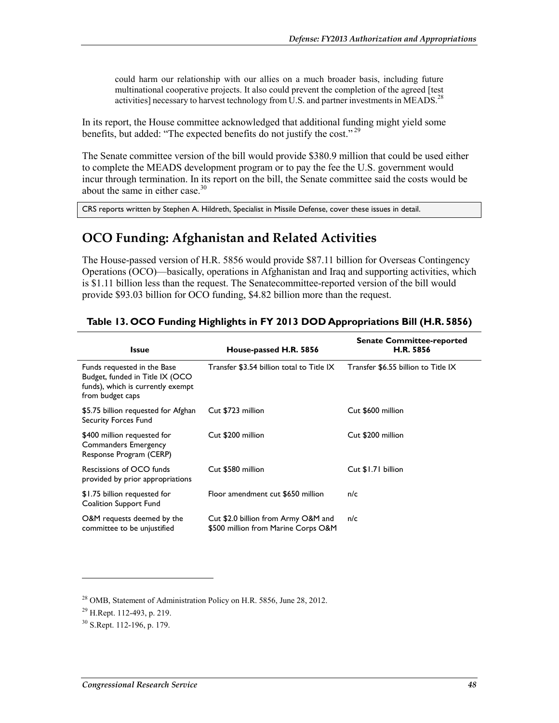could harm our relationship with our allies on a much broader basis, including future multinational cooperative projects. It also could prevent the completion of the agreed [test activities] necessary to harvest technology from U.S. and partner investments in MEADS.<sup>28</sup>

In its report, the House committee acknowledged that additional funding might yield some benefits, but added: "The expected benefits do not justify the cost."<sup>29</sup>

The Senate committee version of the bill would provide \$380.9 million that could be used either to complete the MEADS development program or to pay the fee the U.S. government would incur through termination. In its report on the bill, the Senate committee said the costs would be about the same in either case.<sup>30</sup>

CRS reports written by Stephen A. Hildreth, Specialist in Missile Defense, cover these issues in detail.

## **OCO Funding: Afghanistan and Related Activities**

The House-passed version of H.R. 5856 would provide \$87.11 billion for Overseas Contingency Operations (OCO)—basically, operations in Afghanistan and Iraq and supporting activities, which is \$1.11 billion less than the request. The Senatecommittee-reported version of the bill would provide \$93.03 billion for OCO funding, \$4.82 billion more than the request.

| <b>Issue</b>                                                                                                            | House-passed H.R. 5856                                                     | <b>Senate Committee-reported</b><br>H.R. 5856 |
|-------------------------------------------------------------------------------------------------------------------------|----------------------------------------------------------------------------|-----------------------------------------------|
| Funds requested in the Base<br>Budget, funded in Title IX (OCO<br>funds), which is currently exempt<br>from budget caps | Transfer \$3.54 billion total to Title IX                                  | Transfer \$6.55 billion to Title IX           |
| \$5.75 billion requested for Afghan<br><b>Security Forces Fund</b>                                                      | Cut \$723 million                                                          | Cut \$600 million                             |
| \$400 million requested for<br>Commanders Emergency<br>Response Program (CERP)                                          | Cut \$200 million                                                          | Cut \$200 million                             |
| Rescissions of OCO funds<br>provided by prior appropriations                                                            | Cut \$580 million                                                          | Cut \$1.71 billion                            |
| \$1.75 billion requested for<br>Coalition Support Fund                                                                  | Floor amendment cut \$650 million                                          | n/c                                           |
| O&M requests deemed by the<br>committee to be unjustified                                                               | Cut \$2.0 billion from Army O&M and<br>\$500 million from Marine Corps O&M | n/c                                           |

#### **Table 13. OCO Funding Highlights in FY 2013 DOD Appropriations Bill (H.R. 5856)**

<u>.</u>

<sup>&</sup>lt;sup>28</sup> OMB, Statement of Administration Policy on H.R. 5856, June 28, 2012.

<sup>29</sup> H.Rept. 112-493, p. 219.

<sup>30</sup> S.Rept. 112-196, p. 179.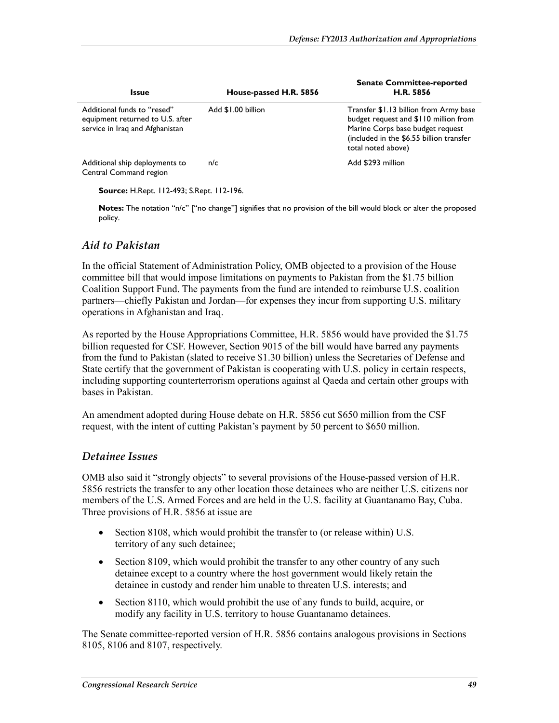| <b>Issue</b>                                                                                       | House-passed H.R. 5856 | <b>Senate Committee-reported</b><br>H.R. 5856                                                                                                                                         |
|----------------------------------------------------------------------------------------------------|------------------------|---------------------------------------------------------------------------------------------------------------------------------------------------------------------------------------|
| Additional funds to "resed"<br>equipment returned to U.S. after<br>service in Iraq and Afghanistan | Add \$1.00 billion     | Transfer \$1.13 billion from Army base<br>budget request and \$110 million from<br>Marine Corps base budget request<br>(included in the \$6.55 billion transfer<br>total noted above) |
| Additional ship deployments to<br>Central Command region                                           | n/c                    | Add \$293 million                                                                                                                                                                     |

**Source:** H.Rept. 112-493; S.Rept. 112-196.

**Notes:** The notation "n/c" ["no change"] signifies that no provision of the bill would block or alter the proposed policy.

#### *Aid to Pakistan*

In the official Statement of Administration Policy, OMB objected to a provision of the House committee bill that would impose limitations on payments to Pakistan from the \$1.75 billion Coalition Support Fund. The payments from the fund are intended to reimburse U.S. coalition partners—chiefly Pakistan and Jordan—for expenses they incur from supporting U.S. military operations in Afghanistan and Iraq.

As reported by the House Appropriations Committee, H.R. 5856 would have provided the \$1.75 billion requested for CSF. However, Section 9015 of the bill would have barred any payments from the fund to Pakistan (slated to receive \$1.30 billion) unless the Secretaries of Defense and State certify that the government of Pakistan is cooperating with U.S. policy in certain respects, including supporting counterterrorism operations against al Qaeda and certain other groups with bases in Pakistan.

An amendment adopted during House debate on H.R. 5856 cut \$650 million from the CSF request, with the intent of cutting Pakistan's payment by 50 percent to \$650 million.

#### *Detainee Issues*

OMB also said it "strongly objects" to several provisions of the House-passed version of H.R. 5856 restricts the transfer to any other location those detainees who are neither U.S. citizens nor members of the U.S. Armed Forces and are held in the U.S. facility at Guantanamo Bay, Cuba. Three provisions of H.R. 5856 at issue are

- Section 8108, which would prohibit the transfer to (or release within) U.S. territory of any such detainee;
- Section 8109, which would prohibit the transfer to any other country of any such detainee except to a country where the host government would likely retain the detainee in custody and render him unable to threaten U.S. interests; and
- Section 8110, which would prohibit the use of any funds to build, acquire, or modify any facility in U.S. territory to house Guantanamo detainees.

The Senate committee-reported version of H.R. 5856 contains analogous provisions in Sections 8105, 8106 and 8107, respectively.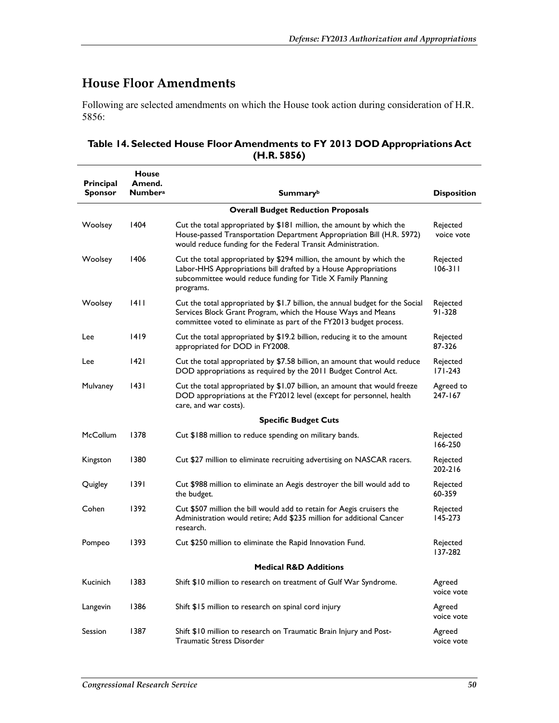## **House Floor Amendments**

Following are selected amendments on which the House took action during consideration of H.R. 5856:

| Table 14. Selected House Floor Amendments to FY 2013 DOD Appropriations Act |
|-----------------------------------------------------------------------------|
| (H.R. 5856)                                                                 |

| Principal<br><b>Sponsor</b> | <b>House</b><br>Amend.<br><b>Numbera</b> | <b>Summary</b> b                                                                                                                                                                                                      | <b>Disposition</b>      |
|-----------------------------|------------------------------------------|-----------------------------------------------------------------------------------------------------------------------------------------------------------------------------------------------------------------------|-------------------------|
|                             |                                          | <b>Overall Budget Reduction Proposals</b>                                                                                                                                                                             |                         |
| Woolsey                     | 1404                                     | Cut the total appropriated by \$181 million, the amount by which the<br>House-passed Transportation Department Appropriation Bill (H.R. 5972)<br>would reduce funding for the Federal Transit Administration.         | Rejected<br>voice vote  |
| Woolsey                     | 1406                                     | Cut the total appropriated by \$294 million, the amount by which the<br>Labor-HHS Appropriations bill drafted by a House Appropriations<br>subcommittee would reduce funding for Title X Family Planning<br>programs. | Rejected<br>$106 - 311$ |
| Woolsey                     | 1411                                     | Cut the total appropriated by \$1.7 billion, the annual budget for the Social<br>Services Block Grant Program, which the House Ways and Means<br>committee voted to eliminate as part of the FY2013 budget process.   | Rejected<br>91-328      |
| Lee                         | 1419                                     | Cut the total appropriated by \$19.2 billion, reducing it to the amount<br>appropriated for DOD in FY2008.                                                                                                            | Rejected<br>87-326      |
| Lee                         | 1421                                     | Cut the total appropriated by \$7.58 billion, an amount that would reduce<br>DOD appropriations as required by the 2011 Budget Control Act.                                                                           | Rejected<br>$171 - 243$ |
| Mulvaney                    | 43                                       | Cut the total appropriated by \$1.07 billion, an amount that would freeze<br>DOD appropriations at the FY2012 level (except for personnel, health<br>care, and war costs).                                            | Agreed to<br>247-167    |
|                             |                                          | <b>Specific Budget Cuts</b>                                                                                                                                                                                           |                         |
| <b>McCollum</b>             | 1378                                     | Cut \$188 million to reduce spending on military bands.                                                                                                                                                               | Rejected<br>166-250     |
| Kingston                    | 1380                                     | Cut \$27 million to eliminate recruiting advertising on NASCAR racers.                                                                                                                                                | Rejected<br>202-216     |
| Quigley                     | 1391                                     | Cut \$988 million to eliminate an Aegis destroyer the bill would add to<br>the budget.                                                                                                                                | Rejected<br>60-359      |
| Cohen                       | 1392                                     | Cut \$507 million the bill would add to retain for Aegis cruisers the<br>Administration would retire; Add \$235 million for additional Cancer<br>research.                                                            | Rejected<br>145-273     |
| Pompeo                      | 1393                                     | Cut \$250 million to eliminate the Rapid Innovation Fund.                                                                                                                                                             | Rejected<br>137-282     |
|                             |                                          | <b>Medical R&amp;D Additions</b>                                                                                                                                                                                      |                         |
| Kucinich                    | 1383                                     | Shift \$10 million to research on treatment of Gulf War Syndrome.                                                                                                                                                     | Agreed<br>voice vote    |
| Langevin                    | 1386                                     | Shift \$15 million to research on spinal cord injury                                                                                                                                                                  | Agreed<br>voice vote    |
| Session                     | 1387                                     | Shift \$10 million to research on Traumatic Brain Injury and Post-<br>Traumatic Stress Disorder                                                                                                                       | Agreed<br>voice vote    |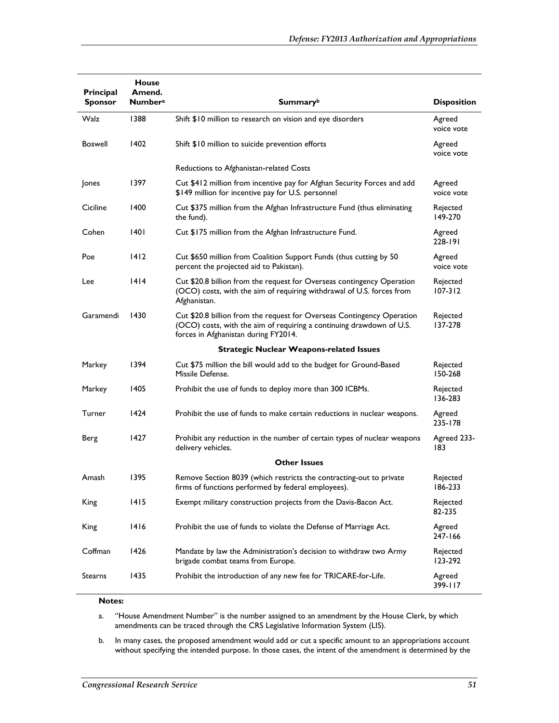| Principal<br><b>Sponsor</b> | <b>House</b><br>Amend.<br><b>Numbera</b> | Summaryb                                                                                                                                                                               | <b>Disposition</b>      |
|-----------------------------|------------------------------------------|----------------------------------------------------------------------------------------------------------------------------------------------------------------------------------------|-------------------------|
|                             |                                          |                                                                                                                                                                                        |                         |
| Walz                        | 1388                                     | Shift \$10 million to research on vision and eye disorders                                                                                                                             | Agreed<br>voice vote    |
| <b>Boswell</b>              | 1402                                     | Shift \$10 million to suicide prevention efforts                                                                                                                                       | Agreed<br>voice vote    |
|                             |                                          | Reductions to Afghanistan-related Costs                                                                                                                                                |                         |
| Jones                       | 1397                                     | Cut \$412 million from incentive pay for Afghan Security Forces and add<br>\$149 million for incentive pay for U.S. personnel                                                          | Agreed<br>voice vote    |
| Ciciline                    | 1400                                     | Cut \$375 million from the Afghan Infrastructure Fund (thus eliminating<br>the fund).                                                                                                  | Rejected<br>149-270     |
| Cohen                       | 1401                                     | Cut \$175 million from the Afghan Infrastructure Fund.                                                                                                                                 | Agreed<br>228-191       |
| Poe                         | 1412                                     | Cut \$650 million from Coalition Support Funds (thus cutting by 50<br>percent the projected aid to Pakistan).                                                                          | Agreed<br>voice vote    |
| Lee                         | 1414                                     | Cut \$20.8 billion from the request for Overseas contingency Operation<br>(OCO) costs, with the aim of requiring withdrawal of U.S. forces from<br>Afghanistan.                        | Rejected<br>$107 - 312$ |
| Garamendi                   | 1430                                     | Cut \$20.8 billion from the request for Overseas Contingency Operation<br>(OCO) costs, with the aim of requiring a continuing drawdown of U.S.<br>forces in Afghanistan during FY2014. | Rejected<br>137-278     |
|                             |                                          | <b>Strategic Nuclear Weapons-related Issues</b>                                                                                                                                        |                         |
| Markey                      | 1394                                     | Cut \$75 million the bill would add to the budget for Ground-Based<br>Missile Defense.                                                                                                 | Rejected<br>150-268     |
| Markey                      | 1405                                     | Prohibit the use of funds to deploy more than 300 ICBMs.                                                                                                                               | Rejected<br>136-283     |
| <b>Turner</b>               | 1424                                     | Prohibit the use of funds to make certain reductions in nuclear weapons.                                                                                                               | Agreed<br>235-178       |
| Berg                        | 1427                                     | Prohibit any reduction in the number of certain types of nuclear weapons<br>delivery vehicles.                                                                                         | Agreed 233-<br>183      |
|                             |                                          | <b>Other Issues</b>                                                                                                                                                                    |                         |
| Amash                       | 1395                                     | Remove Section 8039 (which restricts the contracting-out to private<br>firms of functions performed by federal employees).                                                             | Rejected<br>186-233     |
| King                        | 1415                                     | Exempt military construction projects from the Davis-Bacon Act.                                                                                                                        | Rejected<br>82-235      |
| King                        | 1416                                     | Prohibit the use of funds to violate the Defense of Marriage Act.                                                                                                                      | Agreed<br>247-166       |
| Coffman                     | 1426                                     | Mandate by law the Administration's decision to withdraw two Army<br>brigade combat teams from Europe.                                                                                 | Rejected<br>123-292     |
| <b>Stearns</b>              | 1435                                     | Prohibit the introduction of any new fee for TRICARE-for-Life.                                                                                                                         | Agreed<br>399-117       |

#### **Notes:**

a. "House Amendment Number" is the number assigned to an amendment by the House Clerk, by which amendments can be traced through the CRS Legislative Information System (LIS).

b. In many cases, the proposed amendment would add or cut a specific amount to an appropriations account without specifying the intended purpose. In those cases, the intent of the amendment is determined by the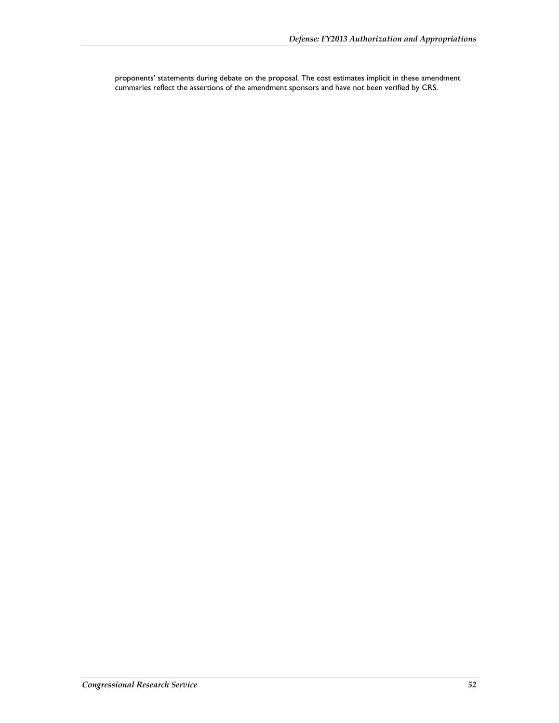proponents' statements during debate on the proposal. The cost estimates implicit in these amendment cummaries reflect the assertions of the amendment sponsors and have not been verified by CRS.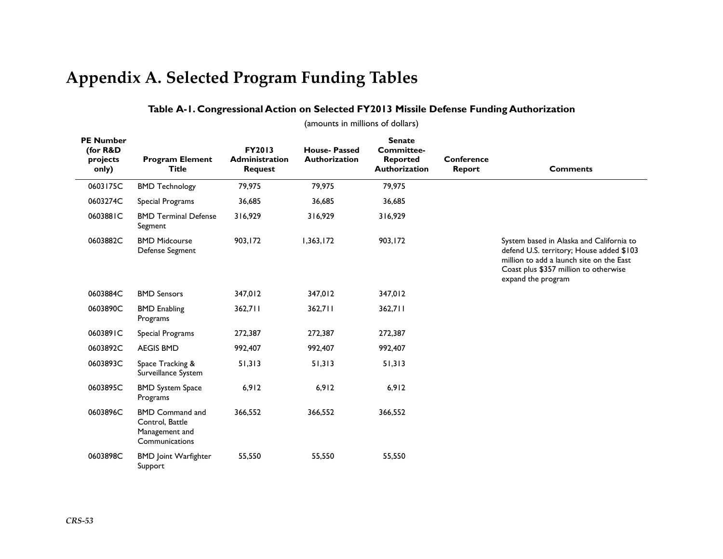# **Appendix A. Selected Program Funding Tables**

### **Table A-1. Congressional Action on Selected FY2013 Missile Defense Funding Authorization**

(amounts in millions of dollars)

| <b>PE Number</b><br>(for R&D<br>projects<br>only) | <b>Program Element</b><br><b>Title</b>                                        | FY2013<br><b>Administration</b><br><b>Request</b> | <b>House-Passed</b><br><b>Authorization</b> | <b>Senate</b><br>Committee-<br>Reported<br>Authorization | Conference<br><b>Report</b> | <b>Comments</b>                                                                                                                                                                                 |  |  |  |
|---------------------------------------------------|-------------------------------------------------------------------------------|---------------------------------------------------|---------------------------------------------|----------------------------------------------------------|-----------------------------|-------------------------------------------------------------------------------------------------------------------------------------------------------------------------------------------------|--|--|--|
| 0603175C                                          | <b>BMD Technology</b>                                                         | 79,975                                            | 79,975                                      | 79,975                                                   |                             |                                                                                                                                                                                                 |  |  |  |
| 0603274C                                          | Special Programs                                                              | 36,685                                            | 36,685                                      | 36,685                                                   |                             |                                                                                                                                                                                                 |  |  |  |
| 0603881C                                          | <b>BMD Terminal Defense</b><br>Segment                                        | 316,929                                           | 316,929                                     | 316,929                                                  |                             |                                                                                                                                                                                                 |  |  |  |
| 0603882C                                          | <b>BMD Midcourse</b><br>Defense Segment                                       | 903,172                                           | 1,363,172                                   | 903,172                                                  |                             | System based in Alaska and California to<br>defend U.S. territory; House added \$103<br>million to add a launch site on the East<br>Coast plus \$357 million to otherwise<br>expand the program |  |  |  |
| 0603884C                                          | <b>BMD Sensors</b>                                                            | 347,012                                           | 347,012                                     | 347,012                                                  |                             |                                                                                                                                                                                                 |  |  |  |
| 0603890C                                          | <b>BMD Enabling</b><br>Programs                                               | 362,711                                           | 362,711                                     | 362,711                                                  |                             |                                                                                                                                                                                                 |  |  |  |
| 0603891C                                          | Special Programs                                                              | 272,387                                           | 272,387                                     | 272,387                                                  |                             |                                                                                                                                                                                                 |  |  |  |
| 0603892C                                          | <b>AEGIS BMD</b>                                                              | 992,407                                           | 992,407                                     | 992,407                                                  |                             |                                                                                                                                                                                                 |  |  |  |
| 0603893C                                          | Space Tracking &<br>Surveillance System                                       | 51,313                                            | 51,313                                      | 51,313                                                   |                             |                                                                                                                                                                                                 |  |  |  |
| 0603895C                                          | <b>BMD System Space</b><br>Programs                                           | 6,912                                             | 6,912                                       | 6,912                                                    |                             |                                                                                                                                                                                                 |  |  |  |
| 0603896C                                          | <b>BMD Command and</b><br>Control, Battle<br>Management and<br>Communications | 366,552                                           | 366,552                                     | 366,552                                                  |                             |                                                                                                                                                                                                 |  |  |  |
| 0603898C                                          | <b>BMD</b> Joint Warfighter<br>Support                                        | 55,550                                            | 55,550                                      | 55,550                                                   |                             |                                                                                                                                                                                                 |  |  |  |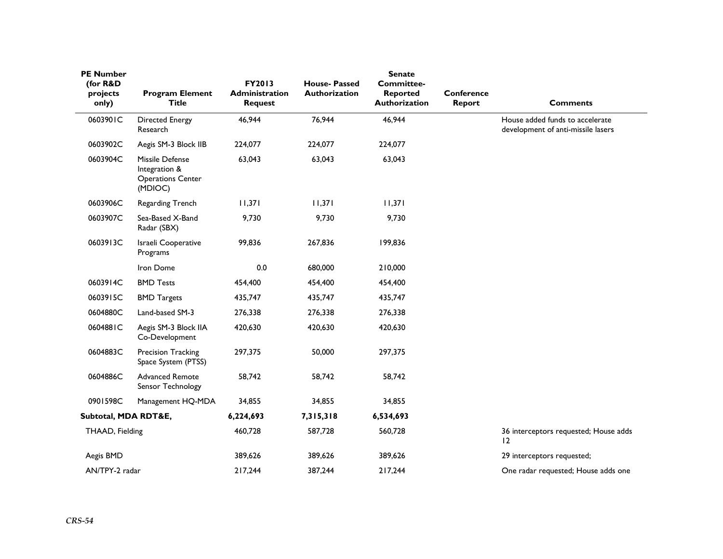| <b>PE Number</b><br>(for R&D |                                                                         | FY2013                                  | <b>House-Passed</b>  | <b>Senate</b><br><b>Committee-</b> |                             |                                                                       |
|------------------------------|-------------------------------------------------------------------------|-----------------------------------------|----------------------|------------------------------------|-----------------------------|-----------------------------------------------------------------------|
| projects<br>only)            | <b>Program Element</b><br><b>Title</b>                                  | <b>Administration</b><br><b>Request</b> | <b>Authorization</b> | <b>Reported</b><br>Authorization   | <b>Conference</b><br>Report | <b>Comments</b>                                                       |
| 0603901C                     | <b>Directed Energy</b><br>Research                                      | 46,944                                  | 76,944               | 46,944                             |                             | House added funds to accelerate<br>development of anti-missile lasers |
| 0603902C                     | Aegis SM-3 Block IIB                                                    | 224,077                                 | 224,077              | 224,077                            |                             |                                                                       |
| 0603904C                     | Missile Defense<br>Integration &<br><b>Operations Center</b><br>(MDIOC) | 63,043                                  | 63,043               | 63,043                             |                             |                                                                       |
| 0603906C                     | Regarding Trench                                                        | 11,371                                  | 11,371               | 11,371                             |                             |                                                                       |
| 0603907C                     | Sea-Based X-Band<br>Radar (SBX)                                         | 9,730                                   | 9,730                | 9,730                              |                             |                                                                       |
| 0603913C                     | Israeli Cooperative<br>Programs                                         | 99,836                                  | 267,836              | 199,836                            |                             |                                                                       |
|                              | Iron Dome                                                               | 0.0                                     | 680,000              | 210,000                            |                             |                                                                       |
| 0603914C                     | <b>BMD Tests</b>                                                        | 454,400                                 | 454,400              | 454,400                            |                             |                                                                       |
| 0603915C                     | <b>BMD Targets</b>                                                      | 435,747                                 | 435,747              | 435,747                            |                             |                                                                       |
| 0604880C                     | Land-based SM-3                                                         | 276,338                                 | 276,338              | 276,338                            |                             |                                                                       |
| 0604881C                     | Aegis SM-3 Block IIA<br>Co-Development                                  | 420,630                                 | 420,630              | 420,630                            |                             |                                                                       |
| 0604883C                     | Precision Tracking<br>Space System (PTSS)                               | 297,375                                 | 50,000               | 297,375                            |                             |                                                                       |
| 0604886C                     | <b>Advanced Remote</b><br>Sensor Technology                             | 58,742                                  | 58,742               | 58,742                             |                             |                                                                       |
| 0901598C                     | Management HQ-MDA                                                       | 34,855                                  | 34,855               | 34,855                             |                             |                                                                       |
| Subtotal, MDA RDT&E,         |                                                                         | 6,224,693                               | 7,315,318            | 6,534,693                          |                             |                                                                       |
| THAAD, Fielding              |                                                                         | 460,728                                 | 587,728              | 560,728                            |                             | 36 interceptors requested; House adds<br>12                           |
| Aegis BMD                    |                                                                         | 389,626                                 | 389,626              | 389,626                            |                             | 29 interceptors requested;                                            |
| AN/TPY-2 radar               |                                                                         | 217,244                                 | 387,244              | 217,244                            |                             | One radar requested; House adds one                                   |
|                              |                                                                         |                                         |                      |                                    |                             |                                                                       |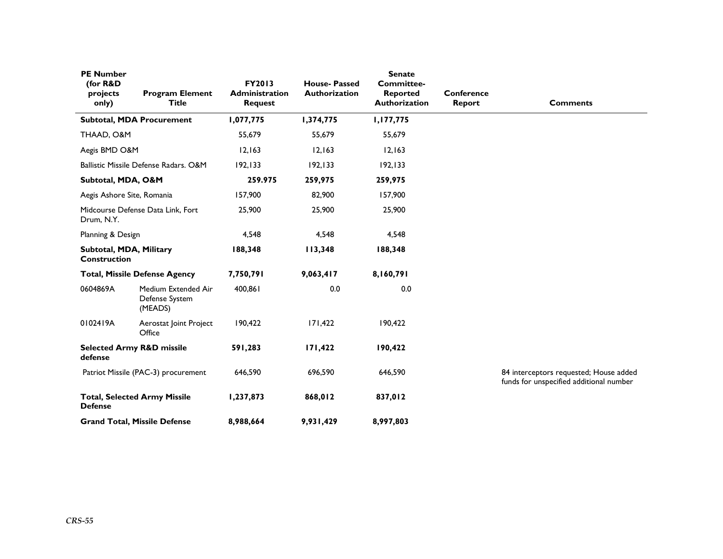| <b>PE Number</b><br>(for R&D<br>projects<br>only) | <b>Program Element</b><br><b>Title</b>           | <b>FY2013</b><br><b>Administration</b><br><b>Request</b> | <b>House-Passed</b><br>Authorization | <b>Senate</b><br><b>Committee-</b><br><b>Reported</b><br>Authorization | Conference<br>Report | <b>Comments</b>                                                                   |
|---------------------------------------------------|--------------------------------------------------|----------------------------------------------------------|--------------------------------------|------------------------------------------------------------------------|----------------------|-----------------------------------------------------------------------------------|
|                                                   | <b>Subtotal, MDA Procurement</b>                 | 1,077,775                                                | 1,374,775                            | 1,177,775                                                              |                      |                                                                                   |
| THAAD, O&M                                        |                                                  | 55,679                                                   | 55,679                               | 55,679                                                                 |                      |                                                                                   |
| Aegis BMD O&M                                     |                                                  | 12,163                                                   | 12,163                               | 12,163                                                                 |                      |                                                                                   |
|                                                   | Ballistic Missile Defense Radars, O&M            | 192, 133                                                 | 192, 133                             | 192, 133                                                               |                      |                                                                                   |
| Subtotal, MDA, O&M                                |                                                  | 259.975                                                  | 259,975                              | 259,975                                                                |                      |                                                                                   |
| Aegis Ashore Site, Romania                        |                                                  | 157,900                                                  | 82,900                               | 157,900                                                                |                      |                                                                                   |
| Drum, N.Y.                                        | Midcourse Defense Data Link, Fort                | 25,900                                                   | 25,900                               | 25,900                                                                 |                      |                                                                                   |
| Planning & Design                                 |                                                  | 4,548                                                    | 4,548                                | 4,548                                                                  |                      |                                                                                   |
| Subtotal, MDA, Military<br><b>Construction</b>    |                                                  | 188,348                                                  | 113,348                              | 188,348                                                                |                      |                                                                                   |
|                                                   | <b>Total, Missile Defense Agency</b>             | 7,750,791                                                | 9,063,417                            | 8,160,791                                                              |                      |                                                                                   |
| 0604869A                                          | Medium Extended Air<br>Defense System<br>(MEADS) | 400,861                                                  | 0.0                                  | 0.0                                                                    |                      |                                                                                   |
| 0102419A                                          | Aerostat Joint Project<br>Office                 | 190,422                                                  | 171,422                              | 190,422                                                                |                      |                                                                                   |
| defense                                           | <b>Selected Army R&amp;D missile</b>             | 591,283                                                  | 171,422                              | 190,422                                                                |                      |                                                                                   |
|                                                   | Patriot Missile (PAC-3) procurement              | 646,590                                                  | 696,590                              | 646,590                                                                |                      | 84 interceptors requested; House added<br>funds for unspecified additional number |
| <b>Defense</b>                                    | <b>Total, Selected Army Missile</b>              | 1,237,873                                                | 868,012                              | 837,012                                                                |                      |                                                                                   |
|                                                   | <b>Grand Total, Missile Defense</b>              | 8,988,664                                                | 9,931,429                            | 8,997,803                                                              |                      |                                                                                   |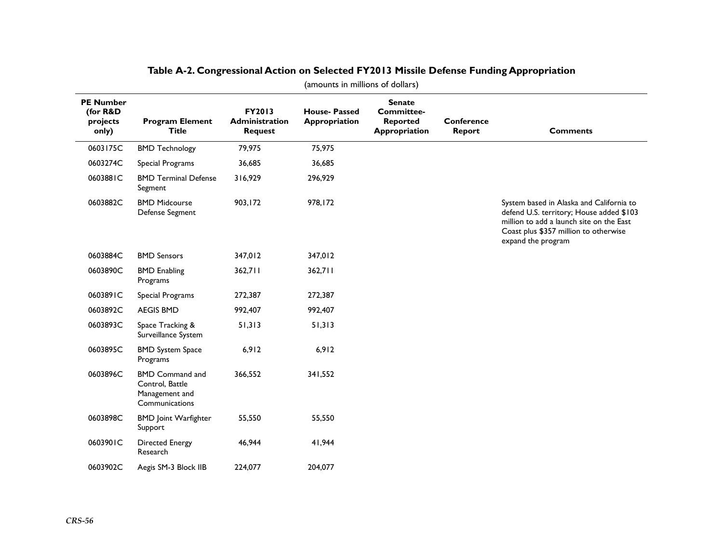| <b>PE Number</b><br>(for R&D<br>projects<br>only) | <b>Program Element</b><br><b>Title</b>                                        | FY2013<br><b>Administration</b><br><b>Request</b> | <b>House-Passed</b><br>Appropriation | <b>Senate</b><br><b>Committee-</b><br><b>Reported</b><br>Appropriation | <b>Conference</b><br>Report | <b>Comments</b>                                                                                                                                                                                 |
|---------------------------------------------------|-------------------------------------------------------------------------------|---------------------------------------------------|--------------------------------------|------------------------------------------------------------------------|-----------------------------|-------------------------------------------------------------------------------------------------------------------------------------------------------------------------------------------------|
| 0603175C                                          | <b>BMD Technology</b>                                                         | 79,975                                            | 75,975                               |                                                                        |                             |                                                                                                                                                                                                 |
| 0603274C                                          | Special Programs                                                              | 36,685                                            | 36,685                               |                                                                        |                             |                                                                                                                                                                                                 |
| 0603881C                                          | <b>BMD Terminal Defense</b><br>Segment                                        | 316,929                                           | 296,929                              |                                                                        |                             |                                                                                                                                                                                                 |
| 0603882C                                          | <b>BMD Midcourse</b><br>Defense Segment                                       | 903,172                                           | 978,172                              |                                                                        |                             | System based in Alaska and California to<br>defend U.S. territory; House added \$103<br>million to add a launch site on the East<br>Coast plus \$357 million to otherwise<br>expand the program |
| 0603884C                                          | <b>BMD Sensors</b>                                                            | 347,012                                           | 347,012                              |                                                                        |                             |                                                                                                                                                                                                 |
| 0603890C                                          | <b>BMD</b> Enabling<br>Programs                                               | 362,711                                           | 362,711                              |                                                                        |                             |                                                                                                                                                                                                 |
| 0603891C                                          | Special Programs                                                              | 272,387                                           | 272,387                              |                                                                        |                             |                                                                                                                                                                                                 |
| 0603892C                                          | <b>AEGIS BMD</b>                                                              | 992,407                                           | 992,407                              |                                                                        |                             |                                                                                                                                                                                                 |
| 0603893C                                          | Space Tracking &<br>Surveillance System                                       | 51,313                                            | 51,313                               |                                                                        |                             |                                                                                                                                                                                                 |
| 0603895C                                          | <b>BMD System Space</b><br>Programs                                           | 6,912                                             | 6,912                                |                                                                        |                             |                                                                                                                                                                                                 |
| 0603896C                                          | <b>BMD Command and</b><br>Control, Battle<br>Management and<br>Communications | 366,552                                           | 341,552                              |                                                                        |                             |                                                                                                                                                                                                 |
| 0603898C                                          | <b>BMD</b> Joint Warfighter<br>Support                                        | 55,550                                            | 55,550                               |                                                                        |                             |                                                                                                                                                                                                 |
| 0603901C                                          | <b>Directed Energy</b><br>Research                                            | 46,944                                            | 41,944                               |                                                                        |                             |                                                                                                                                                                                                 |
| 0603902C                                          | Aegis SM-3 Block IIB                                                          | 224,077                                           | 204,077                              |                                                                        |                             |                                                                                                                                                                                                 |

### **Table A-2. Congressional Action on Selected FY2013 Missile Defense Funding Appropriation**

(amounts in millions of dollars)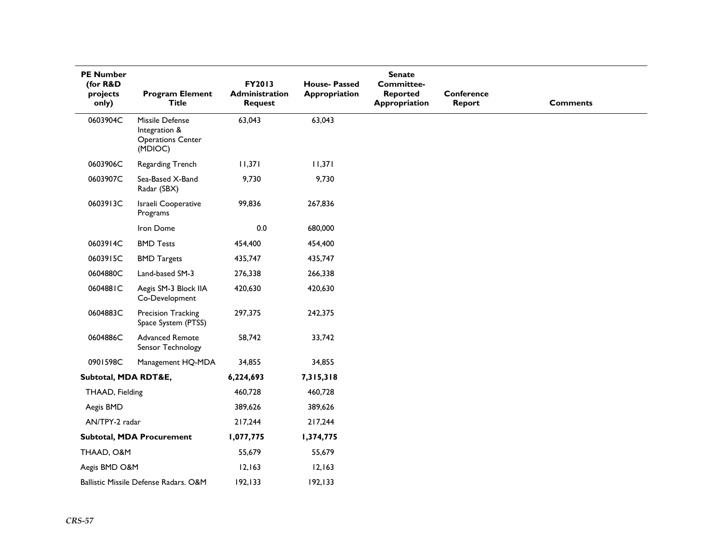| <b>PE Number</b><br>(for R&D<br>projects<br>only) | <b>Program Element</b><br><b>Title</b>                                  | FY2013<br>Administration<br><b>Request</b> | <b>House-Passed</b><br>Appropriation | <b>Senate</b><br><b>Committee-</b><br><b>Reported</b><br>Appropriation | <b>Conference</b><br>Report | <b>Comments</b> |
|---------------------------------------------------|-------------------------------------------------------------------------|--------------------------------------------|--------------------------------------|------------------------------------------------------------------------|-----------------------------|-----------------|
| 0603904C                                          | Missile Defense<br>Integration &<br><b>Operations Center</b><br>(MDIOC) | 63,043                                     | 63,043                               |                                                                        |                             |                 |
| 0603906C                                          | Regarding Trench                                                        | 11,371                                     | 11,371                               |                                                                        |                             |                 |
| 0603907C                                          | Sea-Based X-Band<br>Radar (SBX)                                         | 9,730                                      | 9,730                                |                                                                        |                             |                 |
| 0603913C                                          | Israeli Cooperative<br>Programs                                         | 99,836                                     | 267,836                              |                                                                        |                             |                 |
|                                                   | Iron Dome                                                               | 0.0                                        | 680,000                              |                                                                        |                             |                 |
| 0603914C                                          | <b>BMD Tests</b>                                                        | 454,400                                    | 454,400                              |                                                                        |                             |                 |
| 0603915C                                          | <b>BMD Targets</b>                                                      | 435,747                                    | 435,747                              |                                                                        |                             |                 |
| 0604880C                                          | Land-based SM-3                                                         | 276,338                                    | 266,338                              |                                                                        |                             |                 |
| 0604881C                                          | Aegis SM-3 Block IIA<br>Co-Development                                  | 420,630                                    | 420,630                              |                                                                        |                             |                 |
| 0604883C                                          | Precision Tracking<br>Space System (PTSS)                               | 297,375                                    | 242,375                              |                                                                        |                             |                 |
| 0604886C                                          | Advanced Remote<br>Sensor Technology                                    | 58,742                                     | 33,742                               |                                                                        |                             |                 |
| 0901598C                                          | Management HQ-MDA                                                       | 34,855                                     | 34,855                               |                                                                        |                             |                 |
| Subtotal, MDA RDT&E,                              |                                                                         | 6,224,693                                  | 7,315,318                            |                                                                        |                             |                 |
| THAAD, Fielding                                   |                                                                         | 460,728                                    | 460,728                              |                                                                        |                             |                 |
| Aegis BMD                                         |                                                                         | 389,626                                    | 389,626                              |                                                                        |                             |                 |
| AN/TPY-2 radar                                    |                                                                         | 217,244                                    | 217,244                              |                                                                        |                             |                 |
|                                                   | Subtotal, MDA Procurement                                               | 1,077,775                                  | 1,374,775                            |                                                                        |                             |                 |
| THAAD, O&M                                        |                                                                         | 55,679                                     | 55,679                               |                                                                        |                             |                 |
| Aegis BMD O&M                                     |                                                                         | 12,163                                     | 12,163                               |                                                                        |                             |                 |
|                                                   | Ballistic Missile Defense Radars. O&M                                   | 192,133                                    | 192, 133                             |                                                                        |                             |                 |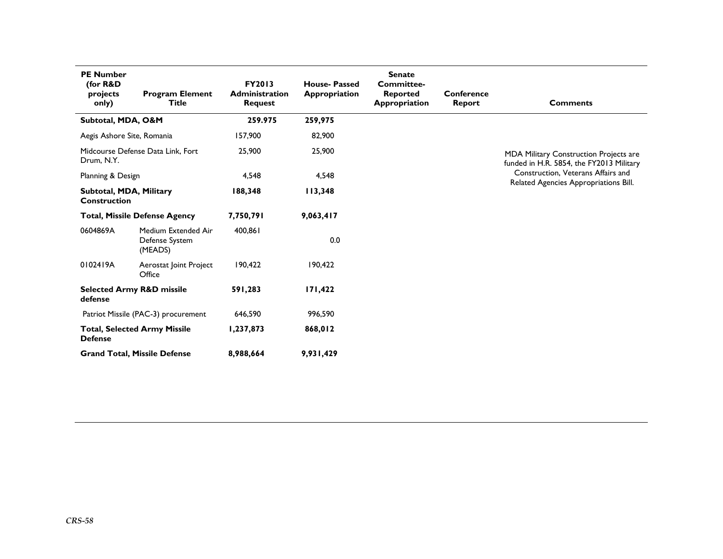| <b>PE Number</b><br>(for R&D<br>projects<br>only)     | <b>Program Element</b><br><b>Title</b>           | <b>Senate</b><br><b>FY2013</b><br><b>House-Passed</b><br><b>Committee-</b><br><b>Administration</b><br>Appropriation<br><b>Reported</b><br><b>Request</b><br>Appropriation<br><b>Report</b> |           | Conference | <b>Comments</b>                                                                           |                                       |  |  |  |
|-------------------------------------------------------|--------------------------------------------------|---------------------------------------------------------------------------------------------------------------------------------------------------------------------------------------------|-----------|------------|-------------------------------------------------------------------------------------------|---------------------------------------|--|--|--|
| Subtotal, MDA, O&M                                    |                                                  | 259.975                                                                                                                                                                                     | 259,975   |            |                                                                                           |                                       |  |  |  |
| Aegis Ashore Site, Romania                            |                                                  | 157,900                                                                                                                                                                                     | 82,900    |            |                                                                                           |                                       |  |  |  |
| Drum, N.Y.                                            | Midcourse Defense Data Link. Fort                | 25,900                                                                                                                                                                                      | 25,900    |            | <b>MDA Military Construction Projects are</b><br>funded in H.R. 5854, the FY2013 Military |                                       |  |  |  |
| Planning & Design                                     |                                                  | 4,548                                                                                                                                                                                       | 4,548     |            |                                                                                           | Construction, Veterans Affairs and    |  |  |  |
| Subtotal, MDA, Military<br><b>Construction</b>        |                                                  | 188,348                                                                                                                                                                                     | 113,348   |            |                                                                                           | Related Agencies Appropriations Bill. |  |  |  |
|                                                       | <b>Total, Missile Defense Agency</b>             | 7,750,791                                                                                                                                                                                   | 9,063,417 |            |                                                                                           |                                       |  |  |  |
| 0604869A                                              | Medium Extended Air<br>Defense System<br>(MEADS) | 400,861                                                                                                                                                                                     | 0.0       |            |                                                                                           |                                       |  |  |  |
| 0102419A                                              | Aerostat Joint Project<br>Office                 | 190,422                                                                                                                                                                                     | 190,422   |            |                                                                                           |                                       |  |  |  |
| <b>Selected Army R&amp;D missile</b><br>defense       |                                                  | 591,283                                                                                                                                                                                     | 171,422   |            |                                                                                           |                                       |  |  |  |
|                                                       | Patriot Missile (PAC-3) procurement              | 646,590                                                                                                                                                                                     | 996,590   |            |                                                                                           |                                       |  |  |  |
| <b>Total, Selected Army Missile</b><br><b>Defense</b> |                                                  | 1,237,873                                                                                                                                                                                   | 868,012   |            |                                                                                           |                                       |  |  |  |
| <b>Grand Total, Missile Defense</b>                   |                                                  | 8,988,664                                                                                                                                                                                   | 9,931,429 |            |                                                                                           |                                       |  |  |  |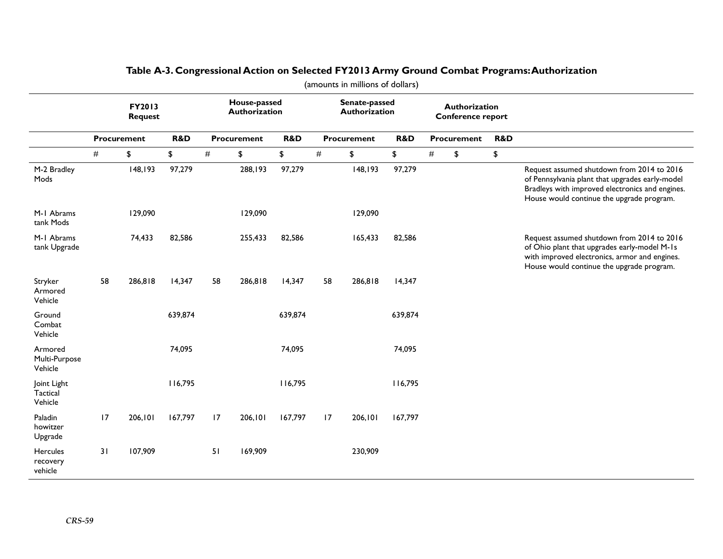|                                     | (amounts in millions of dollars) |                          |         |                 |                               |                |      |                                |         |      |                                                  |                |                                                                                                                                                                                               |
|-------------------------------------|----------------------------------|--------------------------|---------|-----------------|-------------------------------|----------------|------|--------------------------------|---------|------|--------------------------------------------------|----------------|-----------------------------------------------------------------------------------------------------------------------------------------------------------------------------------------------|
|                                     |                                  | FY2013<br><b>Request</b> |         |                 | House-passed<br>Authorization |                |      | Senate-passed<br>Authorization |         |      | <b>Authorization</b><br><b>Conference report</b> |                |                                                                                                                                                                                               |
|                                     |                                  | <b>Procurement</b>       | R&D     |                 | <b>Procurement</b>            | <b>R&amp;D</b> |      | <b>Procurement</b>             | R&D     |      | Procurement                                      | <b>R&amp;D</b> |                                                                                                                                                                                               |
|                                     | $\#$                             | \$                       | \$      | $\#$            | \$                            | \$             | $\#$ | \$                             | \$      | $\#$ | \$                                               | \$             |                                                                                                                                                                                               |
| M-2 Bradley<br>Mods                 |                                  | 148,193                  | 97,279  |                 | 288,193                       | 97,279         |      | 148,193                        | 97,279  |      |                                                  |                | Request assumed shutdown from 2014 to 2016<br>of Pennsylvania plant that upgrades early-model<br>Bradleys with improved electronics and engines.<br>House would continue the upgrade program. |
| M-1 Abrams<br>tank Mods             |                                  | 129,090                  |         |                 | 129,090                       |                |      | 129,090                        |         |      |                                                  |                |                                                                                                                                                                                               |
| M-1 Abrams<br>tank Upgrade          |                                  | 74,433                   | 82,586  |                 | 255,433                       | 82,586         |      | 165,433                        | 82,586  |      |                                                  |                | Request assumed shutdown from 2014 to 2016<br>of Ohio plant that upgrades early-model M-1s<br>with improved electronics, armor and engines.<br>House would continue the upgrade program.      |
| Stryker<br>Armored<br>Vehicle       | 58                               | 286,818                  | 14,347  | 58              | 286,818                       | 14,347         | 58   | 286,818                        | 14,347  |      |                                                  |                |                                                                                                                                                                                               |
| Ground<br>Combat<br>Vehicle         |                                  |                          | 639,874 |                 |                               | 639,874        |      |                                | 639,874 |      |                                                  |                |                                                                                                                                                                                               |
| Armored<br>Multi-Purpose<br>Vehicle |                                  |                          | 74,095  |                 |                               | 74,095         |      |                                | 74,095  |      |                                                  |                |                                                                                                                                                                                               |
| Joint Light<br>Tactical<br>Vehicle  |                                  |                          | 116,795 |                 |                               | 116,795        |      |                                | 116,795 |      |                                                  |                |                                                                                                                                                                                               |
| Paladin<br>howitzer<br>Upgrade      | 17                               | 206,101                  | 167,797 | $\overline{17}$ | 206,101                       | 167,797        | 17   | 206,101                        | 167,797 |      |                                                  |                |                                                                                                                                                                                               |
| Hercules<br>recovery<br>vehicle     | 31                               | 107,909                  |         | 51              | 169,909                       |                |      | 230,909                        |         |      |                                                  |                |                                                                                                                                                                                               |

### **Table A-3. Congressional Action on Selected FY2013 Army Ground Combat Programs: Authorization**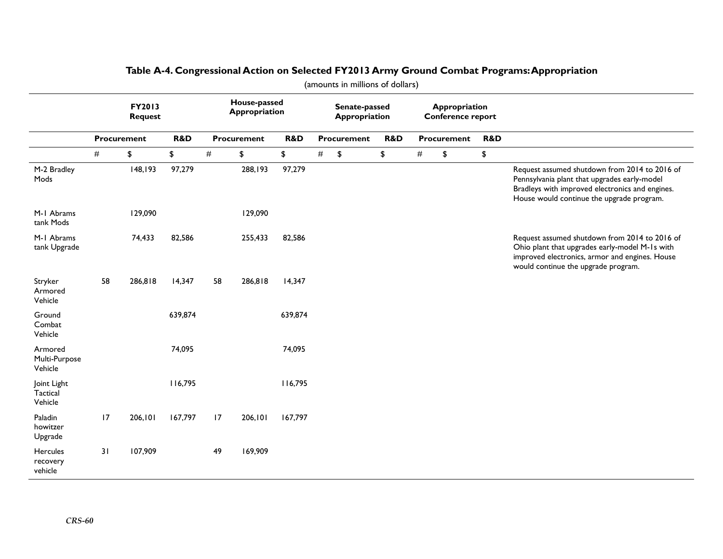|                                     | FY2013<br><b>Request</b> |             |                |    | House-passed<br><b>Appropriation</b> |         |   | Senate-passed<br>Appropriation |                | Appropriation<br>Conference report |             |     |                                                                                                                                                                                               |
|-------------------------------------|--------------------------|-------------|----------------|----|--------------------------------------|---------|---|--------------------------------|----------------|------------------------------------|-------------|-----|-----------------------------------------------------------------------------------------------------------------------------------------------------------------------------------------------|
|                                     |                          | Procurement | <b>R&amp;D</b> |    | Procurement                          | R&D     |   | <b>Procurement</b>             | <b>R&amp;D</b> |                                    | Procurement | R&D |                                                                                                                                                                                               |
|                                     | #                        | \$          | \$             | #  | \$                                   | \$      | # | \$                             | \$             | #                                  | \$          | \$  |                                                                                                                                                                                               |
| M-2 Bradley<br>Mods                 |                          | 148,193     | 97,279         |    | 288,193                              | 97,279  |   |                                |                |                                    |             |     | Request assumed shutdown from 2014 to 2016 of<br>Pennsylvania plant that upgrades early-model<br>Bradleys with improved electronics and engines.<br>House would continue the upgrade program. |
| M-1 Abrams<br>tank Mods             |                          | 129,090     |                |    | 129,090                              |         |   |                                |                |                                    |             |     |                                                                                                                                                                                               |
| M-1 Abrams<br>tank Upgrade          |                          | 74,433      | 82,586         |    | 255,433                              | 82,586  |   |                                |                |                                    |             |     | Request assumed shutdown from 2014 to 2016 of<br>Ohio plant that upgrades early-model M-1s with<br>improved electronics, armor and engines. House<br>would continue the upgrade program.      |
| Stryker<br>Armored<br>Vehicle       | 58                       | 286,818     | 14,347         | 58 | 286,818                              | 14,347  |   |                                |                |                                    |             |     |                                                                                                                                                                                               |
| Ground<br>Combat<br>Vehicle         |                          |             | 639,874        |    |                                      | 639,874 |   |                                |                |                                    |             |     |                                                                                                                                                                                               |
| Armored<br>Multi-Purpose<br>Vehicle |                          |             | 74,095         |    |                                      | 74,095  |   |                                |                |                                    |             |     |                                                                                                                                                                                               |
| Joint Light<br>Tactical<br>Vehicle  |                          |             | 116,795        |    |                                      | 116,795 |   |                                |                |                                    |             |     |                                                                                                                                                                                               |
| Paladin<br>howitzer<br>Upgrade      | 17                       | 206,101     | 167,797        | 17 | 206,101                              | 167,797 |   |                                |                |                                    |             |     |                                                                                                                                                                                               |
| Hercules<br>recovery<br>vehicle     | 31                       | 107,909     |                | 49 | 169,909                              |         |   |                                |                |                                    |             |     |                                                                                                                                                                                               |

### **Table A-4. Congressional Action on Selected FY2013 Army Ground Combat Programs: Appropriation**

(amounts in millions of dollars)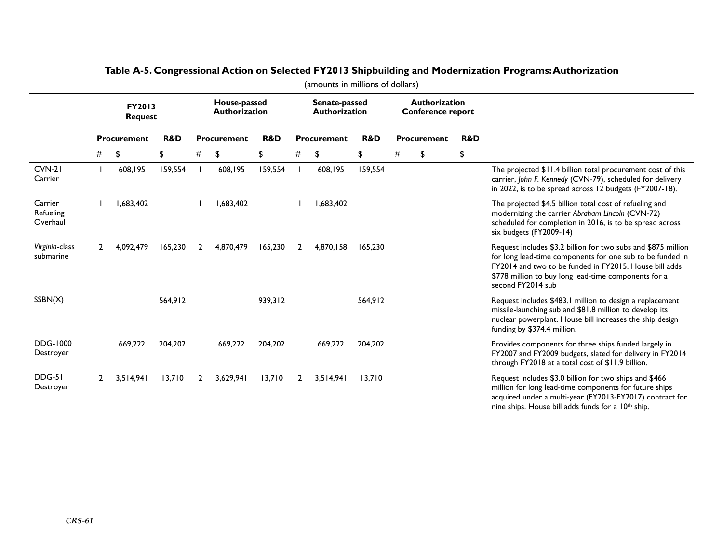|                                  | FY2013<br><b>Request</b> |                    |         | House-passed<br><b>Authorization</b> |           |                |   | Senate-passed<br><b>Authorization</b> |                |      | Authorization<br>Conference report |    |                                                                                                                                                                                                                                                                   |
|----------------------------------|--------------------------|--------------------|---------|--------------------------------------|-----------|----------------|---|---------------------------------------|----------------|------|------------------------------------|----|-------------------------------------------------------------------------------------------------------------------------------------------------------------------------------------------------------------------------------------------------------------------|
|                                  |                          | <b>Procurement</b> | R&D     | Procurement                          |           | <b>R&amp;D</b> |   | Procurement                           | <b>R&amp;D</b> |      | Procurement                        |    |                                                                                                                                                                                                                                                                   |
|                                  | #                        | \$                 | \$      | #                                    | \$        | \$             | # | \$                                    | \$             | $\#$ | \$                                 | \$ |                                                                                                                                                                                                                                                                   |
| $CVM-21$<br>Carrier              |                          | 608,195            | 159,554 |                                      | 608,195   | 159,554        |   | 608,195                               | 159,554        |      |                                    |    | The projected \$11.4 billion total procurement cost of this<br>carrier, John F. Kennedy (CVN-79), scheduled for delivery<br>in 2022, is to be spread across 12 budgets (FY2007-18).                                                                               |
| Carrier<br>Refueling<br>Overhaul |                          | 1,683,402          |         |                                      | 1,683,402 |                |   | 1,683,402                             |                |      |                                    |    | The projected \$4.5 billion total cost of refueling and<br>modernizing the carrier Abraham Lincoln (CVN-72)<br>scheduled for completion in 2016, is to be spread across<br>six budgets (FY2009-14)                                                                |
| Virginia-class<br>submarine      |                          | 4,092,479          | 165,230 | 2                                    | 4,870,479 | 165,230        | 2 | 4,870,158                             | 165,230        |      |                                    |    | Request includes \$3.2 billion for two subs and \$875 million<br>for long lead-time components for one sub to be funded in<br>FY2014 and two to be funded in FY2015. House bill adds<br>\$778 million to buy long lead-time components for a<br>second FY2014 sub |
| SSBN(X)                          |                          |                    | 564,912 |                                      |           | 939,312        |   |                                       | 564,912        |      |                                    |    | Request includes \$483.1 million to design a replacement<br>missile-launching sub and \$81.8 million to develop its<br>nuclear powerplant. House bill increases the ship design<br>funding by \$374.4 million.                                                    |
| <b>DDG-1000</b><br>Destroyer     |                          | 669,222            | 204,202 |                                      | 669,222   | 204,202        |   | 669,222                               | 204,202        |      |                                    |    | Provides components for three ships funded largely in<br>FY2007 and FY2009 budgets, slated for delivery in FY2014<br>through FY2018 at a total cost of \$11.9 billion.                                                                                            |
| DDG-51<br>Destroyer              | 2                        | 3,514,941          | 13,710  | $\mathbf{2}$                         | 3,629,941 | 13,710         | 2 | 3,514,941                             | 13,710         |      |                                    |    | Request includes \$3.0 billion for two ships and \$466<br>million for long lead-time components for future ships<br>acquired under a multi-year (FY2013-FY2017) contract for<br>nine ships. House bill adds funds for a 10 <sup>th</sup> ship.                    |

### **Table A-5. Congressional Action on Selected FY2013 Shipbuilding and Modernization Programs: Authorization**

(amounts in millions of dollars)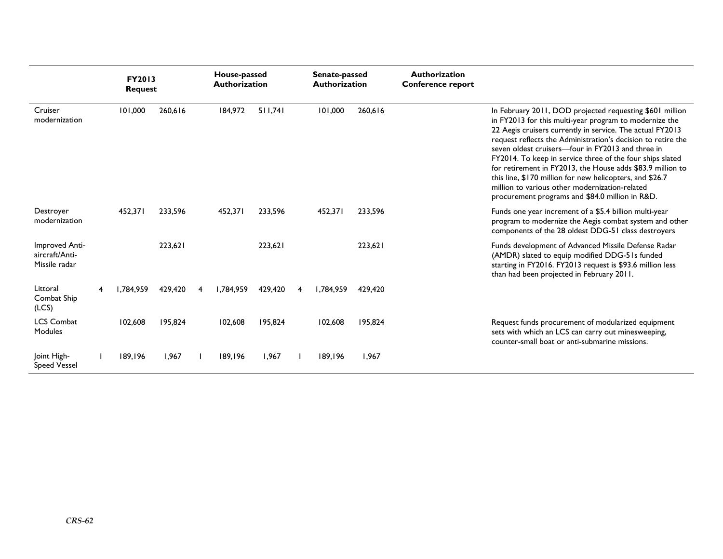|                                                   | FY2013<br><b>Request</b> |         |   | House-passed<br><b>Authorization</b> |         |   | Senate-passed<br><b>Authorization</b> |         | <b>Authorization</b><br><b>Conference report</b> |                                                                                                                                                                                                                                                                                                                                                                                                                                                                                                                                                                                                  |
|---------------------------------------------------|--------------------------|---------|---|--------------------------------------|---------|---|---------------------------------------|---------|--------------------------------------------------|--------------------------------------------------------------------------------------------------------------------------------------------------------------------------------------------------------------------------------------------------------------------------------------------------------------------------------------------------------------------------------------------------------------------------------------------------------------------------------------------------------------------------------------------------------------------------------------------------|
| Cruiser<br>modernization                          | 101,000                  | 260.616 |   | 184,972                              | 511.741 |   | 101.000                               | 260.616 |                                                  | In February 2011, DOD projected requesting \$601 million<br>in FY2013 for this multi-year program to modernize the<br>22 Aegis cruisers currently in service. The actual FY2013<br>request reflects the Administration's decision to retire the<br>seven oldest cruisers-four in FY2013 and three in<br>FY2014. To keep in service three of the four ships slated<br>for retirement in FY2013, the House adds \$83.9 million to<br>this line, \$170 million for new helicopters, and \$26.7<br>million to various other modernization-related<br>procurement programs and \$84.0 million in R&D. |
| Destroyer<br>modernization                        | 452,371                  | 233,596 |   | 452,371                              | 233,596 |   | 452,371                               | 233,596 |                                                  | Funds one year increment of a \$5.4 billion multi-year<br>program to modernize the Aegis combat system and other<br>components of the 28 oldest DDG-51 class destroyers                                                                                                                                                                                                                                                                                                                                                                                                                          |
| Improved Anti-<br>aircraft/Anti-<br>Missile radar |                          | 223,621 |   |                                      | 223,621 |   |                                       | 223,621 |                                                  | Funds development of Advanced Missile Defense Radar<br>(AMDR) slated to equip modified DDG-51s funded<br>starting in FY2016. FY2013 request is \$93.6 million less<br>than had been projected in February 2011.                                                                                                                                                                                                                                                                                                                                                                                  |
| Littoral<br>Combat Ship<br>(LCS)                  | 1.784.959                | 429,420 | 4 | 1.784.959                            | 429,420 | 4 | 1.784.959                             | 429.420 |                                                  |                                                                                                                                                                                                                                                                                                                                                                                                                                                                                                                                                                                                  |
| <b>LCS Combat</b><br>Modules                      | 102,608                  | 195,824 |   | 102,608                              | 195.824 |   | 102,608                               | 195,824 |                                                  | Request funds procurement of modularized equipment<br>sets with which an LCS can carry out minesweeping,<br>counter-small boat or anti-submarine missions.                                                                                                                                                                                                                                                                                                                                                                                                                                       |
| Joint High-<br><b>Speed Vessel</b>                | 189,196                  | 1.967   |   | 189.196                              | 1.967   |   | 189,196                               | 1,967   |                                                  |                                                                                                                                                                                                                                                                                                                                                                                                                                                                                                                                                                                                  |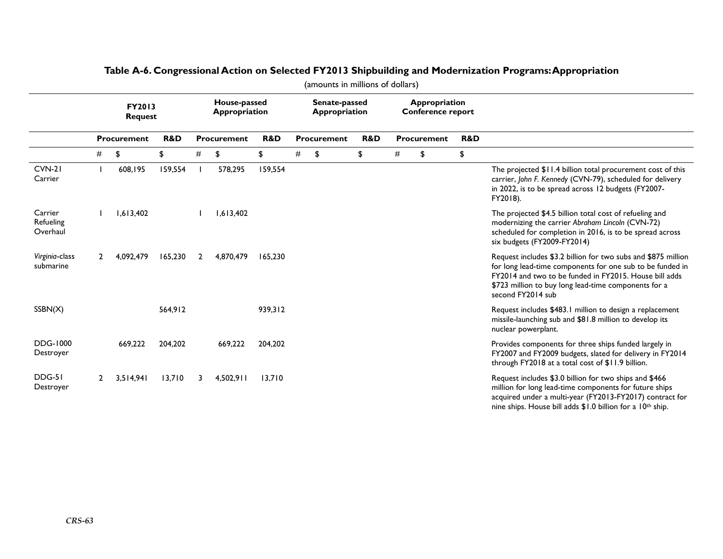|                                  | FY2013<br><b>Request</b> |                    |         |   | House-passed<br>Appropriation | Senate-passed<br><b>Appropriation</b> |             |    |                | Appropriation<br><b>Conference report</b> |    |     |                                                                                                                                                                                                                                                                   |
|----------------------------------|--------------------------|--------------------|---------|---|-------------------------------|---------------------------------------|-------------|----|----------------|-------------------------------------------|----|-----|-------------------------------------------------------------------------------------------------------------------------------------------------------------------------------------------------------------------------------------------------------------------|
|                                  |                          | <b>Procurement</b> | R&D     |   | Procurement                   | R&D                                   | Procurement |    | <b>R&amp;D</b> | <b>Procurement</b>                        |    | R&D |                                                                                                                                                                                                                                                                   |
|                                  | #                        | \$                 | \$      | # | \$                            | \$                                    | #           | \$ | \$             | #                                         | \$ | \$  |                                                                                                                                                                                                                                                                   |
| $CVM-21$<br>Carrier              |                          | 608,195            | 159,554 |   | 578,295                       | 159,554                               |             |    |                |                                           |    |     | The projected \$11.4 billion total procurement cost of this<br>carrier, John F. Kennedy (CVN-79), scheduled for delivery<br>in 2022, is to be spread across 12 budgets (FY2007-<br>FY2018).                                                                       |
| Carrier<br>Refueling<br>Overhaul |                          | 1,613,402          |         |   | 1,613,402                     |                                       |             |    |                |                                           |    |     | The projected \$4.5 billion total cost of refueling and<br>modernizing the carrier Abraham Lincoln (CVN-72)<br>scheduled for completion in 2016, is to be spread across<br>six budgets (FY2009-FY2014)                                                            |
| Virginia-class<br>submarine      |                          | 4,092,479          | 165,230 | 2 | 4,870,479                     | 165.230                               |             |    |                |                                           |    |     | Request includes \$3.2 billion for two subs and \$875 million<br>for long lead-time components for one sub to be funded in<br>FY2014 and two to be funded in FY2015. House bill adds<br>\$723 million to buy long lead-time components for a<br>second FY2014 sub |
| SSBN(X)                          |                          |                    | 564,912 |   |                               | 939,312                               |             |    |                |                                           |    |     | Request includes \$483.1 million to design a replacement<br>missile-launching sub and \$81.8 million to develop its<br>nuclear powerplant.                                                                                                                        |
| <b>DDG-1000</b><br>Destroyer     |                          | 669,222            | 204,202 |   | 669,222                       | 204,202                               |             |    |                |                                           |    |     | Provides components for three ships funded largely in<br>FY2007 and FY2009 budgets, slated for delivery in FY2014<br>through FY2018 at a total cost of \$11.9 billion.                                                                                            |
| DDG-51<br>Destroyer              | $\mathbf{2}$             | 3,514,941          | 13,710  | 3 | 4,502,911                     | 13,710                                |             |    |                |                                           |    |     | Request includes \$3.0 billion for two ships and \$466<br>million for long lead-time components for future ships<br>acquired under a multi-year (FY2013-FY2017) contract for<br>nine ships. House bill adds \$1.0 billion for a 10th ship.                        |

### **Table A-6. Congressional Action on Selected FY2013 Shipbuilding and Modernization Programs: Appropriation**  (amounts in millions of dollars)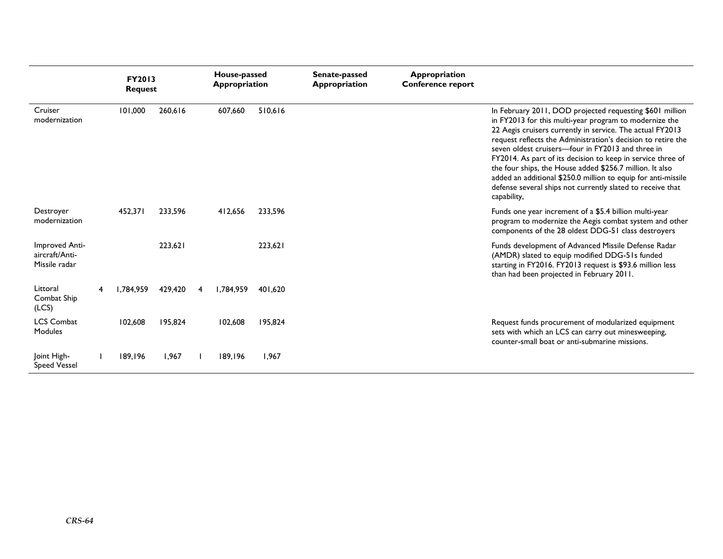|                                                   | <b>FY2013</b><br><b>Request</b> |         |   | House-passed<br><b>Appropriation</b> |         | Senate-passed<br><b>Appropriation</b> | Appropriation<br><b>Conference report</b> |                                                                                                                                                                                                                                                                                                                                                                                                                                                                                                                                                                               |  |  |  |
|---------------------------------------------------|---------------------------------|---------|---|--------------------------------------|---------|---------------------------------------|-------------------------------------------|-------------------------------------------------------------------------------------------------------------------------------------------------------------------------------------------------------------------------------------------------------------------------------------------------------------------------------------------------------------------------------------------------------------------------------------------------------------------------------------------------------------------------------------------------------------------------------|--|--|--|
| Cruiser<br>modernization                          | 101,000                         | 260,616 |   | 607,660                              | 510,616 |                                       |                                           | In February 2011, DOD projected requesting \$601 million<br>in FY2013 for this multi-year program to modernize the<br>22 Aegis cruisers currently in service. The actual FY2013<br>request reflects the Administration's decision to retire the<br>seven oldest cruisers-four in FY2013 and three in<br>FY2014. As part of its decision to keep in service three of<br>the four ships, the House added \$256.7 million. It also<br>added an additional \$250.0 million to equip for anti-missile<br>defense several ships not currently slated to receive that<br>capability, |  |  |  |
| Destroyer<br>modernization                        | 452,371                         | 233,596 |   | 412,656                              | 233,596 |                                       |                                           | Funds one year increment of a \$5.4 billion multi-year<br>program to modernize the Aegis combat system and other<br>components of the 28 oldest DDG-51 class destroyers                                                                                                                                                                                                                                                                                                                                                                                                       |  |  |  |
| Improved Anti-<br>aircraft/Anti-<br>Missile radar |                                 | 223,621 |   |                                      | 223,621 |                                       |                                           | Funds development of Advanced Missile Defense Radar<br>(AMDR) slated to equip modified DDG-51s funded<br>starting in FY2016. FY2013 request is \$93.6 million less<br>than had been projected in February 2011.                                                                                                                                                                                                                                                                                                                                                               |  |  |  |
| Littoral<br>Combat Ship<br>(LCS)                  | 1.784.959                       | 429,420 | 4 | 1.784.959                            | 401.620 |                                       |                                           |                                                                                                                                                                                                                                                                                                                                                                                                                                                                                                                                                                               |  |  |  |
| <b>LCS Combat</b><br>Modules                      | 102,608                         | 195,824 |   | 102,608                              | 195,824 |                                       |                                           | Request funds procurement of modularized equipment<br>sets with which an LCS can carry out minesweeping,<br>counter-small boat or anti-submarine missions.                                                                                                                                                                                                                                                                                                                                                                                                                    |  |  |  |
| Joint High-<br><b>Speed Vessel</b>                | 189,196                         | 1.967   |   | 189,196                              | 1.967   |                                       |                                           |                                                                                                                                                                                                                                                                                                                                                                                                                                                                                                                                                                               |  |  |  |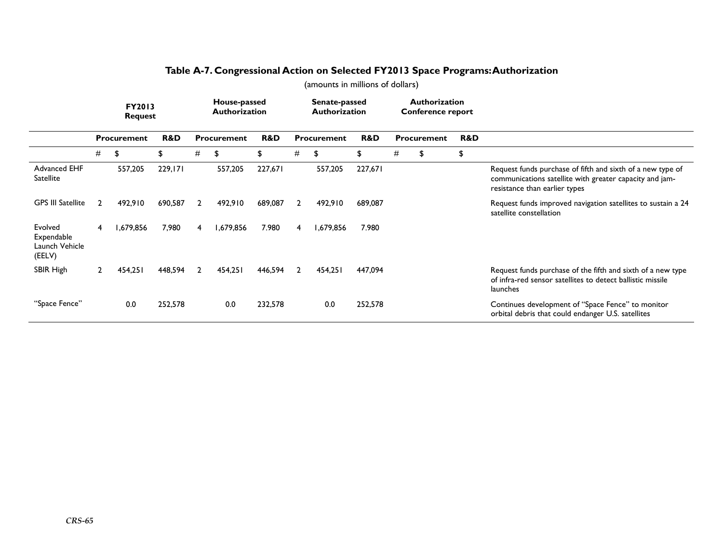|                                                   | <b>FY2013</b><br><b>Request</b> |             |         | House-passed<br><b>Authorization</b> |             |         | Senate-passed<br><b>Authorization</b> |           |         |   |             | <b>Authorization</b><br><b>Conference report</b> |     |                                                                                                                                                        |
|---------------------------------------------------|---------------------------------|-------------|---------|--------------------------------------|-------------|---------|---------------------------------------|-----------|---------|---|-------------|--------------------------------------------------|-----|--------------------------------------------------------------------------------------------------------------------------------------------------------|
|                                                   | Procurement                     |             | R&D     |                                      | Procurement | R&D     | Procurement                           |           | R&D     |   | Procurement |                                                  | R&D |                                                                                                                                                        |
|                                                   | #                               | \$          | \$      | #                                    | \$          | \$      | #                                     | \$        | \$      | # |             | \$                                               | \$  |                                                                                                                                                        |
| Advanced EHF<br>Satellite                         |                                 | 557,205     | 229,171 |                                      | 557,205     | 227,671 |                                       | 557,205   | 227,671 |   |             |                                                  |     | Request funds purchase of fifth and sixth of a new type of<br>communications satellite with greater capacity and jam-<br>resistance than earlier types |
| <b>GPS III Satellite</b>                          | $\overline{2}$                  | 492.910     | 690,587 | 2                                    | 492,910     | 689,087 | $\overline{2}$                        | 492,910   | 689,087 |   |             |                                                  |     | Request funds improved navigation satellites to sustain a 24<br>satellite constellation                                                                |
| Evolved<br>Expendable<br>Launch Vehicle<br>(EELV) | 4                               | ،679,856. ا | 7,980   | 4                                    | 1,679,856   | 7.980   | 4                                     | 1,679,856 | 7.980   |   |             |                                                  |     |                                                                                                                                                        |
| SBIR High                                         | $2^{\circ}$                     | 454,251     | 448,594 | 2                                    | 454,251     | 446,594 | 2                                     | 454,251   | 447,094 |   |             |                                                  |     | Request funds purchase of the fifth and sixth of a new type<br>of infra-red sensor satellites to detect ballistic missile<br>launches                  |
| "Space Fence"                                     |                                 | 0.0         | 252,578 |                                      | 0.0         | 232,578 |                                       | 0.0       | 252,578 |   |             |                                                  |     | Continues development of "Space Fence" to monitor<br>orbital debris that could endanger U.S. satellites                                                |

### **Table A-7. Congressional Action on Selected FY2013 Space Programs: Authorization**  (amounts in millions of dollars)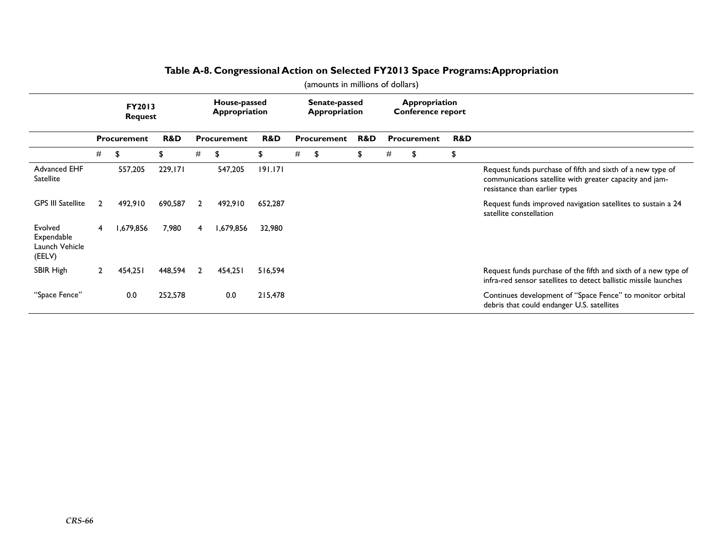|                                                   |                    | <b>FY2013</b><br><b>Request</b> |         | House-passed<br>Appropriation |             |         |                    | Senate-passed<br>Appropriation |     |                    | Appropriation<br>Conference report |     |                                                                                                                                                        |  |
|---------------------------------------------------|--------------------|---------------------------------|---------|-------------------------------|-------------|---------|--------------------|--------------------------------|-----|--------------------|------------------------------------|-----|--------------------------------------------------------------------------------------------------------------------------------------------------------|--|
|                                                   | <b>Procurement</b> |                                 | R&D     |                               | Procurement | R&D     | <b>Procurement</b> |                                | R&D | <b>Procurement</b> |                                    | R&D |                                                                                                                                                        |  |
|                                                   | #                  | \$                              | \$      | #                             | \$          | \$      | #                  | \$                             | \$  | #                  | \$                                 | \$  |                                                                                                                                                        |  |
| Advanced EHF<br><b>Satellite</b>                  |                    | 557,205                         | 229,171 |                               | 547,205     | 191.171 |                    |                                |     |                    |                                    |     | Request funds purchase of fifth and sixth of a new type of<br>communications satellite with greater capacity and jam-<br>resistance than earlier types |  |
| <b>GPS III Satellite</b>                          | 2                  | 492,910                         | 690,587 | $\overline{2}$                | 492,910     | 652,287 |                    |                                |     |                    |                                    |     | Request funds improved navigation satellites to sustain a 24<br>satellite constellation                                                                |  |
| Evolved<br>Expendable<br>Launch Vehicle<br>(EELV) | 4                  | 1,679,856                       | 7,980   | 4                             | 1,679,856   | 32,980  |                    |                                |     |                    |                                    |     |                                                                                                                                                        |  |
| SBIR High                                         | 2                  | 454,251                         | 448,594 | $\overline{2}$                | 454,251     | 516,594 |                    |                                |     |                    |                                    |     | Request funds purchase of the fifth and sixth of a new type of<br>infra-red sensor satellites to detect ballistic missile launches                     |  |
| "Space Fence"                                     |                    | 0.0                             | 252,578 |                               | 0.0         | 215,478 |                    |                                |     |                    |                                    |     | Continues development of "Space Fence" to monitor orbital<br>debris that could endanger U.S. satellites                                                |  |

### **Table A-8. Congressional Action on Selected FY2013 Space Programs: Appropriation**

(amounts in millions of dollars)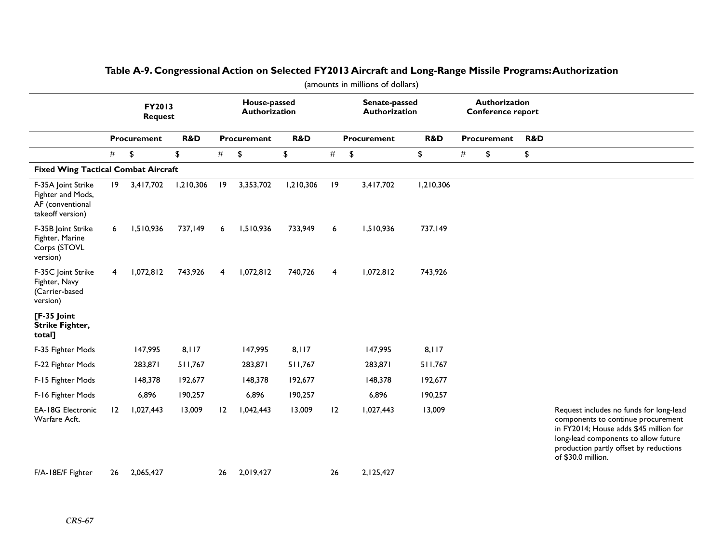|                                                                                 | (amounts in millions of dollars) |                          |           |                           |                               |           |                |                                |                |                    |                                    |                |                                                                                                                                                                                                                                 |
|---------------------------------------------------------------------------------|----------------------------------|--------------------------|-----------|---------------------------|-------------------------------|-----------|----------------|--------------------------------|----------------|--------------------|------------------------------------|----------------|---------------------------------------------------------------------------------------------------------------------------------------------------------------------------------------------------------------------------------|
|                                                                                 |                                  | FY2013<br><b>Request</b> |           |                           | House-passed<br>Authorization |           |                | Senate-passed<br>Authorization |                |                    | Authorization<br>Conference report |                |                                                                                                                                                                                                                                 |
|                                                                                 |                                  | <b>Procurement</b>       | R&D       | R&D<br><b>Procurement</b> |                               |           |                | <b>Procurement</b>             | <b>R&amp;D</b> | <b>Procurement</b> |                                    | <b>R&amp;D</b> |                                                                                                                                                                                                                                 |
|                                                                                 | #<br>\$<br>\$                    |                          |           | $\#$<br>\$<br>\$          |                               | $\#$      | \$             | \$                             | #<br>\$        |                    | \$                                 |                |                                                                                                                                                                                                                                 |
| <b>Fixed Wing Tactical Combat Aircraft</b>                                      |                                  |                          |           |                           |                               |           |                |                                |                |                    |                                    |                |                                                                                                                                                                                                                                 |
| F-35A Joint Strike<br>Fighter and Mods,<br>AF (conventional<br>takeoff version) | 19                               | 3,417,702                | 1,210,306 | 9                         | 3,353,702                     | 1,210,306 | 9              | 3,417,702                      | 1,210,306      |                    |                                    |                |                                                                                                                                                                                                                                 |
| F-35B Joint Strike<br>Fighter, Marine<br>Corps (STOVL<br>version)               | 6                                | 1,510,936                | 737,149   | 6                         | 1,510,936                     | 733,949   | 6              | 1,510,936                      | 737,149        |                    |                                    |                |                                                                                                                                                                                                                                 |
| F-35C Joint Strike<br>Fighter, Navy<br>(Carrier-based<br>version)               | 4                                | 1,072,812                | 743,926   | $\overline{4}$            | 1,072,812                     | 740,726   | $\overline{4}$ | 1,072,812                      | 743,926        |                    |                                    |                |                                                                                                                                                                                                                                 |
| [F-35 Joint<br>Strike Fighter,<br>total]                                        |                                  |                          |           |                           |                               |           |                |                                |                |                    |                                    |                |                                                                                                                                                                                                                                 |
| F-35 Fighter Mods                                                               |                                  | 147,995                  | 8,117     |                           | 147,995                       | 8,117     |                | 147,995                        | 8,117          |                    |                                    |                |                                                                                                                                                                                                                                 |
| F-22 Fighter Mods                                                               |                                  | 283,871                  | 511,767   |                           | 283,871                       | 511,767   |                | 283,871                        | 511,767        |                    |                                    |                |                                                                                                                                                                                                                                 |
| F-15 Fighter Mods                                                               |                                  | 148,378                  | 192,677   |                           | 148,378                       | 192,677   |                | 148,378                        | 192,677        |                    |                                    |                |                                                                                                                                                                                                                                 |
| F-16 Fighter Mods                                                               |                                  | 6,896                    | 190,257   |                           | 6,896                         | 190,257   |                | 6,896                          | 190,257        |                    |                                    |                |                                                                                                                                                                                                                                 |
| <b>EA-18G Electronic</b><br>Warfare Acft.                                       | 12                               | 1,027,443                | 13,009    | 12                        | 1,042,443                     | 13,009    | 12             | 1,027,443                      | 13,009         |                    |                                    |                | Request includes no funds for long-lead<br>components to continue procurement<br>in FY2014; House adds \$45 million for<br>long-lead components to allow future<br>production partly offset by reductions<br>of \$30.0 million. |
| F/A-18E/F Fighter                                                               | 26                               | 2,065,427                |           | 26                        | 2,019,427                     |           | 26             | 2,125,427                      |                |                    |                                    |                |                                                                                                                                                                                                                                 |

### **Table A-9. Congressional Action on Selected FY2013 Aircraft and Long-Range Missile Programs: Authorization**

*CRS-67*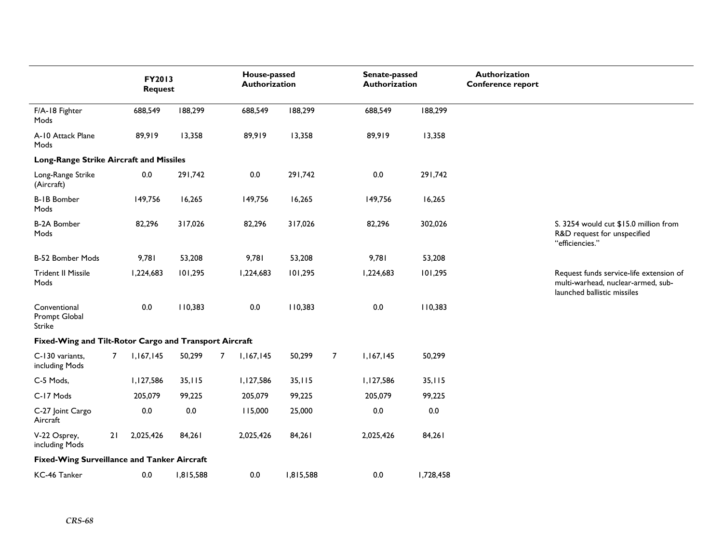|                                                        |                | FY2013<br><b>Request</b> |           |                | House-passed<br>Authorization |           |                | Senate-passed<br>Authorization |           | Authorization<br><b>Conference report</b> |                                                                                                              |
|--------------------------------------------------------|----------------|--------------------------|-----------|----------------|-------------------------------|-----------|----------------|--------------------------------|-----------|-------------------------------------------|--------------------------------------------------------------------------------------------------------------|
| F/A-18 Fighter<br>Mods                                 |                | 688,549                  | 188,299   |                | 688,549                       | 188,299   |                | 688,549                        | 188,299   |                                           |                                                                                                              |
| A-10 Attack Plane<br>Mods                              |                | 89,919                   | 13,358    |                | 89,919                        | 13,358    |                | 89,919                         | 13,358    |                                           |                                                                                                              |
| Long-Range Strike Aircraft and Missiles                |                |                          |           |                |                               |           |                |                                |           |                                           |                                                                                                              |
| Long-Range Strike<br>(Aircraft)                        |                | 0.0                      | 291,742   |                | $0.0\,$                       | 291,742   |                | $0.0\,$                        | 291,742   |                                           |                                                                                                              |
| <b>B-1B Bomber</b><br>Mods                             |                | 149,756                  | 16,265    |                | 149,756                       | 16,265    |                | 149,756                        | 16,265    |                                           |                                                                                                              |
| <b>B-2A Bomber</b><br>Mods                             |                | 82,296                   | 317,026   |                | 82,296                        | 317,026   |                | 82,296                         | 302,026   |                                           | S. 3254 would cut \$15.0 million from<br>R&D request for unspecified<br>"efficiencies."                      |
| <b>B-52 Bomber Mods</b>                                |                | 9,781                    | 53,208    |                | 9,781                         | 53,208    |                | 9,781                          | 53,208    |                                           |                                                                                                              |
| <b>Trident II Missile</b><br>Mods                      |                | 1,224,683                | 101,295   |                | 1,224,683                     | 101,295   |                | 1,224,683                      | 101,295   |                                           | Request funds service-life extension of<br>multi-warhead, nuclear-armed, sub-<br>launched ballistic missiles |
| Conventional<br>Prompt Global<br>Strike                |                | $0.0\,$                  | 110,383   |                | $0.0\,$                       | 110,383   |                | 0.0                            | 110,383   |                                           |                                                                                                              |
| Fixed-Wing and Tilt-Rotor Cargo and Transport Aircraft |                |                          |           |                |                               |           |                |                                |           |                                           |                                                                                                              |
| C-130 variants,<br>including Mods                      | $\overline{7}$ | 1,167,145                | 50,299    | $\overline{7}$ | 1,167,145                     | 50,299    | $\overline{7}$ | 1,167,145                      | 50,299    |                                           |                                                                                                              |
| C-5 Mods,                                              |                | 1,127,586                | 35,115    |                | 1,127,586                     | 35,115    |                | 1,127,586                      | 35,115    |                                           |                                                                                                              |
| C-17 Mods                                              |                | 205,079                  | 99,225    |                | 205,079                       | 99,225    |                | 205,079                        | 99,225    |                                           |                                                                                                              |
| C-27 Joint Cargo<br>Aircraft                           |                | 0.0                      | $0.0\,$   |                | 115,000                       | 25,000    |                | $0.0\,$                        | $0.0\,$   |                                           |                                                                                                              |
| V-22 Osprey,<br>including Mods                         | 21             | 2,025,426                | 84,261    |                | 2,025,426                     | 84,261    |                | 2,025,426                      | 84,261    |                                           |                                                                                                              |
| <b>Fixed-Wing Surveillance and Tanker Aircraft</b>     |                |                          |           |                |                               |           |                |                                |           |                                           |                                                                                                              |
| KC-46 Tanker                                           |                | 0.0                      | 1,815,588 |                | 0.0                           | 1,815,588 |                | 0.0                            | 1,728,458 |                                           |                                                                                                              |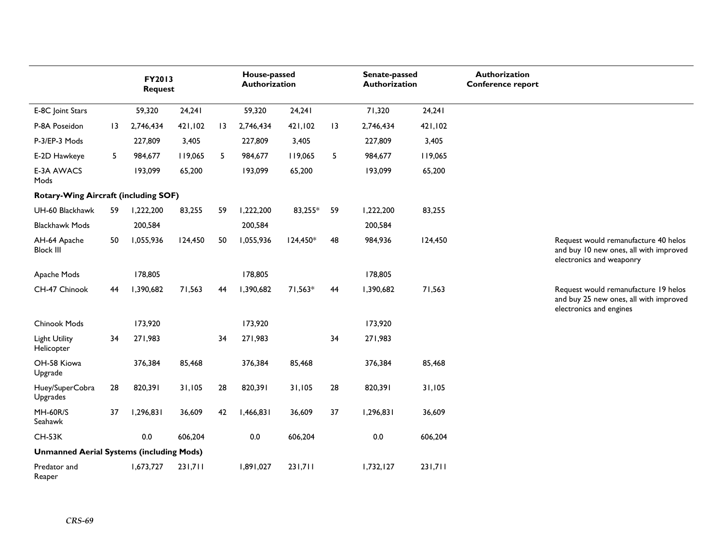|                                                 |    | FY2013<br><b>Request</b> |         |                 | House-passed<br>Authorization |            |    | Senate-passed<br>Authorization |         | Authorization<br><b>Conference report</b> |                                                                                                            |
|-------------------------------------------------|----|--------------------------|---------|-----------------|-------------------------------|------------|----|--------------------------------|---------|-------------------------------------------|------------------------------------------------------------------------------------------------------------|
| E-8C Joint Stars                                |    | 59,320                   | 24,241  |                 | 59,320                        | 24,241     |    | 71,320                         | 24,241  |                                           |                                                                                                            |
| P-8A Poseidon                                   | 13 | 2,746,434                | 421,102 | $\overline{13}$ | 2,746,434                     | 421,102    | 13 | 2,746,434                      | 421,102 |                                           |                                                                                                            |
| P-3/EP-3 Mods                                   |    | 227,809                  | 3,405   |                 | 227,809                       | 3,405      |    | 227,809                        | 3,405   |                                           |                                                                                                            |
| E-2D Hawkeye                                    | 5  | 984,677                  | 119,065 | 5               | 984,677                       | 119,065    | 5  | 984,677                        | 119,065 |                                           |                                                                                                            |
| <b>E-3A AWACS</b><br>Mods                       |    | 193,099                  | 65,200  |                 | 193,099                       | 65,200     |    | 193,099                        | 65,200  |                                           |                                                                                                            |
| Rotary-Wing Aircraft (including SOF)            |    |                          |         |                 |                               |            |    |                                |         |                                           |                                                                                                            |
| UH-60 Blackhawk                                 | 59 | 1,222,200                | 83,255  | 59              | 1,222,200                     | 83,255*    | 59 | 1,222,200                      | 83,255  |                                           |                                                                                                            |
| <b>Blackhawk Mods</b>                           |    | 200,584                  |         |                 | 200,584                       |            |    | 200,584                        |         |                                           |                                                                                                            |
| AH-64 Apache<br><b>Block III</b>                | 50 | 1,055,936                | 124,450 | 50              | 1,055,936                     | $124,450*$ | 48 | 984,936                        | 124,450 |                                           | Request would remanufacture 40 helos<br>and buy 10 new ones, all with improved<br>electronics and weaponry |
| Apache Mods                                     |    | 178,805                  |         |                 | 178,805                       |            |    | 178,805                        |         |                                           |                                                                                                            |
| CH-47 Chinook                                   | 44 | 1,390,682                | 71,563  | 44              | 1,390,682                     | 71,563*    | 44 | 1,390,682                      | 71,563  |                                           | Request would remanufacture 19 helos<br>and buy 25 new ones, all with improved<br>electronics and engines  |
| Chinook Mods                                    |    | 173,920                  |         |                 | 173,920                       |            |    | 173,920                        |         |                                           |                                                                                                            |
| Light Utility<br>Helicopter                     | 34 | 271,983                  |         | 34              | 271,983                       |            | 34 | 271,983                        |         |                                           |                                                                                                            |
| OH-58 Kiowa<br>Upgrade                          |    | 376,384                  | 85,468  |                 | 376,384                       | 85,468     |    | 376,384                        | 85,468  |                                           |                                                                                                            |
| Huey/SuperCobra<br>Upgrades                     | 28 | 820,391                  | 31,105  | 28              | 820,391                       | 31,105     | 28 | 820,391                        | 31,105  |                                           |                                                                                                            |
| MH-60R/S<br>Seahawk                             | 37 | 1,296,831                | 36,609  | 42              | 1,466,831                     | 36,609     | 37 | 1,296,831                      | 36,609  |                                           |                                                                                                            |
| <b>CH-53K</b>                                   |    | 0.0                      | 606,204 |                 | 0.0                           | 606,204    |    | 0.0                            | 606,204 |                                           |                                                                                                            |
| <b>Unmanned Aerial Systems (including Mods)</b> |    |                          |         |                 |                               |            |    |                                |         |                                           |                                                                                                            |
| Predator and<br>Reaper                          |    | 1,673,727                | 231,711 |                 | 1,891,027                     | 231,711    |    | 1,732,127                      | 231,711 |                                           |                                                                                                            |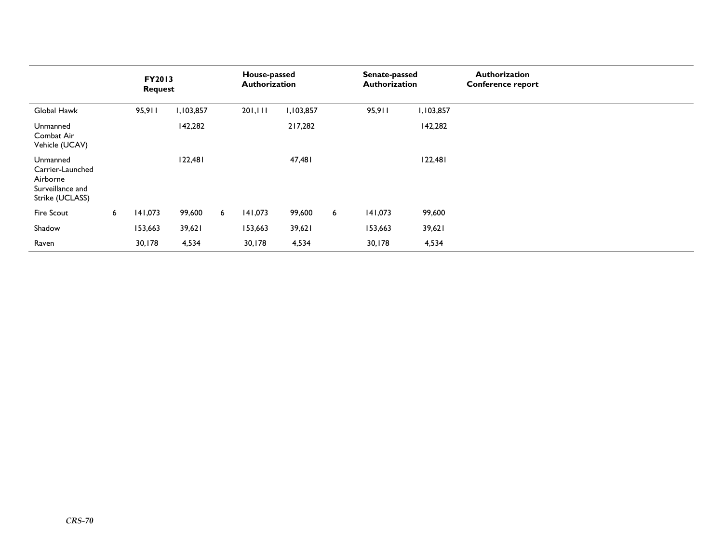|                                                                                 |   | <b>FY2013</b><br><b>Request</b> |           |   | House-passed<br><b>Authorization</b> |           |   | Senate-passed<br>Authorization |           | <b>Authorization</b><br><b>Conference report</b> |
|---------------------------------------------------------------------------------|---|---------------------------------|-----------|---|--------------------------------------|-----------|---|--------------------------------|-----------|--------------------------------------------------|
| Global Hawk                                                                     |   | 95,911                          | 1,103,857 |   | 201,111                              | 1,103,857 |   | 95,911                         | 1,103,857 |                                                  |
| Unmanned<br>Combat Air<br>Vehicle (UCAV)                                        |   |                                 | 142,282   |   |                                      | 217,282   |   |                                | 142,282   |                                                  |
| Unmanned<br>Carrier-Launched<br>Airborne<br>Surveillance and<br>Strike (UCLASS) |   |                                 | 122,481   |   |                                      | 47,481    |   |                                | 122,481   |                                                  |
| Fire Scout                                                                      | 6 | 141,073                         | 99,600    | 6 | 141,073                              | 99,600    | 6 | 141,073                        | 99,600    |                                                  |
| Shadow                                                                          |   | 153,663                         | 39,621    |   | 153,663                              | 39,621    |   | 153,663                        | 39,621    |                                                  |
| Raven                                                                           |   | 30,178                          | 4,534     |   | 30,178                               | 4,534     |   | 30,178                         | 4,534     |                                                  |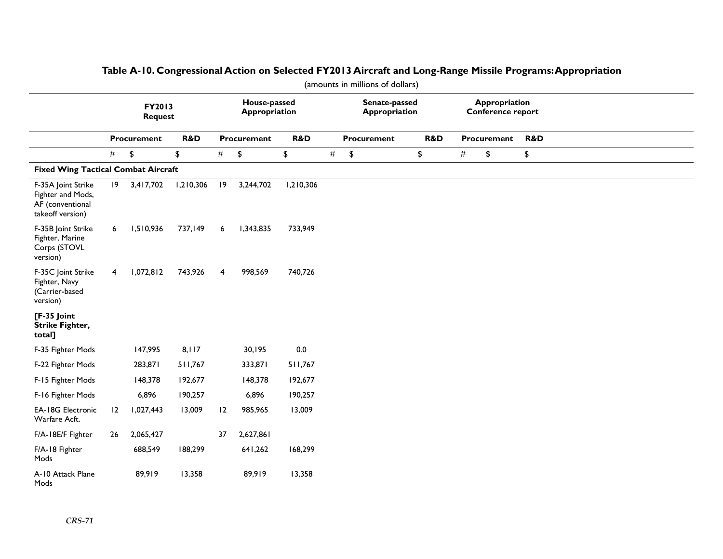|                                                                                 | (amounts in millions of dollars) |                    |           |                               |                      |           |      |                                       |     |      |                                    |     |  |  |
|---------------------------------------------------------------------------------|----------------------------------|--------------------|-----------|-------------------------------|----------------------|-----------|------|---------------------------------------|-----|------|------------------------------------|-----|--|--|
|                                                                                 | FY2013<br><b>Request</b>         |                    |           | House-passed<br>Appropriation |                      |           |      | Senate-passed<br><b>Appropriation</b> |     |      | Appropriation<br>Conference report |     |  |  |
|                                                                                 |                                  | <b>Procurement</b> | R&D       |                               | Procurement          | R&D       |      | <b>Procurement</b>                    | R&D |      | Procurement                        | R&D |  |  |
|                                                                                 | #                                | \$                 | \$        | #                             | $\pmb{\mathfrak{P}}$ | \$        | $\#$ | $\pmb{\mathfrak{P}}$                  | \$  | $\#$ | \$                                 | \$  |  |  |
| <b>Fixed Wing Tactical Combat Aircraft</b>                                      |                                  |                    |           |                               |                      |           |      |                                       |     |      |                                    |     |  |  |
| F-35A Joint Strike<br>Fighter and Mods,<br>AF (conventional<br>takeoff version) | $ 9\rangle$                      | 3,417,702          | 1,210,306 | $ 9\rangle$                   | 3,244,702            | 1,210,306 |      |                                       |     |      |                                    |     |  |  |
| F-35B Joint Strike<br>Fighter, Marine<br>Corps (STOVL<br>version)               | 6                                | 1,510,936          | 737,149   | 6                             | 1,343,835            | 733,949   |      |                                       |     |      |                                    |     |  |  |
| F-35C Joint Strike<br>Fighter, Navy<br>(Carrier-based<br>version)               | 4                                | 1,072,812          | 743,926   | 4                             | 998,569              | 740,726   |      |                                       |     |      |                                    |     |  |  |
| $[F-35$ Joint<br><b>Strike Fighter,</b><br>total]                               |                                  |                    |           |                               |                      |           |      |                                       |     |      |                                    |     |  |  |
| F-35 Fighter Mods                                                               |                                  | 147,995            | 8,117     |                               | 30,195               | $0.0\,$   |      |                                       |     |      |                                    |     |  |  |
| F-22 Fighter Mods                                                               |                                  | 283,871            | 511,767   |                               | 333,871              | 511,767   |      |                                       |     |      |                                    |     |  |  |
| F-15 Fighter Mods                                                               |                                  | 148,378            | 192,677   |                               | 148,378              | 192,677   |      |                                       |     |      |                                    |     |  |  |
| F-16 Fighter Mods                                                               |                                  | 6,896              | 190,257   |                               | 6,896                | 190,257   |      |                                       |     |      |                                    |     |  |  |
| <b>EA-18G Electronic</b><br>Warfare Acft.                                       | 12                               | 1,027,443          | 13,009    | 12                            | 985,965              | 13,009    |      |                                       |     |      |                                    |     |  |  |
| F/A-18E/F Fighter                                                               | 26                               | 2,065,427          |           | 37                            | 2,627,861            |           |      |                                       |     |      |                                    |     |  |  |
| F/A-18 Fighter<br>Mods                                                          |                                  | 688,549            | 188,299   |                               | 641,262              | 168,299   |      |                                       |     |      |                                    |     |  |  |
| A-10 Attack Plane<br>Mods                                                       |                                  | 89,919             | 13,358    |                               | 89,919               | 13,358    |      |                                       |     |      |                                    |     |  |  |

## **Table A-10. Congressional Action on Selected FY2013 Aircraft and Long-Range Missile Programs: Appropriation**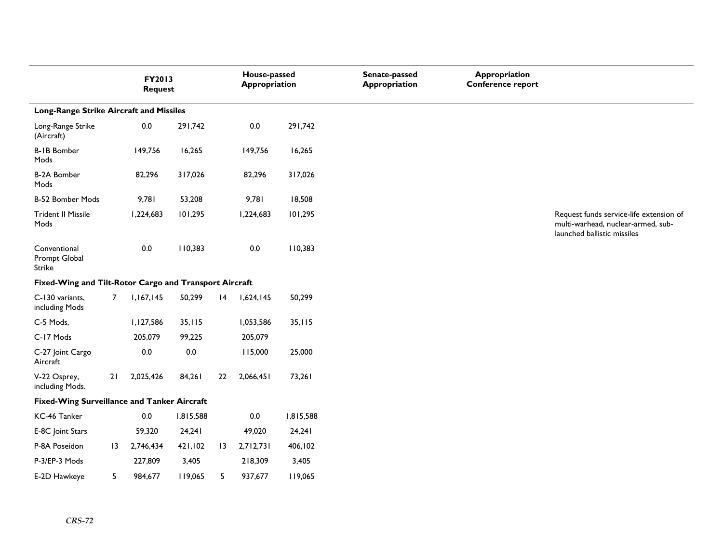|                                                        |                 | FY2013<br><b>Request</b> |           |                 | House-passed<br><b>Appropriation</b> |           | Senate-passed<br><b>Appropriation</b> | Appropriation<br>Conference report |                                                                                                              |
|--------------------------------------------------------|-----------------|--------------------------|-----------|-----------------|--------------------------------------|-----------|---------------------------------------|------------------------------------|--------------------------------------------------------------------------------------------------------------|
| Long-Range Strike Aircraft and Missiles                |                 |                          |           |                 |                                      |           |                                       |                                    |                                                                                                              |
| Long-Range Strike<br>(Aircraft)                        |                 | $0.0\,$                  | 291,742   |                 | 0.0                                  | 291,742   |                                       |                                    |                                                                                                              |
| <b>B-1B Bomber</b><br>Mods                             |                 | 149,756                  | 16,265    |                 | 149,756                              | 16,265    |                                       |                                    |                                                                                                              |
| <b>B-2A Bomber</b><br>Mods                             |                 | 82,296                   | 317,026   |                 | 82,296                               | 317,026   |                                       |                                    |                                                                                                              |
| B-52 Bomber Mods                                       |                 | 9,781                    | 53,208    |                 | 9,781                                | 18,508    |                                       |                                    |                                                                                                              |
| <b>Trident II Missile</b><br>Mods                      |                 | 1,224,683                | 101,295   |                 | 1,224,683                            | 101,295   |                                       |                                    | Request funds service-life extension of<br>multi-warhead, nuclear-armed, sub-<br>launched ballistic missiles |
| Conventional<br>Prompt Global<br>Strike                |                 | $0.0\,$                  | 110,383   |                 | 0.0                                  | 110,383   |                                       |                                    |                                                                                                              |
| Fixed-Wing and Tilt-Rotor Cargo and Transport Aircraft |                 |                          |           |                 |                                      |           |                                       |                                    |                                                                                                              |
| C-130 variants,<br>including Mods                      | $\overline{7}$  | 1,167,145                | 50,299    | $ 4\rangle$     | 1,624,145                            | 50,299    |                                       |                                    |                                                                                                              |
| C-5 Mods,                                              |                 | 1,127,586                | 35,115    |                 | 1,053,586                            | 35,115    |                                       |                                    |                                                                                                              |
| C-17 Mods                                              |                 | 205,079                  | 99,225    |                 | 205,079                              |           |                                       |                                    |                                                                                                              |
| C-27 Joint Cargo<br>Aircraft                           |                 | $0.0\,$                  | $0.0\,$   |                 | 115,000                              | 25,000    |                                       |                                    |                                                                                                              |
| V-22 Osprey,<br>including Mods.                        | 21              | 2,025,426                | 84,261    | 22              | 2,066,451                            | 73,261    |                                       |                                    |                                                                                                              |
| <b>Fixed-Wing Surveillance and Tanker Aircraft</b>     |                 |                          |           |                 |                                      |           |                                       |                                    |                                                                                                              |
| KC-46 Tanker                                           |                 | 0.0                      | 1,815,588 |                 | 0.0                                  | 1,815,588 |                                       |                                    |                                                                                                              |
| E-8C Joint Stars                                       |                 | 59,320                   | 24,241    |                 | 49,020                               | 24,241    |                                       |                                    |                                                                                                              |
| P-8A Poseidon                                          | $\overline{13}$ | 2,746,434                | 421,102   | $\overline{13}$ | 2,712,731                            | 406,102   |                                       |                                    |                                                                                                              |
| P-3/EP-3 Mods                                          |                 | 227,809                  | 3,405     |                 | 218,309                              | 3,405     |                                       |                                    |                                                                                                              |
| E-2D Hawkeye                                           | 5               | 984,677                  | 119,065   | 5               | 937,677                              | 119,065   |                                       |                                    |                                                                                                              |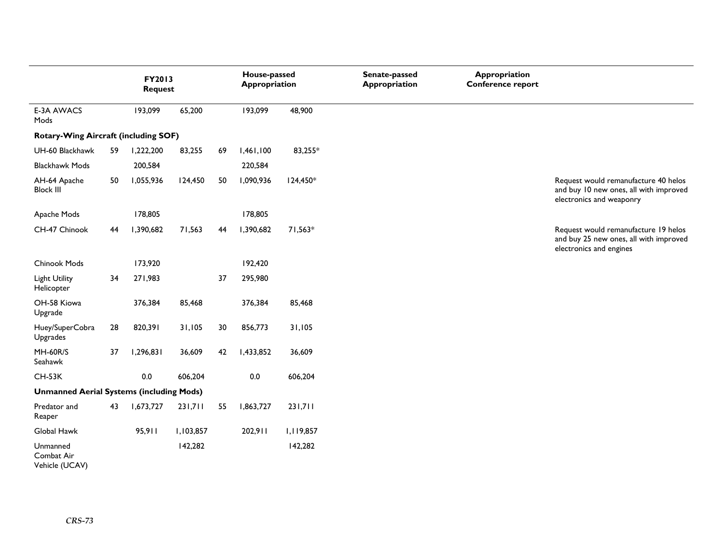|                                                 | FY2013<br><b>Request</b> |           |           |    | House-passed<br>Appropriation |           | Senate-passed<br><b>Appropriation</b> | <b>Appropriation</b><br><b>Conference report</b> |                                                                                                            |
|-------------------------------------------------|--------------------------|-----------|-----------|----|-------------------------------|-----------|---------------------------------------|--------------------------------------------------|------------------------------------------------------------------------------------------------------------|
| <b>E-3A AWACS</b><br>Mods                       |                          | 193,099   | 65,200    |    | 193,099                       | 48,900    |                                       |                                                  |                                                                                                            |
| Rotary-Wing Aircraft (including SOF)            |                          |           |           |    |                               |           |                                       |                                                  |                                                                                                            |
| UH-60 Blackhawk                                 | 59                       | 1,222,200 | 83,255    | 69 | 1,461,100                     | 83,255*   |                                       |                                                  |                                                                                                            |
| <b>Blackhawk Mods</b>                           |                          | 200,584   |           |    | 220,584                       |           |                                       |                                                  |                                                                                                            |
| AH-64 Apache<br><b>Block III</b>                | 50                       | 1,055,936 | 124,450   | 50 | 1,090,936                     | 124,450*  |                                       |                                                  | Request would remanufacture 40 helos<br>and buy 10 new ones, all with improved<br>electronics and weaponry |
| Apache Mods                                     |                          | 178,805   |           |    | 178,805                       |           |                                       |                                                  |                                                                                                            |
| CH-47 Chinook                                   | 44                       | 1,390,682 | 71,563    | 44 | 1,390,682                     | 71,563*   |                                       |                                                  | Request would remanufacture 19 helos<br>and buy 25 new ones, all with improved<br>electronics and engines  |
| Chinook Mods                                    |                          | 173,920   |           |    | 192,420                       |           |                                       |                                                  |                                                                                                            |
| <b>Light Utility</b><br>Helicopter              | 34                       | 271,983   |           | 37 | 295,980                       |           |                                       |                                                  |                                                                                                            |
| OH-58 Kiowa<br>Upgrade                          |                          | 376,384   | 85,468    |    | 376,384                       | 85,468    |                                       |                                                  |                                                                                                            |
| Huey/SuperCobra<br>Upgrades                     | 28                       | 820,391   | 31,105    | 30 | 856,773                       | 31,105    |                                       |                                                  |                                                                                                            |
| <b>MH-60R/S</b><br>Seahawk                      | 37                       | 1,296,831 | 36,609    | 42 | 1,433,852                     | 36,609    |                                       |                                                  |                                                                                                            |
| <b>CH-53K</b>                                   |                          | 0.0       | 606,204   |    | 0.0                           | 606,204   |                                       |                                                  |                                                                                                            |
| <b>Unmanned Aerial Systems (including Mods)</b> |                          |           |           |    |                               |           |                                       |                                                  |                                                                                                            |
| Predator and<br>Reaper                          | 43                       | 1,673,727 | 231,711   | 55 | 1,863,727                     | 231,711   |                                       |                                                  |                                                                                                            |
| Global Hawk                                     |                          | 95,911    | 1,103,857 |    | 202,911                       | 1,119,857 |                                       |                                                  |                                                                                                            |
| Unmanned<br>Combat Air                          |                          |           | 142,282   |    |                               | 142,282   |                                       |                                                  |                                                                                                            |

Vehicle (UCAV)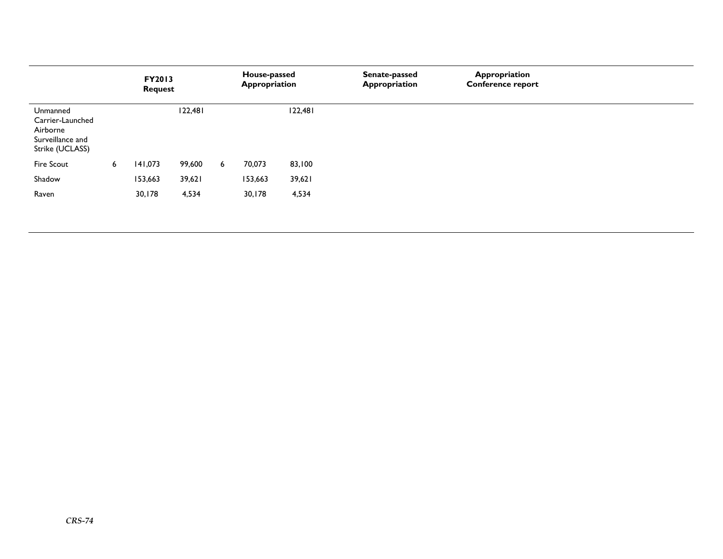|                                                                                 |   | <b>FY2013</b><br><b>Request</b> |         |   | House-passed<br>Appropriation |         | Senate-passed<br>Appropriation | Appropriation<br><b>Conference report</b> |  |
|---------------------------------------------------------------------------------|---|---------------------------------|---------|---|-------------------------------|---------|--------------------------------|-------------------------------------------|--|
| Unmanned<br>Carrier-Launched<br>Airborne<br>Surveillance and<br>Strike (UCLASS) |   |                                 | 122,481 |   |                               | 122,481 |                                |                                           |  |
| <b>Fire Scout</b>                                                               | 6 | 141,073                         | 99,600  | 6 | 70,073                        | 83,100  |                                |                                           |  |
| Shadow                                                                          |   | 153,663                         | 39,621  |   | 153,663                       | 39,621  |                                |                                           |  |
| Raven                                                                           |   | 30,178                          | 4,534   |   | 30,178                        | 4,534   |                                |                                           |  |